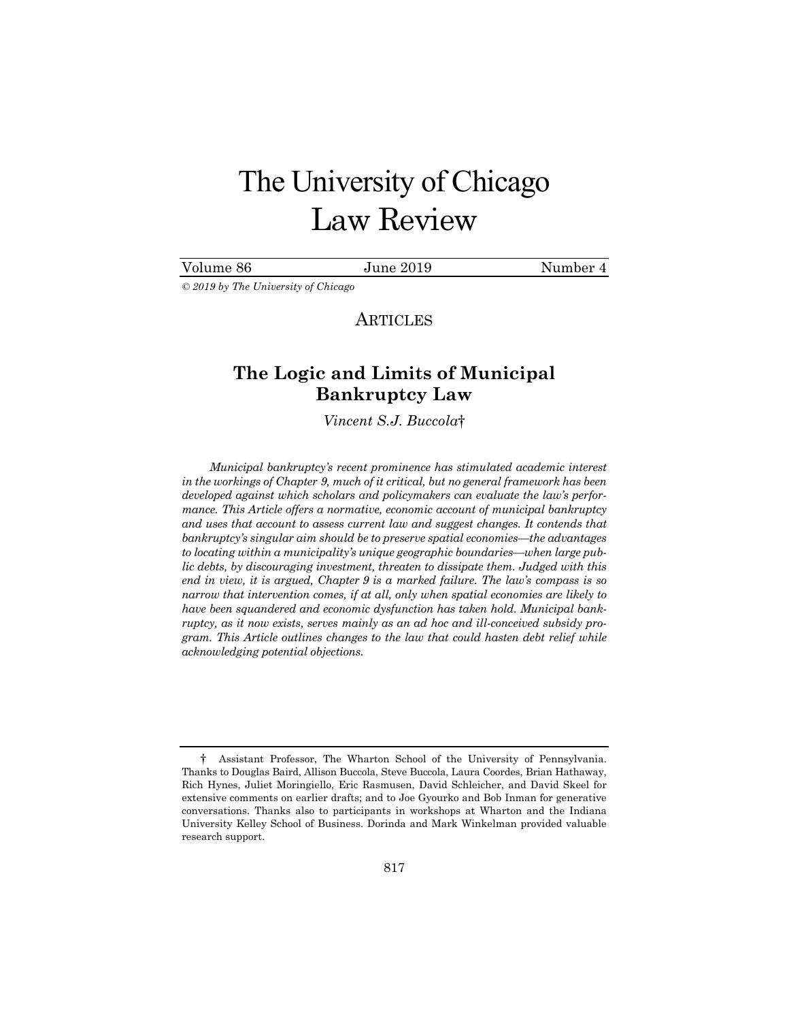# The University of Chicago Law Review

# Volume 86 June 2019 Number 4

*© 2019 by The University of Chicago* 

**ARTICLES** 

# **The Logic and Limits of Municipal Bankruptcy Law**

*Vincent S.J. Buccola*†

*Municipal bankruptcy's recent prominence has stimulated academic interest in the workings of Chapter 9, much of it critical, but no general framework has been developed against which scholars and policymakers can evaluate the law's performance. This Article offers a normative, economic account of municipal bankruptcy and uses that account to assess current law and suggest changes. It contends that bankruptcy's singular aim should be to preserve spatial economies—the advantages to locating within a municipality's unique geographic boundaries—when large public debts, by discouraging investment, threaten to dissipate them. Judged with this end in view, it is argued, Chapter 9 is a marked failure. The law's compass is so narrow that intervention comes, if at all, only when spatial economies are likely to have been squandered and economic dysfunction has taken hold. Municipal bankruptcy, as it now exists, serves mainly as an ad hoc and ill-conceived subsidy program. This Article outlines changes to the law that could hasten debt relief while acknowledging potential objections.* 

<sup>†</sup> Assistant Professor, The Wharton School of the University of Pennsylvania. Thanks to Douglas Baird, Allison Buccola, Steve Buccola, Laura Coordes, Brian Hathaway, Rich Hynes, Juliet Moringiello, Eric Rasmusen, David Schleicher, and David Skeel for extensive comments on earlier drafts; and to Joe Gyourko and Bob Inman for generative conversations. Thanks also to participants in workshops at Wharton and the Indiana University Kelley School of Business. Dorinda and Mark Winkelman provided valuable research support.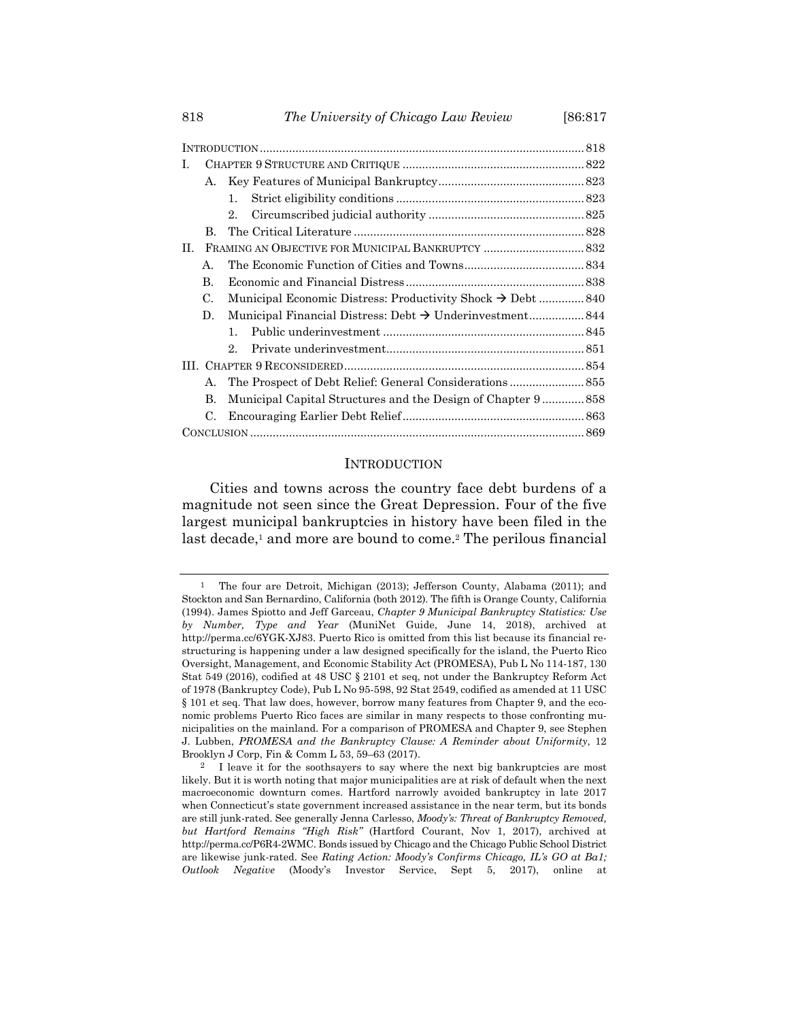| L.             |                                                                         |  |
|----------------|-------------------------------------------------------------------------|--|
| А.             |                                                                         |  |
|                | 1.                                                                      |  |
|                | 2.                                                                      |  |
| B.             |                                                                         |  |
| H.             |                                                                         |  |
| $\mathsf{A}$ . |                                                                         |  |
| B.             |                                                                         |  |
| C.             | Municipal Economic Distress: Productivity Shock $\rightarrow$ Debt  840 |  |
| D.             |                                                                         |  |
|                | $\mathbf{1}$ .                                                          |  |
|                | 2.                                                                      |  |
|                |                                                                         |  |
| А.             | The Prospect of Debt Relief: General Considerations 855                 |  |
| B.             | Municipal Capital Structures and the Design of Chapter 9 858            |  |
| $\mathcal{C}$  |                                                                         |  |
|                |                                                                         |  |

#### **INTRODUCTION**

Cities and towns across the country face debt burdens of a magnitude not seen since the Great Depression. Four of the five largest municipal bankruptcies in history have been filed in the last decade,<sup>1</sup> and more are bound to come.<sup>2</sup> The perilous financial

<sup>&</sup>lt;sup>1</sup> The four are Detroit, Michigan (2013); Jefferson County, Alabama (2011); and Stockton and San Bernardino, California (both 2012). The fifth is Orange County, California (1994). James Spiotto and Jeff Garceau, *Chapter 9 Municipal Bankruptcy Statistics: Use by Number, Type and Year* (MuniNet Guide, June 14, 2018), archived at http://perma.cc/6YGK-XJ83. Puerto Rico is omitted from this list because its financial restructuring is happening under a law designed specifically for the island, the Puerto Rico Oversight, Management, and Economic Stability Act (PROMESA), Pub L No 114-187, 130 Stat 549 (2016), codified at 48 USC § 2101 et seq, not under the Bankruptcy Reform Act of 1978 (Bankruptcy Code), Pub L No 95-598, 92 Stat 2549, codified as amended at 11 USC § 101 et seq. That law does, however, borrow many features from Chapter 9, and the economic problems Puerto Rico faces are similar in many respects to those confronting municipalities on the mainland. For a comparison of PROMESA and Chapter 9, see Stephen J. Lubben, *PROMESA and the Bankruptcy Clause: A Reminder about Uniformity*, 12 Brooklyn J Corp, Fin & Comm L 53, 59–63 (2017).

<sup>&</sup>lt;sup>2</sup> I leave it for the soothsayers to say where the next big bankruptcies are most likely. But it is worth noting that major municipalities are at risk of default when the next macroeconomic downturn comes. Hartford narrowly avoided bankruptcy in late 2017 when Connecticut's state government increased assistance in the near term, but its bonds are still junk-rated. See generally Jenna Carlesso, *Moody's: Threat of Bankruptcy Removed, but Hartford Remains "High Risk"* (Hartford Courant, Nov 1, 2017), archived at http://perma.cc/P6R4-2WMC. Bonds issued by Chicago and the Chicago Public School District are likewise junk-rated. See *Rating Action: Moody's Confirms Chicago, IL's GO at Ba1; Outlook Negative* (Moody's Investor Service, Sept 5, 2017), online at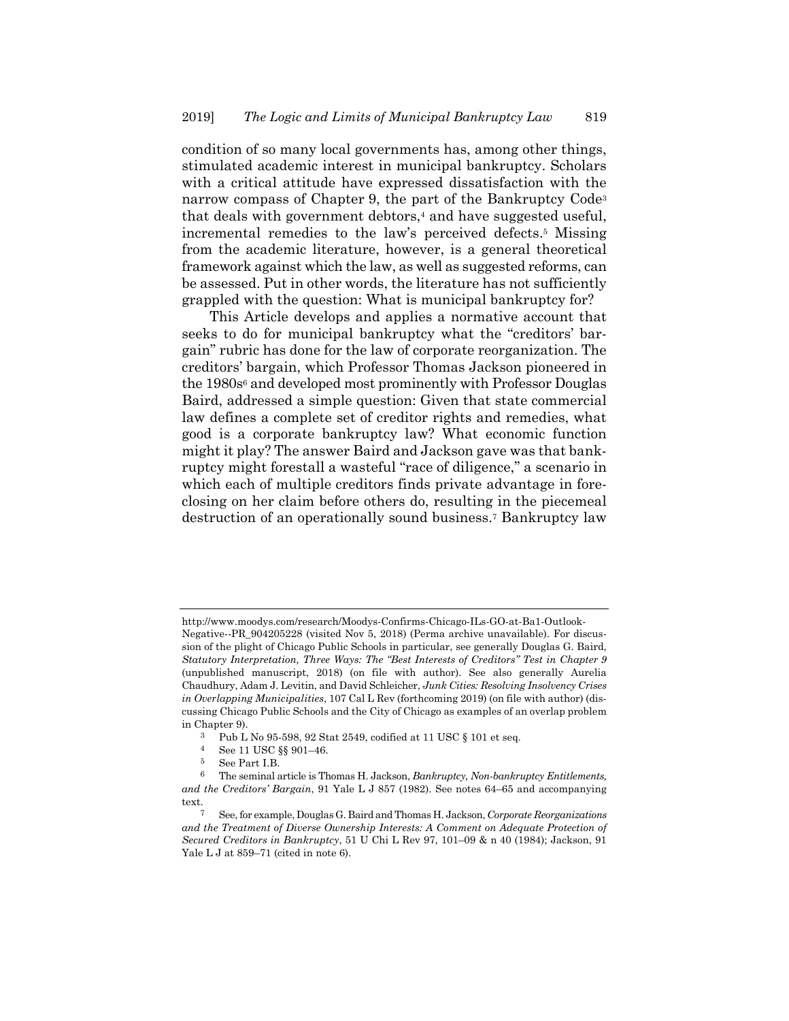condition of so many local governments has, among other things, stimulated academic interest in municipal bankruptcy. Scholars with a critical attitude have expressed dissatisfaction with the narrow compass of Chapter 9, the part of the Bankruptcy Code<sup>3</sup> that deals with government debtors,<sup>4</sup> and have suggested useful, incremental remedies to the law's perceived defects.5 Missing from the academic literature, however, is a general theoretical framework against which the law, as well as suggested reforms, can be assessed. Put in other words, the literature has not sufficiently grappled with the question: What is municipal bankruptcy for?

This Article develops and applies a normative account that seeks to do for municipal bankruptcy what the "creditors' bargain" rubric has done for the law of corporate reorganization. The creditors' bargain, which Professor Thomas Jackson pioneered in the 1980s<sup>6</sup> and developed most prominently with Professor Douglas Baird, addressed a simple question: Given that state commercial law defines a complete set of creditor rights and remedies, what good is a corporate bankruptcy law? What economic function might it play? The answer Baird and Jackson gave was that bankruptcy might forestall a wasteful "race of diligence," a scenario in which each of multiple creditors finds private advantage in foreclosing on her claim before others do, resulting in the piecemeal destruction of an operationally sound business.7 Bankruptcy law

http://www.moodys.com/research/Moodys-Confirms-Chicago-ILs-GO-at-Ba1-Outlook-

Negative--PR\_904205228 (visited Nov 5, 2018) (Perma archive unavailable). For discussion of the plight of Chicago Public Schools in particular, see generally Douglas G. Baird, *Statutory Interpretation, Three Ways: The "Best Interests of Creditors" Test in Chapter 9* (unpublished manuscript, 2018) (on file with author). See also generally Aurelia Chaudhury, Adam J. Levitin, and David Schleicher, *Junk Cities: Resolving Insolvency Crises in Overlapping Municipalities*, 107 Cal L Rev (forthcoming 2019) (on file with author) (discussing Chicago Public Schools and the City of Chicago as examples of an overlap problem in Chapter 9).

<sup>3</sup> Pub L No 95-598, 92 Stat 2549, codified at 11 USC § 101 et seq.

<sup>4</sup> See 11 USC §§ 901–46.

<sup>5</sup> See Part I.B.

<sup>6</sup> The seminal article is Thomas H. Jackson, *Bankruptcy, Non-bankruptcy Entitlements, and the Creditors' Bargain*, 91 Yale L J 857 (1982). See notes 64–65 and accompanying text.

<sup>7</sup> See, for example, Douglas G. Baird and Thomas H. Jackson, *Corporate Reorganizations*  and the Treatment of Diverse Ownership Interests: A Comment on Adequate Protection of *Secured Creditors in Bankruptcy*, 51 U Chi L Rev 97, 101–09 & n 40 (1984); Jackson, 91 Yale L J at  $859-71$  (cited in note 6).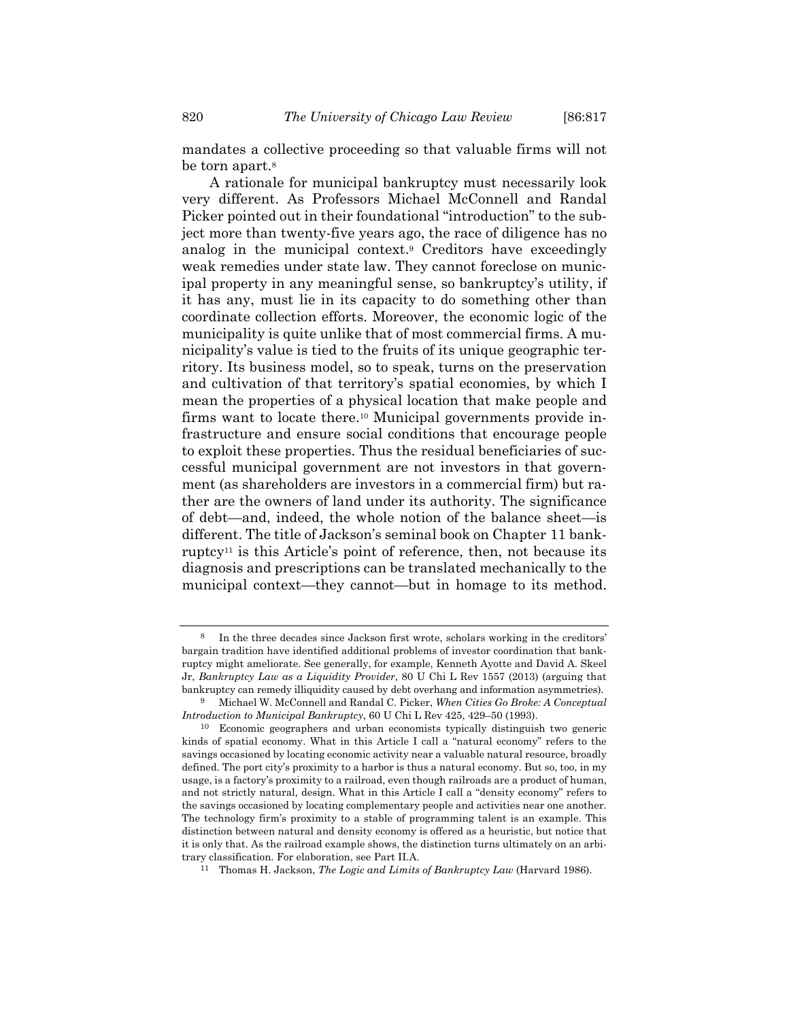mandates a collective proceeding so that valuable firms will not be torn apart.<sup>8</sup>

A rationale for municipal bankruptcy must necessarily look very different. As Professors Michael McConnell and Randal Picker pointed out in their foundational "introduction" to the subject more than twenty-five years ago, the race of diligence has no analog in the municipal context.9 Creditors have exceedingly weak remedies under state law. They cannot foreclose on municipal property in any meaningful sense, so bankruptcy's utility, if it has any, must lie in its capacity to do something other than coordinate collection efforts. Moreover, the economic logic of the municipality is quite unlike that of most commercial firms. A municipality's value is tied to the fruits of its unique geographic territory. Its business model, so to speak, turns on the preservation and cultivation of that territory's spatial economies, by which I mean the properties of a physical location that make people and firms want to locate there.<sup>10</sup> Municipal governments provide infrastructure and ensure social conditions that encourage people to exploit these properties. Thus the residual beneficiaries of successful municipal government are not investors in that government (as shareholders are investors in a commercial firm) but rather are the owners of land under its authority. The significance of debt—and, indeed, the whole notion of the balance sheet—is different. The title of Jackson's seminal book on Chapter 11 bankruptcy11 is this Article's point of reference, then, not because its diagnosis and prescriptions can be translated mechanically to the municipal context—they cannot—but in homage to its method.

In the three decades since Jackson first wrote, scholars working in the creditors' bargain tradition have identified additional problems of investor coordination that bankruptcy might ameliorate. See generally, for example, Kenneth Ayotte and David A. Skeel Jr, *Bankruptcy Law as a Liquidity Provider*, 80 U Chi L Rev 1557 (2013) (arguing that bankruptcy can remedy illiquidity caused by debt overhang and information asymmetries). 9 Michael W. McConnell and Randal C. Picker, *When Cities Go Broke: A Conceptual* 

*Introduction to Municipal Bankruptcy*, 60 U Chi L Rev 425, 429–50 (1993).

<sup>10</sup> Economic geographers and urban economists typically distinguish two generic kinds of spatial economy. What in this Article I call a "natural economy" refers to the savings occasioned by locating economic activity near a valuable natural resource, broadly defined. The port city's proximity to a harbor is thus a natural economy. But so, too, in my usage, is a factory's proximity to a railroad, even though railroads are a product of human, and not strictly natural, design. What in this Article I call a "density economy" refers to the savings occasioned by locating complementary people and activities near one another. The technology firm's proximity to a stable of programming talent is an example. This distinction between natural and density economy is offered as a heuristic, but notice that it is only that. As the railroad example shows, the distinction turns ultimately on an arbitrary classification. For elaboration, see Part II.A.

<sup>11</sup> Thomas H. Jackson, *The Logic and Limits of Bankruptcy Law* (Harvard 1986).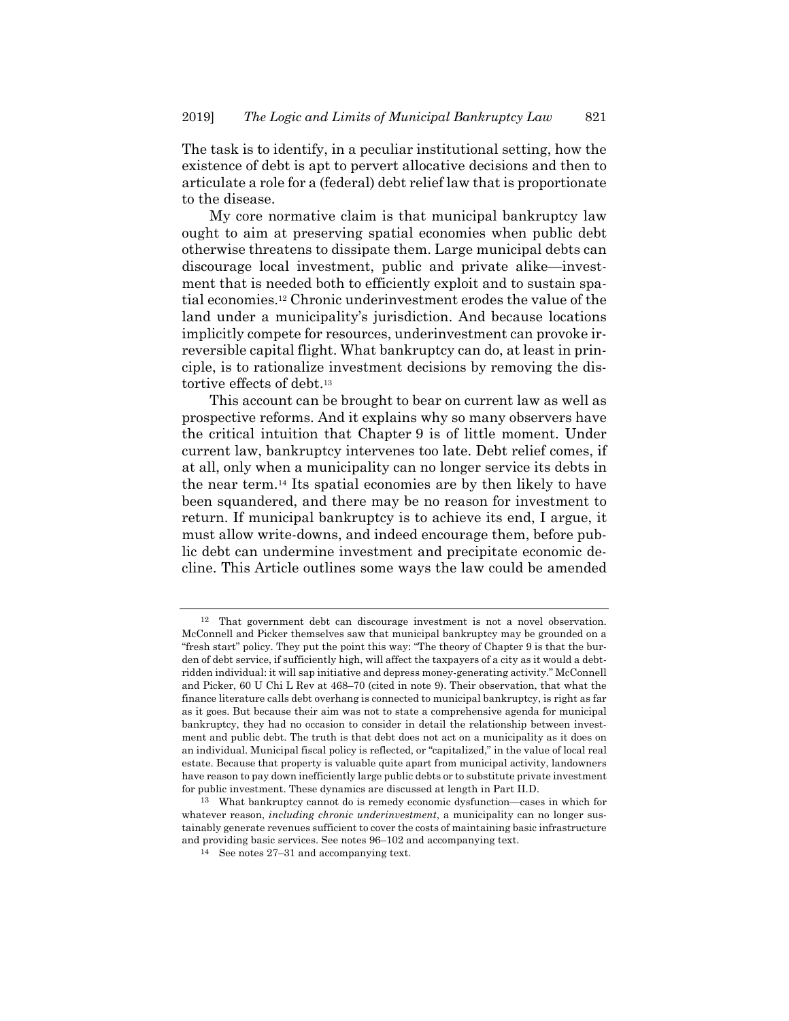The task is to identify, in a peculiar institutional setting, how the existence of debt is apt to pervert allocative decisions and then to articulate a role for a (federal) debt relief law that is proportionate to the disease.

My core normative claim is that municipal bankruptcy law ought to aim at preserving spatial economies when public debt otherwise threatens to dissipate them. Large municipal debts can discourage local investment, public and private alike—investment that is needed both to efficiently exploit and to sustain spatial economies.12 Chronic underinvestment erodes the value of the land under a municipality's jurisdiction. And because locations implicitly compete for resources, underinvestment can provoke irreversible capital flight. What bankruptcy can do, at least in principle, is to rationalize investment decisions by removing the distortive effects of debt.<sup>13</sup>

This account can be brought to bear on current law as well as prospective reforms. And it explains why so many observers have the critical intuition that Chapter 9 is of little moment. Under current law, bankruptcy intervenes too late. Debt relief comes, if at all, only when a municipality can no longer service its debts in the near term.14 Its spatial economies are by then likely to have been squandered, and there may be no reason for investment to return. If municipal bankruptcy is to achieve its end, I argue, it must allow write-downs, and indeed encourage them, before public debt can undermine investment and precipitate economic decline. This Article outlines some ways the law could be amended

<sup>12</sup> That government debt can discourage investment is not a novel observation. McConnell and Picker themselves saw that municipal bankruptcy may be grounded on a "fresh start" policy. They put the point this way: "The theory of Chapter 9 is that the burden of debt service, if sufficiently high, will affect the taxpayers of a city as it would a debtridden individual: it will sap initiative and depress money-generating activity." McConnell and Picker, 60 U Chi L Rev at 468–70 (cited in note 9). Their observation, that what the finance literature calls debt overhang is connected to municipal bankruptcy, is right as far as it goes. But because their aim was not to state a comprehensive agenda for municipal bankruptcy, they had no occasion to consider in detail the relationship between investment and public debt. The truth is that debt does not act on a municipality as it does on an individual. Municipal fiscal policy is reflected, or "capitalized," in the value of local real estate. Because that property is valuable quite apart from municipal activity, landowners have reason to pay down inefficiently large public debts or to substitute private investment for public investment. These dynamics are discussed at length in Part II.D.

<sup>13</sup> What bankruptcy cannot do is remedy economic dysfunction—cases in which for whatever reason, *including chronic underinvestment*, a municipality can no longer sustainably generate revenues sufficient to cover the costs of maintaining basic infrastructure and providing basic services. See notes 96–102 and accompanying text.

<sup>14</sup> See notes 27–31 and accompanying text.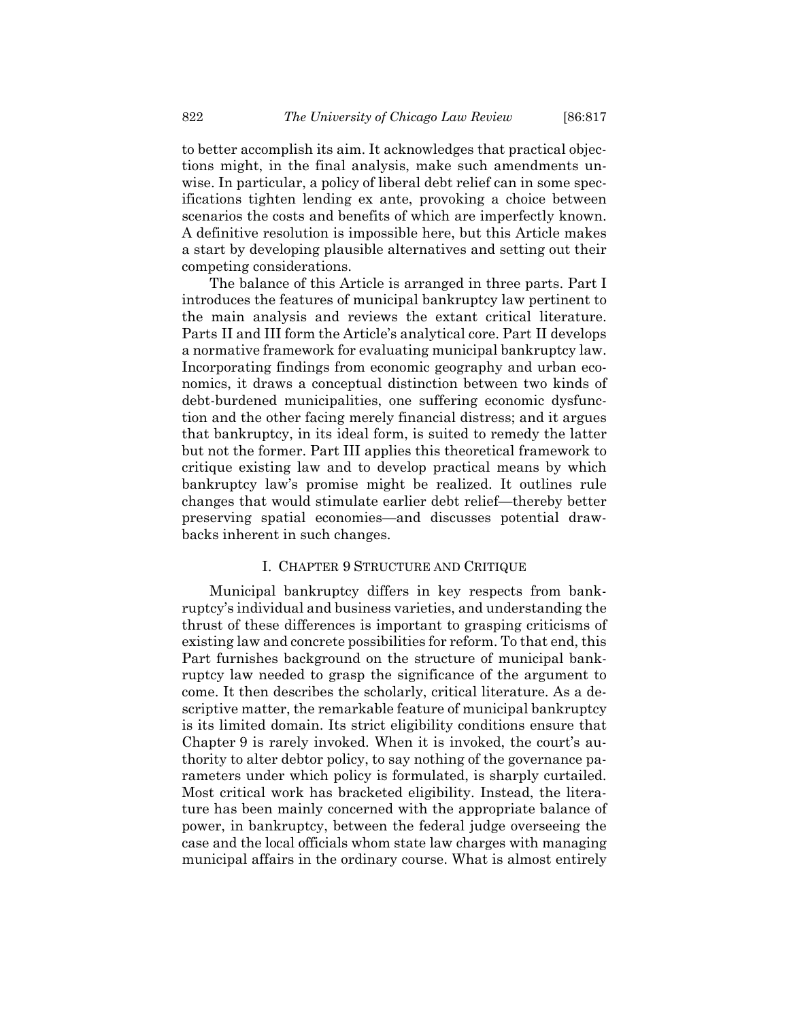to better accomplish its aim. It acknowledges that practical objections might, in the final analysis, make such amendments unwise. In particular, a policy of liberal debt relief can in some specifications tighten lending ex ante, provoking a choice between scenarios the costs and benefits of which are imperfectly known. A definitive resolution is impossible here, but this Article makes a start by developing plausible alternatives and setting out their competing considerations.

The balance of this Article is arranged in three parts. Part I introduces the features of municipal bankruptcy law pertinent to the main analysis and reviews the extant critical literature. Parts II and III form the Article's analytical core. Part II develops a normative framework for evaluating municipal bankruptcy law. Incorporating findings from economic geography and urban economics, it draws a conceptual distinction between two kinds of debt-burdened municipalities, one suffering economic dysfunction and the other facing merely financial distress; and it argues that bankruptcy, in its ideal form, is suited to remedy the latter but not the former. Part III applies this theoretical framework to critique existing law and to develop practical means by which bankruptcy law's promise might be realized. It outlines rule changes that would stimulate earlier debt relief—thereby better preserving spatial economies—and discusses potential drawbacks inherent in such changes.

# I. CHAPTER 9 STRUCTURE AND CRITIQUE

Municipal bankruptcy differs in key respects from bankruptcy's individual and business varieties, and understanding the thrust of these differences is important to grasping criticisms of existing law and concrete possibilities for reform. To that end, this Part furnishes background on the structure of municipal bankruptcy law needed to grasp the significance of the argument to come. It then describes the scholarly, critical literature. As a descriptive matter, the remarkable feature of municipal bankruptcy is its limited domain. Its strict eligibility conditions ensure that Chapter 9 is rarely invoked. When it is invoked, the court's authority to alter debtor policy, to say nothing of the governance parameters under which policy is formulated, is sharply curtailed. Most critical work has bracketed eligibility. Instead, the literature has been mainly concerned with the appropriate balance of power, in bankruptcy, between the federal judge overseeing the case and the local officials whom state law charges with managing municipal affairs in the ordinary course. What is almost entirely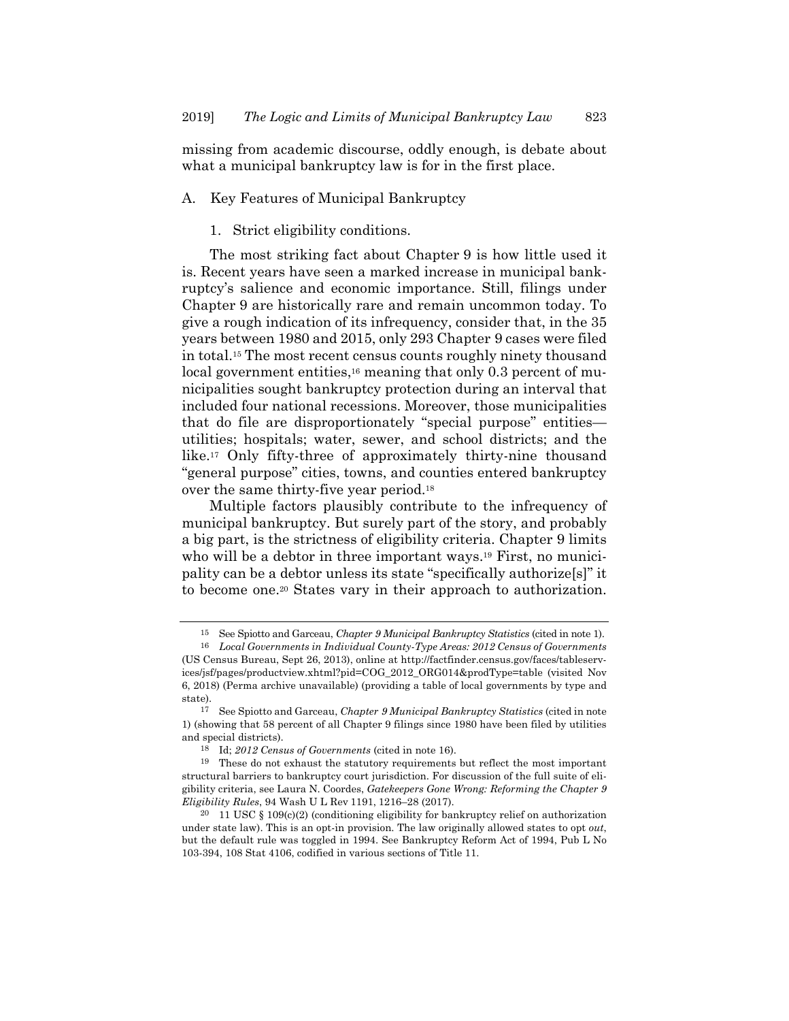missing from academic discourse, oddly enough, is debate about what a municipal bankruptcy law is for in the first place.

# A. Key Features of Municipal Bankruptcy

# 1. Strict eligibility conditions.

The most striking fact about Chapter 9 is how little used it is. Recent years have seen a marked increase in municipal bankruptcy's salience and economic importance. Still, filings under Chapter 9 are historically rare and remain uncommon today. To give a rough indication of its infrequency, consider that, in the 35 years between 1980 and 2015, only 293 Chapter 9 cases were filed in total.15 The most recent census counts roughly ninety thousand local government entities,<sup>16</sup> meaning that only 0.3 percent of municipalities sought bankruptcy protection during an interval that included four national recessions. Moreover, those municipalities that do file are disproportionately "special purpose" entities utilities; hospitals; water, sewer, and school districts; and the like.17 Only fifty-three of approximately thirty-nine thousand "general purpose" cities, towns, and counties entered bankruptcy over the same thirty-five year period.18

Multiple factors plausibly contribute to the infrequency of municipal bankruptcy. But surely part of the story, and probably a big part, is the strictness of eligibility criteria. Chapter 9 limits who will be a debtor in three important ways.<sup>19</sup> First, no municipality can be a debtor unless its state "specifically authorize[s]" it to become one.20 States vary in their approach to authorization.

<sup>15</sup> See Spiotto and Garceau, *Chapter 9 Municipal Bankruptcy Statistics* (cited in note 1).

<sup>16</sup> *Local Governments in Individual County-Type Areas: 2012 Census of Governments* (US Census Bureau, Sept 26, 2013), online at http://factfinder.census.gov/faces/tableservices/jsf/pages/productview.xhtml?pid=COG\_2012\_ORG014&prodType=table (visited Nov 6, 2018) (Perma archive unavailable) (providing a table of local governments by type and state).

<sup>17</sup> See Spiotto and Garceau, *Chapter 9 Municipal Bankruptcy Statistics* (cited in note 1) (showing that 58 percent of all Chapter 9 filings since 1980 have been filed by utilities and special districts).

<sup>18</sup> Id; *2012 Census of Governments* (cited in note 16).

<sup>19</sup> These do not exhaust the statutory requirements but reflect the most important structural barriers to bankruptcy court jurisdiction. For discussion of the full suite of eligibility criteria, see Laura N. Coordes, *Gatekeepers Gone Wrong: Reforming the Chapter 9 Eligibility Rules*, 94 Wash U L Rev 1191, 1216–28 (2017).

<sup>&</sup>lt;sup>20</sup> 11 USC § 109(c)(2) (conditioning eligibility for bankruptcy relief on authorization under state law). This is an opt-in provision. The law originally allowed states to opt *out*, but the default rule was toggled in 1994. See Bankruptcy Reform Act of 1994, Pub L No 103-394, 108 Stat 4106, codified in various sections of Title 11.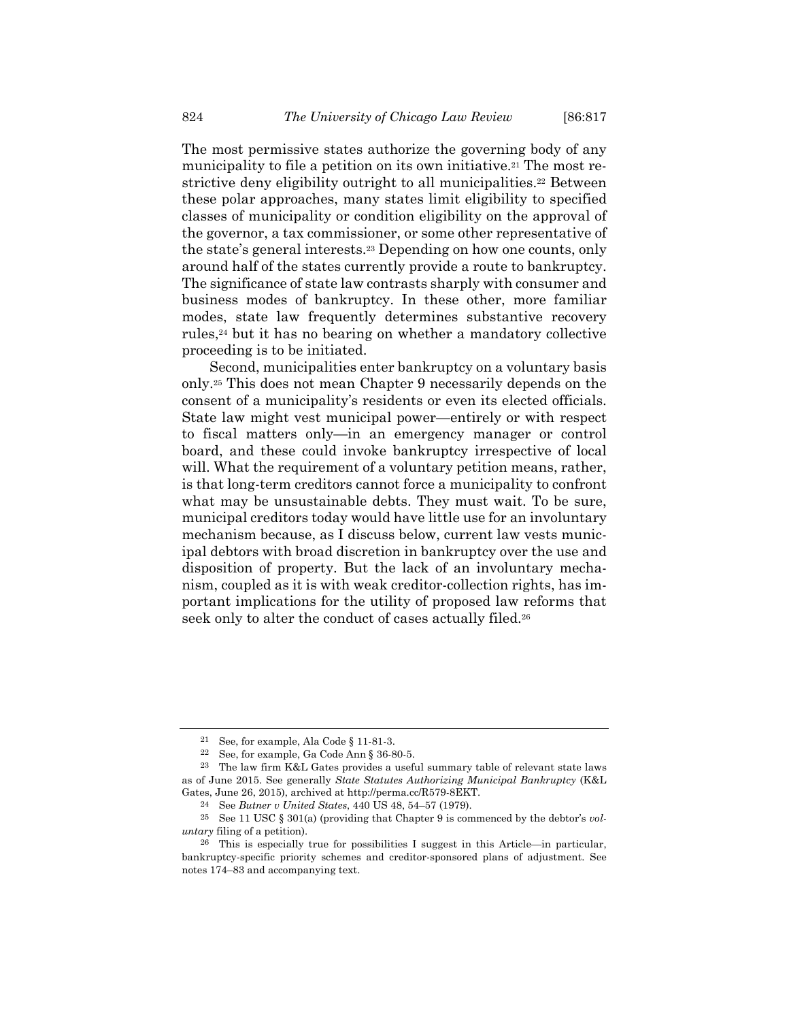The most permissive states authorize the governing body of any municipality to file a petition on its own initiative.<sup>21</sup> The most restrictive deny eligibility outright to all municipalities.<sup>22</sup> Between these polar approaches, many states limit eligibility to specified classes of municipality or condition eligibility on the approval of the governor, a tax commissioner, or some other representative of the state's general interests.23 Depending on how one counts, only around half of the states currently provide a route to bankruptcy. The significance of state law contrasts sharply with consumer and business modes of bankruptcy. In these other, more familiar modes, state law frequently determines substantive recovery rules,24 but it has no bearing on whether a mandatory collective proceeding is to be initiated.

Second, municipalities enter bankruptcy on a voluntary basis only.25 This does not mean Chapter 9 necessarily depends on the consent of a municipality's residents or even its elected officials. State law might vest municipal power—entirely or with respect to fiscal matters only—in an emergency manager or control board, and these could invoke bankruptcy irrespective of local will. What the requirement of a voluntary petition means, rather, is that long-term creditors cannot force a municipality to confront what may be unsustainable debts. They must wait. To be sure, municipal creditors today would have little use for an involuntary mechanism because, as I discuss below, current law vests municipal debtors with broad discretion in bankruptcy over the use and disposition of property. But the lack of an involuntary mechanism, coupled as it is with weak creditor-collection rights, has important implications for the utility of proposed law reforms that seek only to alter the conduct of cases actually filed.<sup>26</sup>

<sup>21</sup> See, for example, Ala Code § 11-81-3.

<sup>22</sup> See, for example, Ga Code Ann § 36-80-5.

<sup>23</sup> The law firm K&L Gates provides a useful summary table of relevant state laws as of June 2015. See generally *State Statutes Authorizing Municipal Bankruptcy* (K&L Gates, June 26, 2015), archived at http://perma.cc/R579-8EKT.

<sup>24</sup> See *Butner v United States*, 440 US 48, 54–57 (1979).

<sup>25</sup> See 11 USC § 301(a) (providing that Chapter 9 is commenced by the debtor's *voluntary* filing of a petition).

<sup>26</sup> This is especially true for possibilities I suggest in this Article—in particular, bankruptcy-specific priority schemes and creditor-sponsored plans of adjustment. See notes 174–83 and accompanying text.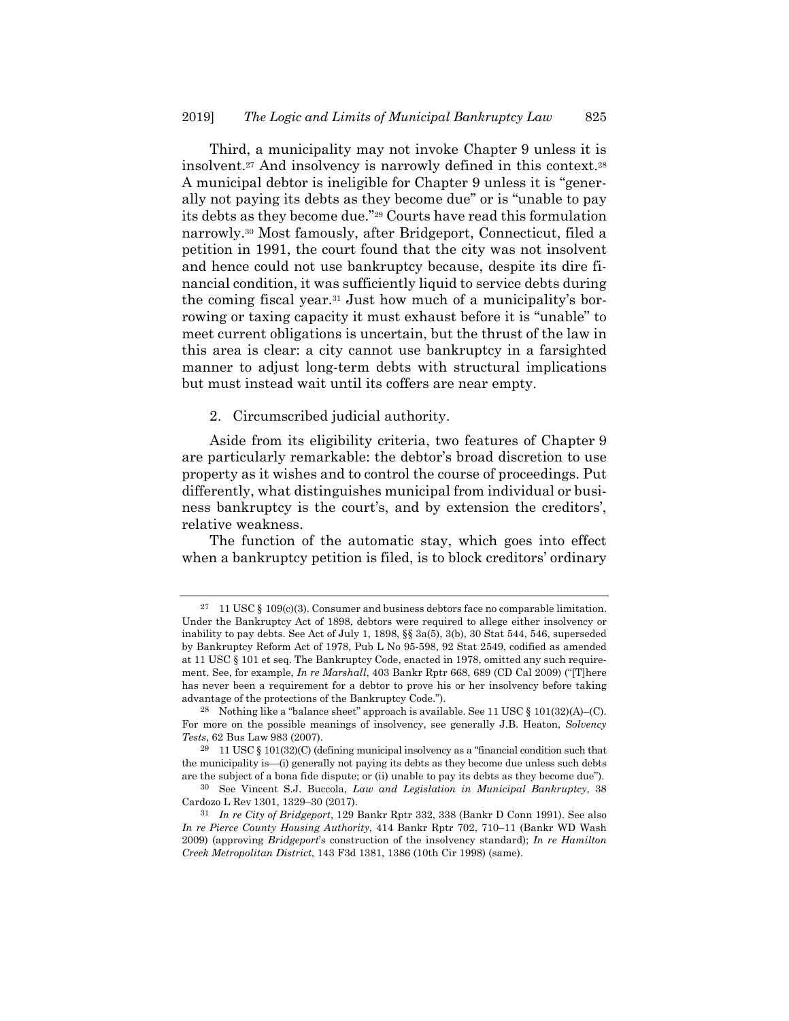Third, a municipality may not invoke Chapter 9 unless it is insolvent.27 And insolvency is narrowly defined in this context.28 A municipal debtor is ineligible for Chapter 9 unless it is "generally not paying its debts as they become due" or is "unable to pay its debts as they become due."29 Courts have read this formulation narrowly.30 Most famously, after Bridgeport, Connecticut, filed a petition in 1991, the court found that the city was not insolvent and hence could not use bankruptcy because, despite its dire financial condition, it was sufficiently liquid to service debts during the coming fiscal year.31 Just how much of a municipality's borrowing or taxing capacity it must exhaust before it is "unable" to meet current obligations is uncertain, but the thrust of the law in this area is clear: a city cannot use bankruptcy in a farsighted manner to adjust long-term debts with structural implications but must instead wait until its coffers are near empty.

2. Circumscribed judicial authority.

Aside from its eligibility criteria, two features of Chapter 9 are particularly remarkable: the debtor's broad discretion to use property as it wishes and to control the course of proceedings. Put differently, what distinguishes municipal from individual or business bankruptcy is the court's, and by extension the creditors', relative weakness.

The function of the automatic stay, which goes into effect when a bankruptcy petition is filed, is to block creditors' ordinary

<sup>&</sup>lt;sup>27</sup> 11 USC § 109(c)(3). Consumer and business debtors face no comparable limitation. Under the Bankruptcy Act of 1898, debtors were required to allege either insolvency or inability to pay debts. See Act of July 1, 1898, §§ 3a(5), 3(b), 30 Stat 544, 546, superseded by Bankruptcy Reform Act of 1978, Pub L No 95-598, 92 Stat 2549, codified as amended at 11 USC § 101 et seq. The Bankruptcy Code, enacted in 1978, omitted any such requirement. See, for example, *In re Marshall*, 403 Bankr Rptr 668, 689 (CD Cal 2009) ("[T]here has never been a requirement for a debtor to prove his or her insolvency before taking advantage of the protections of the Bankruptcy Code.").

<sup>&</sup>lt;sup>28</sup> Nothing like a "balance sheet" approach is available. See 11 USC  $\S$  101(32)(A)–(C). For more on the possible meanings of insolvency, see generally J.B. Heaton, *Solvency Tests*, 62 Bus Law 983 (2007).

<sup>29 11</sup> USC § 101(32)(C) (defining municipal insolvency as a "financial condition such that the municipality is—(i) generally not paying its debts as they become due unless such debts are the subject of a bona fide dispute; or (ii) unable to pay its debts as they become due").

<sup>30</sup> See Vincent S.J. Buccola, *Law and Legislation in Municipal Bankruptcy*, 38 Cardozo L Rev 1301, 1329–30 (2017).

<sup>31</sup> *In re City of Bridgeport*, 129 Bankr Rptr 332, 338 (Bankr D Conn 1991). See also *In re Pierce County Housing Authority*, 414 Bankr Rptr 702, 710–11 (Bankr WD Wash 2009) (approving *Bridgeport*'s construction of the insolvency standard); *In re Hamilton Creek Metropolitan District*, 143 F3d 1381, 1386 (10th Cir 1998) (same).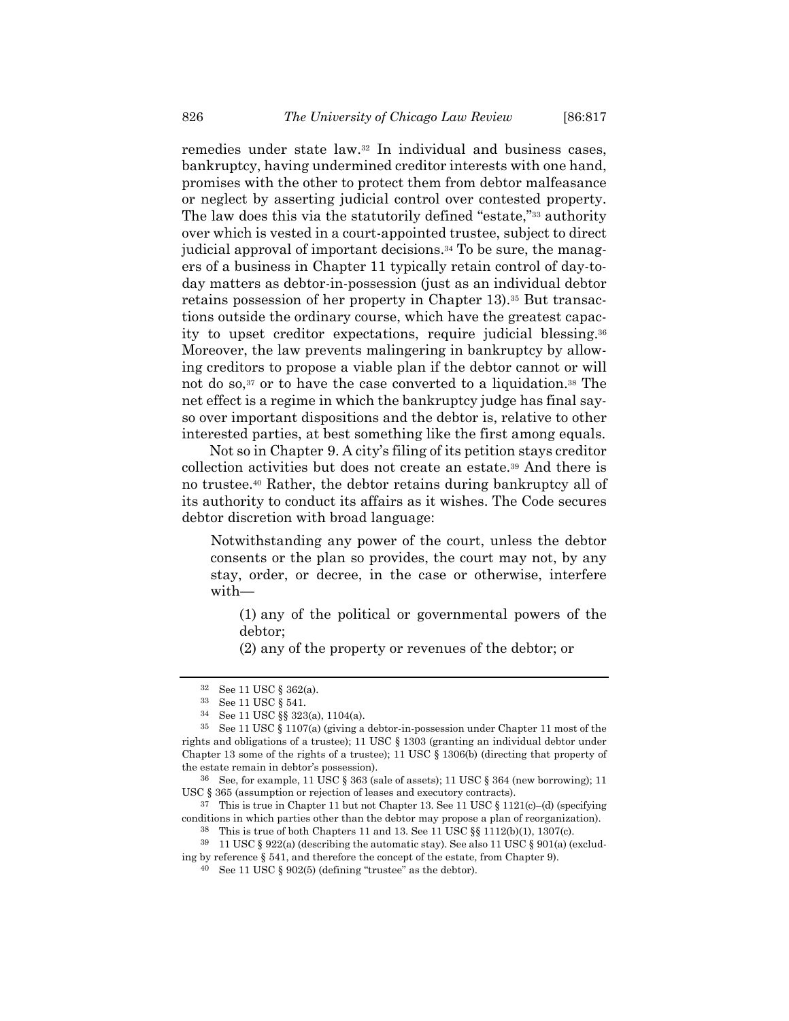remedies under state law.32 In individual and business cases, bankruptcy, having undermined creditor interests with one hand, promises with the other to protect them from debtor malfeasance or neglect by asserting judicial control over contested property. The law does this via the statutorily defined "estate,"33 authority over which is vested in a court-appointed trustee, subject to direct judicial approval of important decisions.34 To be sure, the managers of a business in Chapter 11 typically retain control of day-today matters as debtor-in-possession (just as an individual debtor retains possession of her property in Chapter 13).35 But transactions outside the ordinary course, which have the greatest capacity to upset creditor expectations, require judicial blessing.36 Moreover, the law prevents malingering in bankruptcy by allowing creditors to propose a viable plan if the debtor cannot or will not do so,<sup>37</sup> or to have the case converted to a liquidation.<sup>38</sup> The net effect is a regime in which the bankruptcy judge has final sayso over important dispositions and the debtor is, relative to other interested parties, at best something like the first among equals.

Not so in Chapter 9. A city's filing of its petition stays creditor collection activities but does not create an estate.39 And there is no trustee.40 Rather, the debtor retains during bankruptcy all of its authority to conduct its affairs as it wishes. The Code secures debtor discretion with broad language:

Notwithstanding any power of the court, unless the debtor consents or the plan so provides, the court may not, by any stay, order, or decree, in the case or otherwise, interfere with—

(1) any of the political or governmental powers of the debtor;

(2) any of the property or revenues of the debtor; or

<sup>37</sup> This is true in Chapter 11 but not Chapter 13. See 11 USC  $\S 1121(c)$ –(d) (specifying conditions in which parties other than the debtor may propose a plan of reorganization).

<sup>32</sup> See 11 USC § 362(a).

<sup>33</sup> See 11 USC § 541.

<sup>34</sup> See 11 USC §§ 323(a), 1104(a).

<sup>35</sup> See 11 USC § 1107(a) (giving a debtor-in-possession under Chapter 11 most of the rights and obligations of a trustee); 11 USC § 1303 (granting an individual debtor under Chapter 13 some of the rights of a trustee); 11 USC § 1306(b) (directing that property of the estate remain in debtor's possession).

<sup>&</sup>lt;sup>36</sup> See, for example, 11 USC  $\S$  363 (sale of assets); 11 USC  $\S$  364 (new borrowing); 11 USC § 365 (assumption or rejection of leases and executory contracts).

<sup>38</sup> This is true of both Chapters 11 and 13. See 11 USC §§ 1112(b)(1), 1307(c).

<sup>39 11</sup> USC § 922(a) (describing the automatic stay). See also 11 USC § 901(a) (exclud-

ing by reference § 541, and therefore the concept of the estate, from Chapter 9).

<sup>40</sup> See 11 USC § 902(5) (defining "trustee" as the debtor).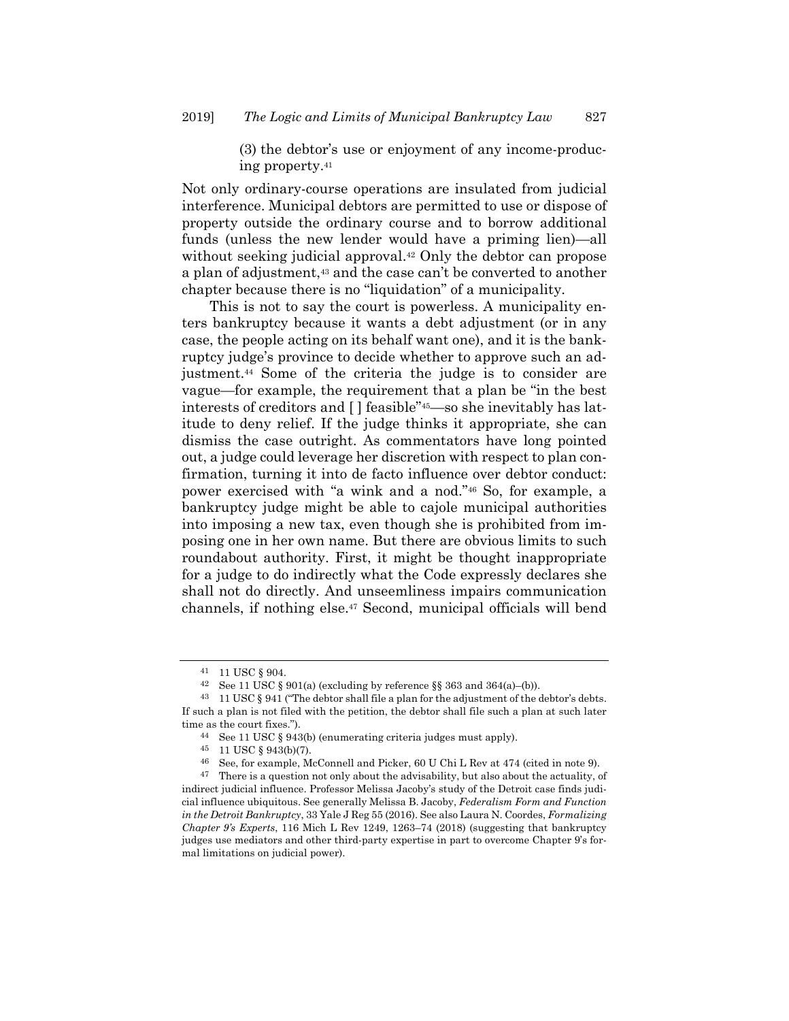(3) the debtor's use or enjoyment of any income-producing property.41

Not only ordinary-course operations are insulated from judicial interference. Municipal debtors are permitted to use or dispose of property outside the ordinary course and to borrow additional funds (unless the new lender would have a priming lien)—all without seeking judicial approval.<sup>42</sup> Only the debtor can propose a plan of adjustment,<sup>43</sup> and the case can't be converted to another chapter because there is no "liquidation" of a municipality.

This is not to say the court is powerless. A municipality enters bankruptcy because it wants a debt adjustment (or in any case, the people acting on its behalf want one), and it is the bankruptcy judge's province to decide whether to approve such an adjustment.44 Some of the criteria the judge is to consider are vague—for example, the requirement that a plan be "in the best interests of creditors and [ ] feasible"45—so she inevitably has latitude to deny relief. If the judge thinks it appropriate, she can dismiss the case outright. As commentators have long pointed out, a judge could leverage her discretion with respect to plan confirmation, turning it into de facto influence over debtor conduct: power exercised with "a wink and a nod."46 So, for example, a bankruptcy judge might be able to cajole municipal authorities into imposing a new tax, even though she is prohibited from imposing one in her own name. But there are obvious limits to such roundabout authority. First, it might be thought inappropriate for a judge to do indirectly what the Code expressly declares she shall not do directly. And unseemliness impairs communication channels, if nothing else.47 Second, municipal officials will bend

<sup>41 11</sup> USC § 904.

<sup>&</sup>lt;sup>42</sup> See 11 USC § 901(a) (excluding by reference §§ 363 and 364(a)–(b)).

 $43$  11 USC  $\S$  941 ("The debtor shall file a plan for the adjustment of the debtor's debts. If such a plan is not filed with the petition, the debtor shall file such a plan at such later time as the court fixes.").

<sup>44</sup> See 11 USC § 943(b) (enumerating criteria judges must apply).

<sup>45 11</sup> USC § 943(b)(7).

<sup>46</sup> See, for example, McConnell and Picker, 60 U Chi L Rev at 474 (cited in note 9).

 $47$  There is a question not only about the advisability, but also about the actuality, of indirect judicial influence. Professor Melissa Jacoby's study of the Detroit case finds judicial influence ubiquitous. See generally Melissa B. Jacoby, *Federalism Form and Function in the Detroit Bankruptcy*, 33 Yale J Reg 55 (2016). See also Laura N. Coordes, *Formalizing Chapter 9's Experts*, 116 Mich L Rev 1249, 1263–74 (2018) (suggesting that bankruptcy judges use mediators and other third-party expertise in part to overcome Chapter 9's formal limitations on judicial power).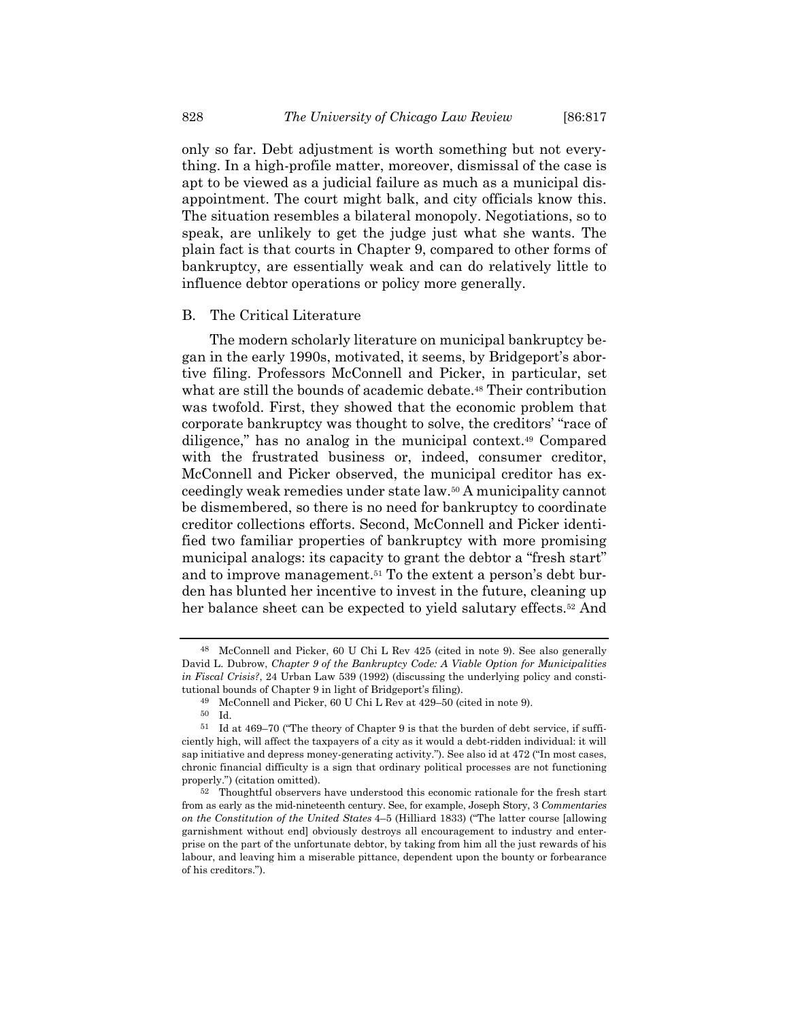only so far. Debt adjustment is worth something but not everything. In a high-profile matter, moreover, dismissal of the case is apt to be viewed as a judicial failure as much as a municipal disappointment. The court might balk, and city officials know this. The situation resembles a bilateral monopoly. Negotiations, so to speak, are unlikely to get the judge just what she wants. The plain fact is that courts in Chapter 9, compared to other forms of bankruptcy, are essentially weak and can do relatively little to influence debtor operations or policy more generally.

#### B. The Critical Literature

The modern scholarly literature on municipal bankruptcy began in the early 1990s, motivated, it seems, by Bridgeport's abortive filing. Professors McConnell and Picker, in particular, set what are still the bounds of academic debate.48 Their contribution was twofold. First, they showed that the economic problem that corporate bankruptcy was thought to solve, the creditors' "race of diligence," has no analog in the municipal context.49 Compared with the frustrated business or, indeed, consumer creditor, McConnell and Picker observed, the municipal creditor has exceedingly weak remedies under state law.50 A municipality cannot be dismembered, so there is no need for bankruptcy to coordinate creditor collections efforts. Second, McConnell and Picker identified two familiar properties of bankruptcy with more promising municipal analogs: its capacity to grant the debtor a "fresh start" and to improve management.51 To the extent a person's debt burden has blunted her incentive to invest in the future, cleaning up her balance sheet can be expected to yield salutary effects.<sup>52</sup> And

<sup>48</sup> McConnell and Picker, 60 U Chi L Rev 425 (cited in note 9). See also generally David L. Dubrow, *Chapter 9 of the Bankruptcy Code: A Viable Option for Municipalities in Fiscal Crisis?*, 24 Urban Law 539 (1992) (discussing the underlying policy and constitutional bounds of Chapter 9 in light of Bridgeport's filing).

 $^{49}$  McConnell and Picker, 60 U Chi L Rev at 429–50 (cited in note 9). Id.

<sup>51</sup> Id at 469–70 ("The theory of Chapter 9 is that the burden of debt service, if sufficiently high, will affect the taxpayers of a city as it would a debt-ridden individual: it will sap initiative and depress money-generating activity."). See also id at 472 ("In most cases, chronic financial difficulty is a sign that ordinary political processes are not functioning properly.") (citation omitted).

<sup>52</sup> Thoughtful observers have understood this economic rationale for the fresh start from as early as the mid-nineteenth century. See, for example, Joseph Story, 3 *Commentaries on the Constitution of the United States* 4–5 (Hilliard 1833) ("The latter course [allowing garnishment without end] obviously destroys all encouragement to industry and enterprise on the part of the unfortunate debtor, by taking from him all the just rewards of his labour, and leaving him a miserable pittance, dependent upon the bounty or forbearance of his creditors.").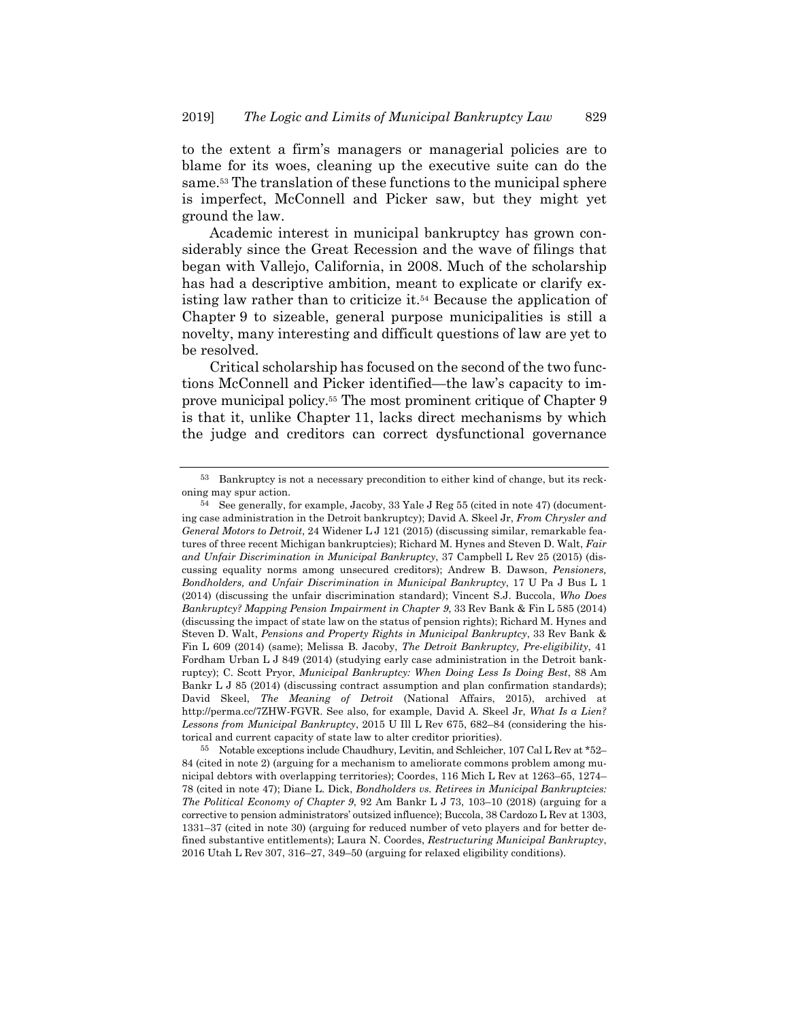to the extent a firm's managers or managerial policies are to blame for its woes, cleaning up the executive suite can do the same.53 The translation of these functions to the municipal sphere is imperfect, McConnell and Picker saw, but they might yet ground the law.

Academic interest in municipal bankruptcy has grown considerably since the Great Recession and the wave of filings that began with Vallejo, California, in 2008. Much of the scholarship has had a descriptive ambition, meant to explicate or clarify existing law rather than to criticize it.54 Because the application of Chapter 9 to sizeable, general purpose municipalities is still a novelty, many interesting and difficult questions of law are yet to be resolved.

Critical scholarship has focused on the second of the two functions McConnell and Picker identified—the law's capacity to improve municipal policy.55 The most prominent critique of Chapter 9 is that it, unlike Chapter 11, lacks direct mechanisms by which the judge and creditors can correct dysfunctional governance

<sup>53</sup> Bankruptcy is not a necessary precondition to either kind of change, but its reckoning may spur action.

<sup>54</sup> See generally, for example, Jacoby, 33 Yale J Reg 55 (cited in note 47) (documenting case administration in the Detroit bankruptcy); David A. Skeel Jr, *From Chrysler and General Motors to Detroit*, 24 Widener L J 121 (2015) (discussing similar, remarkable features of three recent Michigan bankruptcies); Richard M. Hynes and Steven D. Walt, *Fair and Unfair Discrimination in Municipal Bankruptcy*, 37 Campbell L Rev 25 (2015) (discussing equality norms among unsecured creditors); Andrew B. Dawson, *Pensioners, Bondholders, and Unfair Discrimination in Municipal Bankruptcy*, 17 U Pa J Bus L 1 (2014) (discussing the unfair discrimination standard); Vincent S.J. Buccola, *Who Does Bankruptcy? Mapping Pension Impairment in Chapter 9*, 33 Rev Bank & Fin L 585 (2014) (discussing the impact of state law on the status of pension rights); Richard M. Hynes and Steven D. Walt, *Pensions and Property Rights in Municipal Bankruptcy*, 33 Rev Bank & Fin L 609 (2014) (same); Melissa B. Jacoby, *The Detroit Bankruptcy, Pre-eligibility*, 41 Fordham Urban L J 849 (2014) (studying early case administration in the Detroit bankruptcy); C. Scott Pryor, *Municipal Bankruptcy: When Doing Less Is Doing Best*, 88 Am Bankr L J 85 (2014) (discussing contract assumption and plan confirmation standards); David Skeel, *The Meaning of Detroit* (National Affairs, 2015), archived at http://perma.cc/7ZHW-FGVR. See also, for example, David A. Skeel Jr, *What Is a Lien? Lessons from Municipal Bankruptcy*, 2015 U Ill L Rev 675, 682–84 (considering the historical and current capacity of state law to alter creditor priorities).

<sup>55</sup> Notable exceptions include Chaudhury, Levitin, and Schleicher, 107 Cal L Rev at \*52– 84 (cited in note 2) (arguing for a mechanism to ameliorate commons problem among municipal debtors with overlapping territories); Coordes, 116 Mich L Rev at 1263–65, 1274– 78 (cited in note 47); Diane L. Dick, *Bondholders vs. Retirees in Municipal Bankruptcies: The Political Economy of Chapter 9*, 92 Am Bankr L J 73, 103–10 (2018) (arguing for a corrective to pension administrators' outsized influence); Buccola, 38 Cardozo L Rev at 1303, 1331–37 (cited in note 30) (arguing for reduced number of veto players and for better defined substantive entitlements); Laura N. Coordes, *Restructuring Municipal Bankruptcy*, 2016 Utah L Rev 307, 316–27, 349–50 (arguing for relaxed eligibility conditions).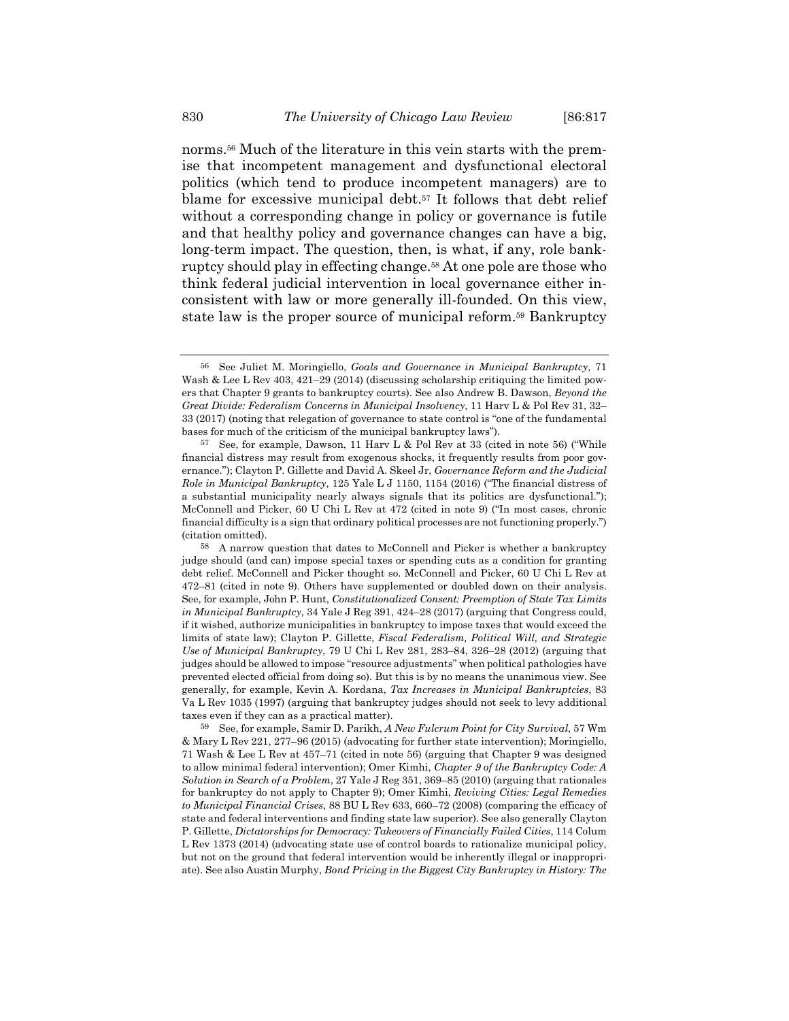norms.56 Much of the literature in this vein starts with the premise that incompetent management and dysfunctional electoral politics (which tend to produce incompetent managers) are to blame for excessive municipal debt.57 It follows that debt relief without a corresponding change in policy or governance is futile and that healthy policy and governance changes can have a big, long-term impact. The question, then, is what, if any, role bankruptcy should play in effecting change.58 At one pole are those who think federal judicial intervention in local governance either inconsistent with law or more generally ill-founded. On this view, state law is the proper source of municipal reform.59 Bankruptcy

<sup>56</sup> See Juliet M. Moringiello, *Goals and Governance in Municipal Bankruptcy*, 71 Wash & Lee L Rev 403, 421–29 (2014) (discussing scholarship critiquing the limited powers that Chapter 9 grants to bankruptcy courts). See also Andrew B. Dawson, *Beyond the Great Divide: Federalism Concerns in Municipal Insolvency*, 11 Harv L & Pol Rev 31, 32– 33 (2017) (noting that relegation of governance to state control is "one of the fundamental bases for much of the criticism of the municipal bankruptcy laws").

<sup>57</sup> See, for example, Dawson, 11 Harv L & Pol Rev at 33 (cited in note 56) ("While financial distress may result from exogenous shocks, it frequently results from poor governance."); Clayton P. Gillette and David A. Skeel Jr, *Governance Reform and the Judicial Role in Municipal Bankruptcy*, 125 Yale L J 1150, 1154 (2016) ("The financial distress of a substantial municipality nearly always signals that its politics are dysfunctional."); McConnell and Picker, 60 U Chi L Rev at 472 (cited in note 9) ("In most cases, chronic financial difficulty is a sign that ordinary political processes are not functioning properly.") (citation omitted).

<sup>58</sup> A narrow question that dates to McConnell and Picker is whether a bankruptcy judge should (and can) impose special taxes or spending cuts as a condition for granting debt relief. McConnell and Picker thought so. McConnell and Picker, 60 U Chi L Rev at 472–81 (cited in note 9). Others have supplemented or doubled down on their analysis. See, for example, John P. Hunt, *Constitutionalized Consent: Preemption of State Tax Limits in Municipal Bankruptcy*, 34 Yale J Reg 391, 424–28 (2017) (arguing that Congress could, if it wished, authorize municipalities in bankruptcy to impose taxes that would exceed the limits of state law); Clayton P. Gillette, *Fiscal Federalism, Political Will, and Strategic Use of Municipal Bankruptcy*, 79 U Chi L Rev 281, 283–84, 326–28 (2012) (arguing that judges should be allowed to impose "resource adjustments" when political pathologies have prevented elected official from doing so). But this is by no means the unanimous view. See generally, for example, Kevin A. Kordana, *Tax Increases in Municipal Bankruptcies*, 83 Va L Rev 1035 (1997) (arguing that bankruptcy judges should not seek to levy additional taxes even if they can as a practical matter).

<sup>59</sup> See, for example, Samir D. Parikh, *A New Fulcrum Point for City Survival*, 57 Wm & Mary L Rev 221, 277–96 (2015) (advocating for further state intervention); Moringiello, 71 Wash & Lee L Rev at 457–71 (cited in note 56) (arguing that Chapter 9 was designed to allow minimal federal intervention); Omer Kimhi, *Chapter 9 of the Bankruptcy Code: A Solution in Search of a Problem*, 27 Yale J Reg 351, 369–85 (2010) (arguing that rationales for bankruptcy do not apply to Chapter 9); Omer Kimhi, *Reviving Cities: Legal Remedies to Municipal Financial Crises*, 88 BU L Rev 633, 660–72 (2008) (comparing the efficacy of state and federal interventions and finding state law superior). See also generally Clayton P. Gillette, *Dictatorships for Democracy: Takeovers of Financially Failed Cities*, 114 Colum L Rev 1373 (2014) (advocating state use of control boards to rationalize municipal policy, but not on the ground that federal intervention would be inherently illegal or inappropriate). See also Austin Murphy, *Bond Pricing in the Biggest City Bankruptcy in History: The*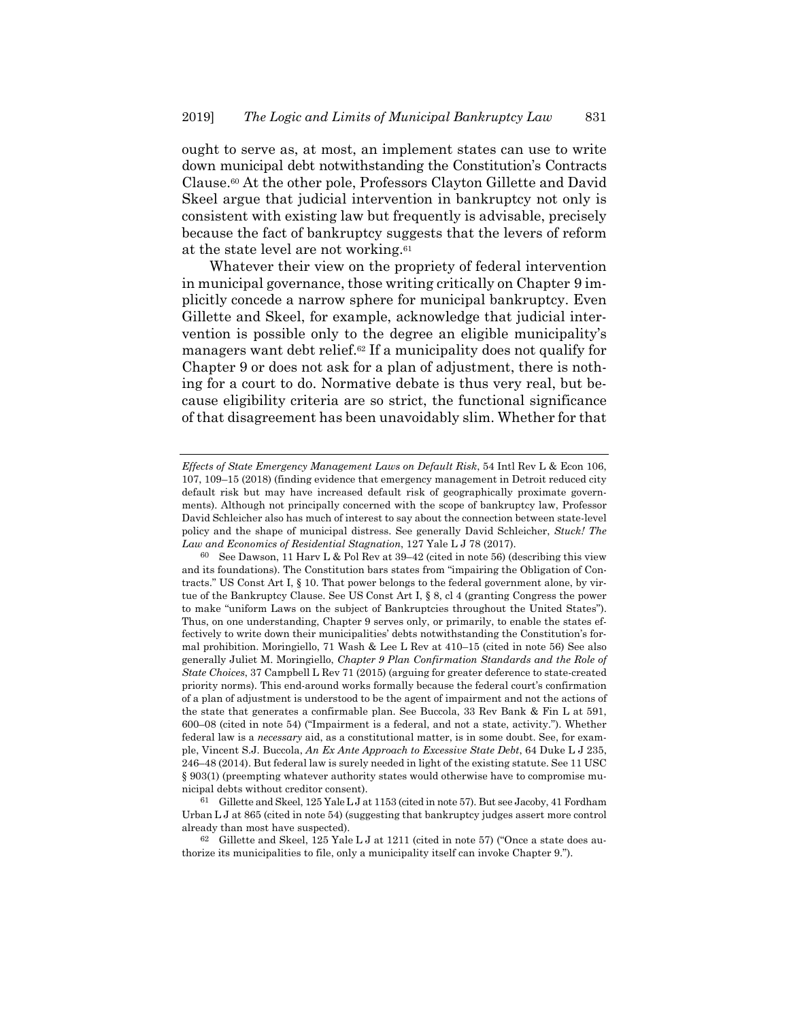ought to serve as, at most, an implement states can use to write down municipal debt notwithstanding the Constitution's Contracts Clause.60 At the other pole, Professors Clayton Gillette and David Skeel argue that judicial intervention in bankruptcy not only is consistent with existing law but frequently is advisable, precisely because the fact of bankruptcy suggests that the levers of reform at the state level are not working.61

Whatever their view on the propriety of federal intervention in municipal governance, those writing critically on Chapter 9 implicitly concede a narrow sphere for municipal bankruptcy. Even Gillette and Skeel, for example, acknowledge that judicial intervention is possible only to the degree an eligible municipality's managers want debt relief.62 If a municipality does not qualify for Chapter 9 or does not ask for a plan of adjustment, there is nothing for a court to do. Normative debate is thus very real, but because eligibility criteria are so strict, the functional significance of that disagreement has been unavoidably slim. Whether for that

61 Gillette and Skeel, 125 YaleLJ at 1153 (cited in note 57). But see Jacoby, 41 Fordham Urban L J at 865 (cited in note 54) (suggesting that bankruptcy judges assert more control already than most have suspected).

62 Gillette and Skeel, 125 Yale L J at 1211 (cited in note 57) ("Once a state does authorize its municipalities to file, only a municipality itself can invoke Chapter 9.").

*Effects of State Emergency Management Laws on Default Risk*, 54 Intl Rev L & Econ 106, 107, 109–15 (2018) (finding evidence that emergency management in Detroit reduced city default risk but may have increased default risk of geographically proximate governments). Although not principally concerned with the scope of bankruptcy law, Professor David Schleicher also has much of interest to say about the connection between state-level policy and the shape of municipal distress. See generally David Schleicher, *Stuck! The Law and Economics of Residential Stagnation*, 127 Yale L J 78 (2017).

<sup>60</sup> See Dawson, 11 Harv L & Pol Rev at 39–42 (cited in note 56) (describing this view and its foundations). The Constitution bars states from "impairing the Obligation of Contracts." US Const Art I, § 10. That power belongs to the federal government alone, by virtue of the Bankruptcy Clause. See US Const Art I, § 8, cl 4 (granting Congress the power to make "uniform Laws on the subject of Bankruptcies throughout the United States"). Thus, on one understanding, Chapter 9 serves only, or primarily, to enable the states effectively to write down their municipalities' debts notwithstanding the Constitution's formal prohibition. Moringiello, 71 Wash & Lee L Rev at 410–15 (cited in note 56) See also generally Juliet M. Moringiello, *Chapter 9 Plan Confirmation Standards and the Role of State Choices*, 37 Campbell L Rev 71 (2015) (arguing for greater deference to state-created priority norms). This end-around works formally because the federal court's confirmation of a plan of adjustment is understood to be the agent of impairment and not the actions of the state that generates a confirmable plan. See Buccola, 33 Rev Bank & Fin L at 591, 600–08 (cited in note 54) ("Impairment is a federal, and not a state, activity."). Whether federal law is a *necessary* aid, as a constitutional matter, is in some doubt. See, for example, Vincent S.J. Buccola, *An Ex Ante Approach to Excessive State Debt*, 64 Duke L J 235, 246–48 (2014). But federal law is surely needed in light of the existing statute. See 11 USC § 903(1) (preempting whatever authority states would otherwise have to compromise municipal debts without creditor consent).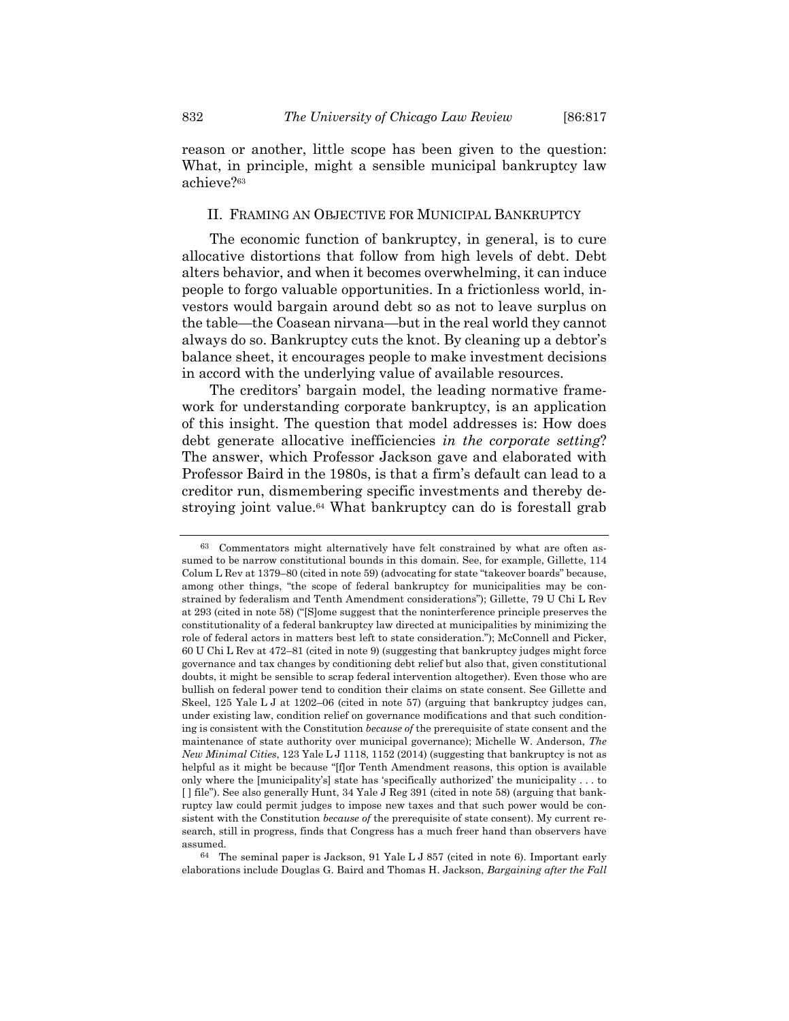reason or another, little scope has been given to the question: What, in principle, might a sensible municipal bankruptcy law achieve?63

#### II. FRAMING AN OBJECTIVE FOR MUNICIPAL BANKRUPTCY

The economic function of bankruptcy, in general, is to cure allocative distortions that follow from high levels of debt. Debt alters behavior, and when it becomes overwhelming, it can induce people to forgo valuable opportunities. In a frictionless world, investors would bargain around debt so as not to leave surplus on the table—the Coasean nirvana—but in the real world they cannot always do so. Bankruptcy cuts the knot. By cleaning up a debtor's balance sheet, it encourages people to make investment decisions in accord with the underlying value of available resources.

The creditors' bargain model, the leading normative framework for understanding corporate bankruptcy, is an application of this insight. The question that model addresses is: How does debt generate allocative inefficiencies *in the corporate setting*? The answer, which Professor Jackson gave and elaborated with Professor Baird in the 1980s, is that a firm's default can lead to a creditor run, dismembering specific investments and thereby destroying joint value.<sup>64</sup> What bankruptcy can do is forestall grab

64 The seminal paper is Jackson, 91 Yale L J 857 (cited in note 6). Important early elaborations include Douglas G. Baird and Thomas H. Jackson, *Bargaining after the Fall* 

<sup>63</sup> Commentators might alternatively have felt constrained by what are often assumed to be narrow constitutional bounds in this domain. See, for example, Gillette, 114 Colum L Rev at 1379–80 (cited in note 59) (advocating for state "takeover boards" because, among other things, "the scope of federal bankruptcy for municipalities may be constrained by federalism and Tenth Amendment considerations"); Gillette, 79 U Chi L Rev at 293 (cited in note 58) ("[S]ome suggest that the noninterference principle preserves the constitutionality of a federal bankruptcy law directed at municipalities by minimizing the role of federal actors in matters best left to state consideration."); McConnell and Picker, 60 U Chi L Rev at 472–81 (cited in note 9) (suggesting that bankruptcy judges might force governance and tax changes by conditioning debt relief but also that, given constitutional doubts, it might be sensible to scrap federal intervention altogether). Even those who are bullish on federal power tend to condition their claims on state consent. See Gillette and Skeel, 125 Yale L J at 1202–06 (cited in note 57) (arguing that bankruptcy judges can, under existing law, condition relief on governance modifications and that such conditioning is consistent with the Constitution *because of* the prerequisite of state consent and the maintenance of state authority over municipal governance); Michelle W. Anderson, *The New Minimal Cities*, 123 Yale L J 1118, 1152 (2014) (suggesting that bankruptcy is not as helpful as it might be because "[f]or Tenth Amendment reasons, this option is available only where the [municipality's] state has 'specifically authorized' the municipality . . . to [ ] file"). See also generally Hunt, 34 Yale J Reg 391 (cited in note 58) (arguing that bankruptcy law could permit judges to impose new taxes and that such power would be consistent with the Constitution *because of* the prerequisite of state consent). My current research, still in progress, finds that Congress has a much freer hand than observers have assumed.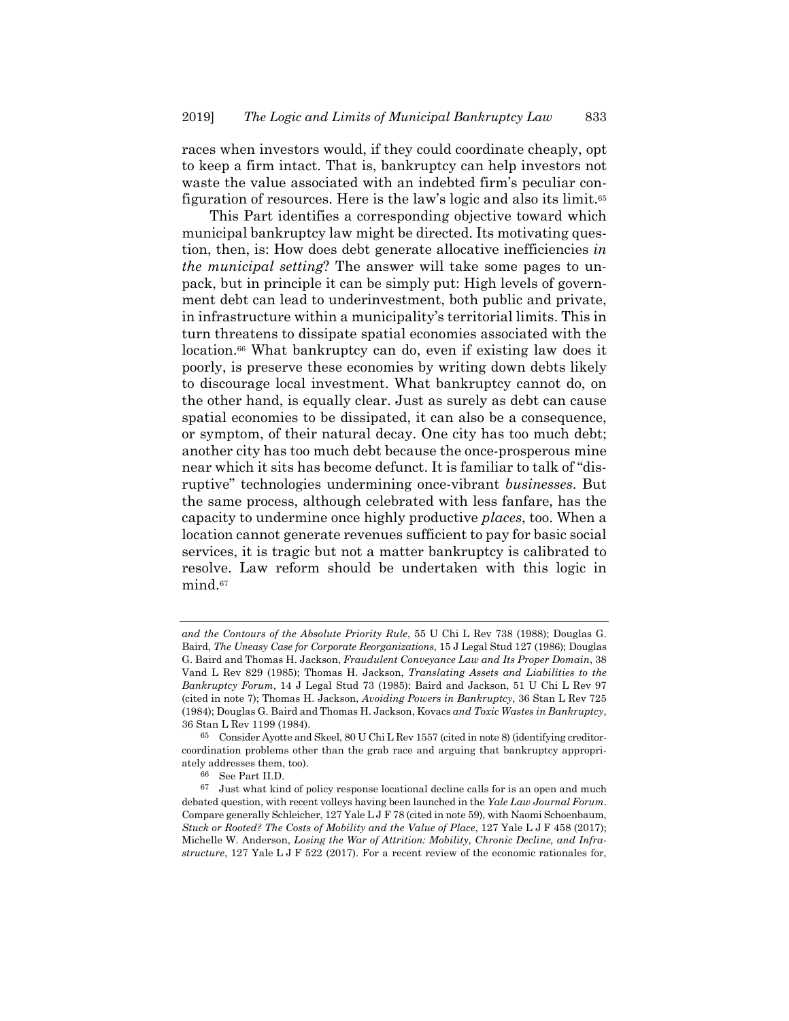races when investors would, if they could coordinate cheaply, opt to keep a firm intact. That is, bankruptcy can help investors not waste the value associated with an indebted firm's peculiar configuration of resources. Here is the law's logic and also its limit.65

This Part identifies a corresponding objective toward which municipal bankruptcy law might be directed. Its motivating question, then, is: How does debt generate allocative inefficiencies *in the municipal setting*? The answer will take some pages to unpack, but in principle it can be simply put: High levels of government debt can lead to underinvestment, both public and private, in infrastructure within a municipality's territorial limits. This in turn threatens to dissipate spatial economies associated with the location.<sup>66</sup> What bankruptcy can do, even if existing law does it poorly, is preserve these economies by writing down debts likely to discourage local investment. What bankruptcy cannot do, on the other hand, is equally clear. Just as surely as debt can cause spatial economies to be dissipated, it can also be a consequence, or symptom, of their natural decay. One city has too much debt; another city has too much debt because the once-prosperous mine near which it sits has become defunct. It is familiar to talk of "disruptive" technologies undermining once-vibrant *businesses*. But the same process, although celebrated with less fanfare, has the capacity to undermine once highly productive *places*, too. When a location cannot generate revenues sufficient to pay for basic social services, it is tragic but not a matter bankruptcy is calibrated to resolve. Law reform should be undertaken with this logic in mind.<sup>67</sup>

*and the Contours of the Absolute Priority Rule*, 55 U Chi L Rev 738 (1988); Douglas G. Baird, *The Uneasy Case for Corporate Reorganizations*, 15 J Legal Stud 127 (1986); Douglas G. Baird and Thomas H. Jackson, *Fraudulent Conveyance Law and Its Proper Domain*, 38 Vand L Rev 829 (1985); Thomas H. Jackson, *Translating Assets and Liabilities to the Bankruptcy Forum*, 14 J Legal Stud 73 (1985); Baird and Jackson, 51 U Chi L Rev 97 (cited in note 7); Thomas H. Jackson, *Avoiding Powers in Bankruptcy*, 36 Stan L Rev 725 (1984); Douglas G. Baird and Thomas H. Jackson, Kovacs *and Toxic Wastes in Bankruptcy*, 36 Stan L Rev 1199 (1984).

<sup>65</sup> Consider Ayotte and Skeel, 80 U Chi L Rev 1557 (cited in note 8) (identifying creditorcoordination problems other than the grab race and arguing that bankruptcy appropriately addresses them, too).

<sup>66</sup> See Part II.D.

<sup>67</sup> Just what kind of policy response locational decline calls for is an open and much debated question, with recent volleys having been launched in the *Yale Law Journal Forum*. Compare generally Schleicher, 127 Yale L J F 78 (cited in note 59), with Naomi Schoenbaum, *Stuck or Rooted? The Costs of Mobility and the Value of Place*, 127 Yale L J F 458 (2017); Michelle W. Anderson, *Losing the War of Attrition: Mobility, Chronic Decline, and Infrastructure*, 127 Yale L J F 522 (2017). For a recent review of the economic rationales for,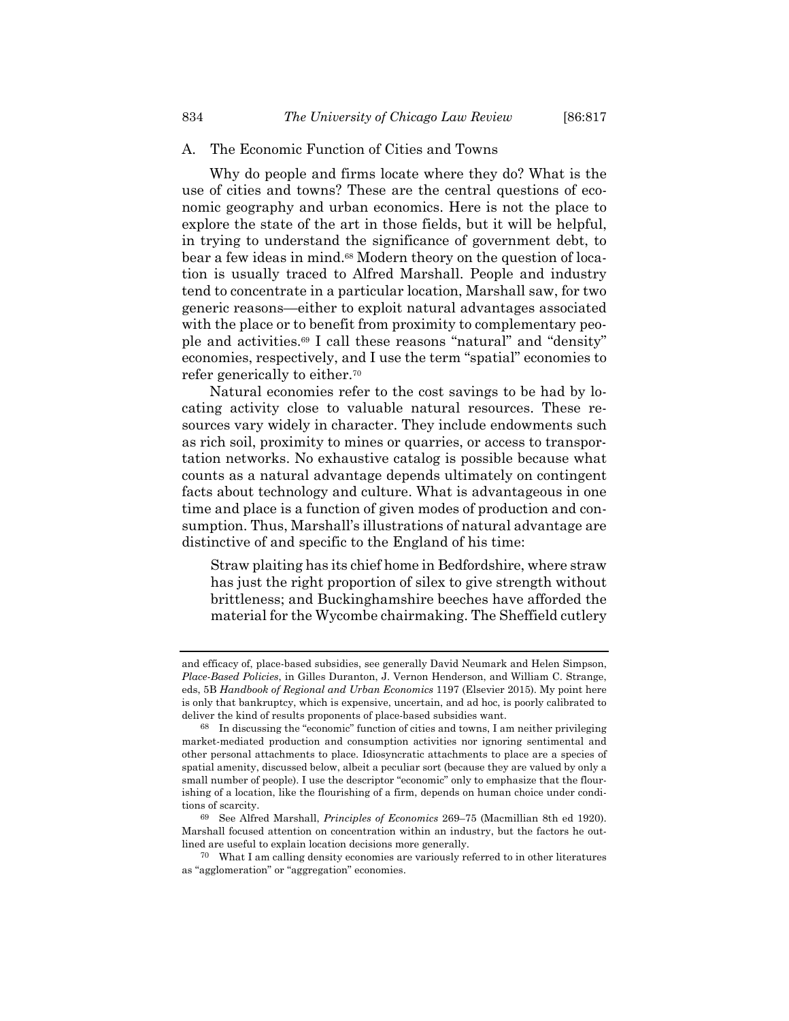#### A. The Economic Function of Cities and Towns

Why do people and firms locate where they do? What is the use of cities and towns? These are the central questions of economic geography and urban economics. Here is not the place to explore the state of the art in those fields, but it will be helpful, in trying to understand the significance of government debt, to bear a few ideas in mind.68 Modern theory on the question of location is usually traced to Alfred Marshall. People and industry tend to concentrate in a particular location, Marshall saw, for two generic reasons—either to exploit natural advantages associated with the place or to benefit from proximity to complementary people and activities.69 I call these reasons "natural" and "density" economies, respectively, and I use the term "spatial" economies to refer generically to either.70

Natural economies refer to the cost savings to be had by locating activity close to valuable natural resources. These resources vary widely in character. They include endowments such as rich soil, proximity to mines or quarries, or access to transportation networks. No exhaustive catalog is possible because what counts as a natural advantage depends ultimately on contingent facts about technology and culture. What is advantageous in one time and place is a function of given modes of production and consumption. Thus, Marshall's illustrations of natural advantage are distinctive of and specific to the England of his time:

Straw plaiting has its chief home in Bedfordshire, where straw has just the right proportion of silex to give strength without brittleness; and Buckinghamshire beeches have afforded the material for the Wycombe chairmaking. The Sheffield cutlery

and efficacy of, place-based subsidies, see generally David Neumark and Helen Simpson, *Place-Based Policies*, in Gilles Duranton, J. Vernon Henderson, and William C. Strange, eds, 5B *Handbook of Regional and Urban Economics* 1197 (Elsevier 2015). My point here is only that bankruptcy, which is expensive, uncertain, and ad hoc, is poorly calibrated to deliver the kind of results proponents of place-based subsidies want.

<sup>68</sup> In discussing the "economic" function of cities and towns, I am neither privileging market-mediated production and consumption activities nor ignoring sentimental and other personal attachments to place. Idiosyncratic attachments to place are a species of spatial amenity, discussed below, albeit a peculiar sort (because they are valued by only a small number of people). I use the descriptor "economic" only to emphasize that the flourishing of a location, like the flourishing of a firm, depends on human choice under conditions of scarcity.

<sup>69</sup> See Alfred Marshall, *Principles of Economics* 269–75 (Macmillian 8th ed 1920). Marshall focused attention on concentration within an industry, but the factors he outlined are useful to explain location decisions more generally.

<sup>70</sup> What I am calling density economies are variously referred to in other literatures as "agglomeration" or "aggregation" economies.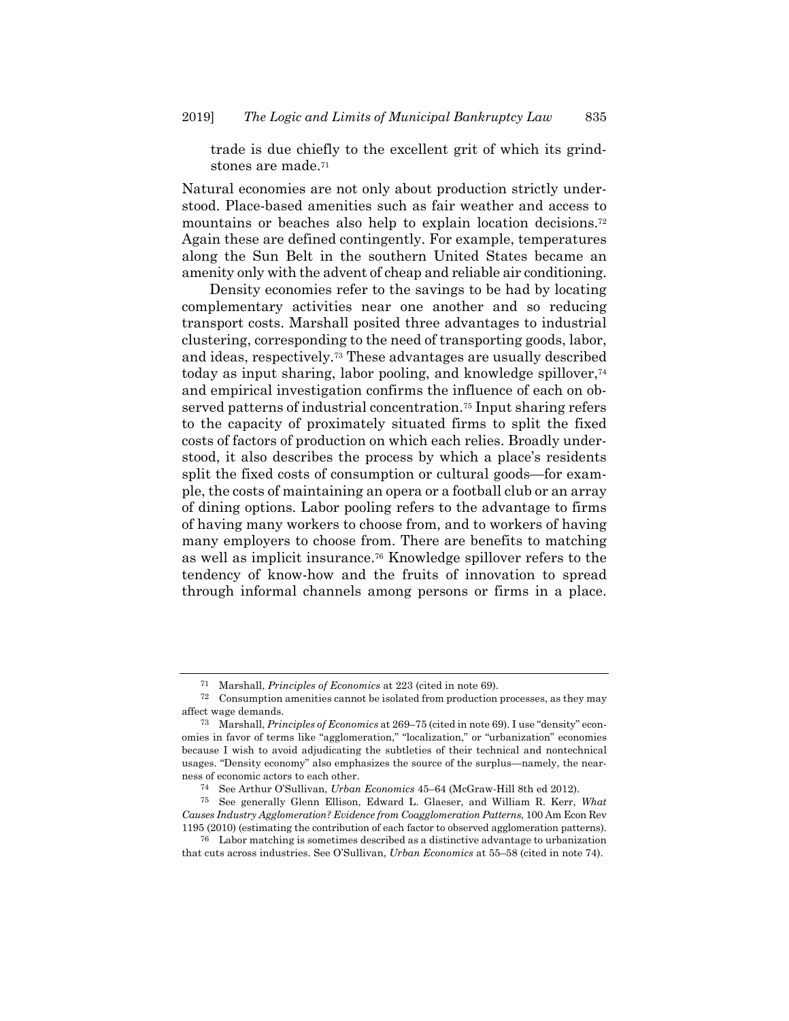trade is due chiefly to the excellent grit of which its grindstones are made.<sup>71</sup>

Natural economies are not only about production strictly understood. Place-based amenities such as fair weather and access to mountains or beaches also help to explain location decisions.72 Again these are defined contingently. For example, temperatures along the Sun Belt in the southern United States became an amenity only with the advent of cheap and reliable air conditioning.

Density economies refer to the savings to be had by locating complementary activities near one another and so reducing transport costs. Marshall posited three advantages to industrial clustering, corresponding to the need of transporting goods, labor, and ideas, respectively.73 These advantages are usually described today as input sharing, labor pooling, and knowledge spillover,74 and empirical investigation confirms the influence of each on observed patterns of industrial concentration.75 Input sharing refers to the capacity of proximately situated firms to split the fixed costs of factors of production on which each relies. Broadly understood, it also describes the process by which a place's residents split the fixed costs of consumption or cultural goods—for example, the costs of maintaining an opera or a football club or an array of dining options. Labor pooling refers to the advantage to firms of having many workers to choose from, and to workers of having many employers to choose from. There are benefits to matching as well as implicit insurance.76 Knowledge spillover refers to the tendency of know-how and the fruits of innovation to spread through informal channels among persons or firms in a place.

<sup>71</sup> Marshall, *Principles of Economics* at 223 (cited in note 69).

 $72$  Consumption amenities cannot be isolated from production processes, as they may affect wage demands.

<sup>73</sup> Marshall, *Principles of Economics* at 269–75 (cited in note 69). I use "density" economies in favor of terms like "agglomeration," "localization," or "urbanization" economies because I wish to avoid adjudicating the subtleties of their technical and nontechnical usages. "Density economy" also emphasizes the source of the surplus—namely, the nearness of economic actors to each other.

<sup>74</sup> See Arthur O'Sullivan, *Urban Economics* 45–64 (McGraw-Hill 8th ed 2012).

<sup>75</sup> See generally Glenn Ellison, Edward L. Glaeser, and William R. Kerr, *What Causes Industry Agglomeration? Evidence from Coagglomeration Patterns*, 100 Am Econ Rev 1195 (2010) (estimating the contribution of each factor to observed agglomeration patterns).

<sup>76</sup> Labor matching is sometimes described as a distinctive advantage to urbanization that cuts across industries. See O'Sullivan, *Urban Economics* at 55–58 (cited in note 74).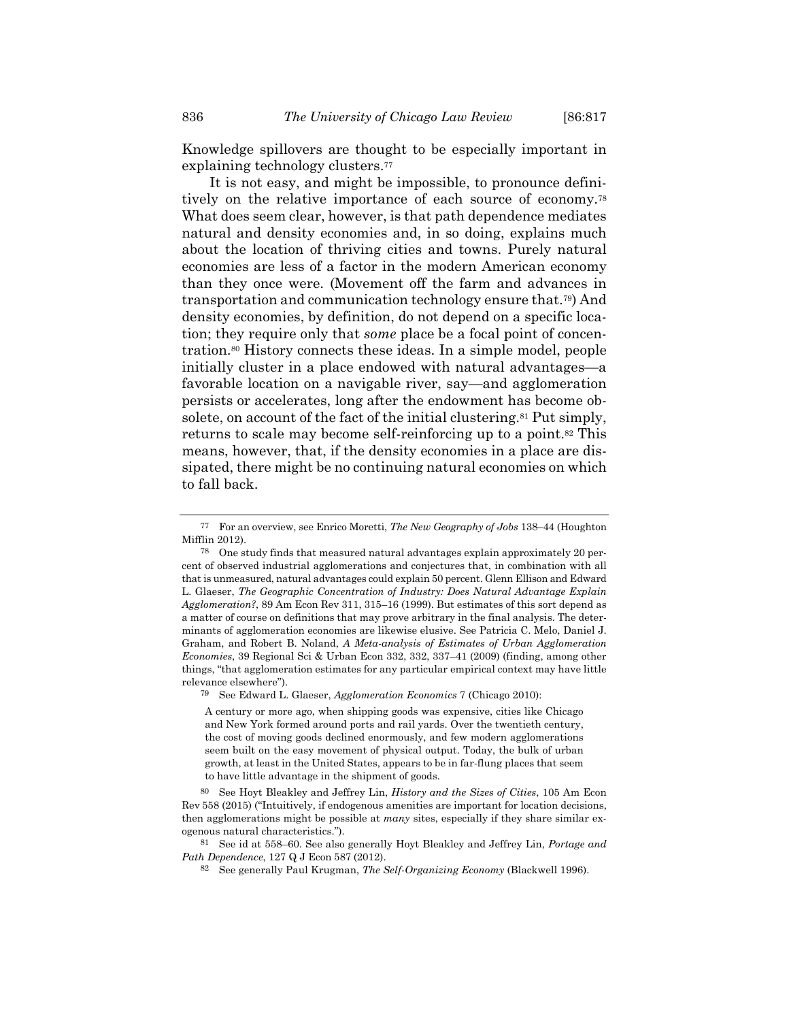Knowledge spillovers are thought to be especially important in explaining technology clusters.<sup>77</sup>

It is not easy, and might be impossible, to pronounce definitively on the relative importance of each source of economy.78 What does seem clear, however, is that path dependence mediates natural and density economies and, in so doing, explains much about the location of thriving cities and towns. Purely natural economies are less of a factor in the modern American economy than they once were. (Movement off the farm and advances in transportation and communication technology ensure that.79) And density economies, by definition, do not depend on a specific location; they require only that *some* place be a focal point of concentration.80 History connects these ideas. In a simple model, people initially cluster in a place endowed with natural advantages—a favorable location on a navigable river, say—and agglomeration persists or accelerates, long after the endowment has become obsolete, on account of the fact of the initial clustering.<sup>81</sup> Put simply, returns to scale may become self-reinforcing up to a point.82 This means, however, that, if the density economies in a place are dissipated, there might be no continuing natural economies on which to fall back.

79 See Edward L. Glaeser, *Agglomeration Economics* 7 (Chicago 2010):

<sup>77</sup> For an overview, see Enrico Moretti, *The New Geography of Jobs* 138–44 (Houghton Mifflin 2012).

<sup>78</sup> One study finds that measured natural advantages explain approximately 20 percent of observed industrial agglomerations and conjectures that, in combination with all that is unmeasured, natural advantages could explain 50 percent. Glenn Ellison and Edward L. Glaeser, *The Geographic Concentration of Industry: Does Natural Advantage Explain Agglomeration?*, 89 Am Econ Rev 311, 315–16 (1999). But estimates of this sort depend as a matter of course on definitions that may prove arbitrary in the final analysis. The determinants of agglomeration economies are likewise elusive. See Patricia C. Melo, Daniel J. Graham, and Robert B. Noland, *A Meta-analysis of Estimates of Urban Agglomeration Economies*, 39 Regional Sci & Urban Econ 332, 332, 337–41 (2009) (finding, among other things, "that agglomeration estimates for any particular empirical context may have little relevance elsewhere").

A century or more ago, when shipping goods was expensive, cities like Chicago and New York formed around ports and rail yards. Over the twentieth century, the cost of moving goods declined enormously, and few modern agglomerations seem built on the easy movement of physical output. Today, the bulk of urban growth, at least in the United States, appears to be in far-flung places that seem to have little advantage in the shipment of goods.

<sup>80</sup> See Hoyt Bleakley and Jeffrey Lin, *History and the Sizes of Cities*, 105 Am Econ Rev 558 (2015) ("Intuitively, if endogenous amenities are important for location decisions, then agglomerations might be possible at *many* sites, especially if they share similar exogenous natural characteristics.").

<sup>81</sup> See id at 558–60. See also generally Hoyt Bleakley and Jeffrey Lin, *Portage and Path Dependence*, 127 Q J Econ <sup>587</sup> (2012). 82 See generally Paul Krugman, *The Self-Organizing Economy* (Blackwell 1996).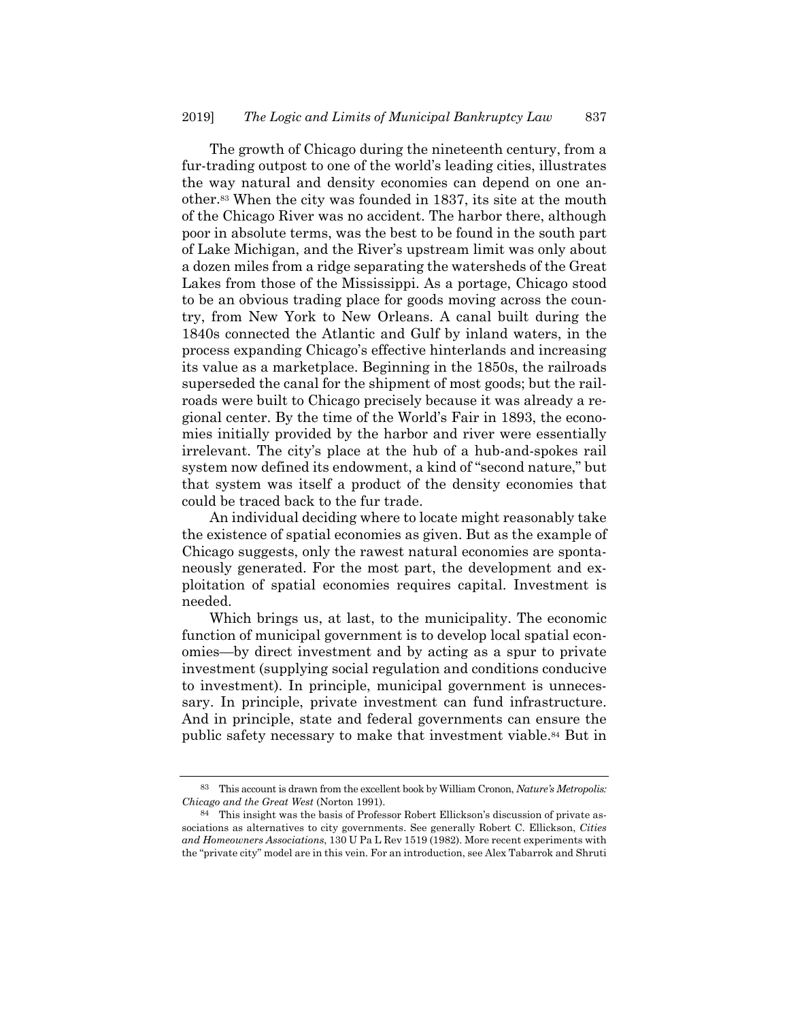The growth of Chicago during the nineteenth century, from a fur-trading outpost to one of the world's leading cities, illustrates the way natural and density economies can depend on one another.83 When the city was founded in 1837, its site at the mouth of the Chicago River was no accident. The harbor there, although poor in absolute terms, was the best to be found in the south part of Lake Michigan, and the River's upstream limit was only about a dozen miles from a ridge separating the watersheds of the Great Lakes from those of the Mississippi. As a portage, Chicago stood to be an obvious trading place for goods moving across the country, from New York to New Orleans. A canal built during the 1840s connected the Atlantic and Gulf by inland waters, in the process expanding Chicago's effective hinterlands and increasing its value as a marketplace. Beginning in the 1850s, the railroads superseded the canal for the shipment of most goods; but the railroads were built to Chicago precisely because it was already a regional center. By the time of the World's Fair in 1893, the economies initially provided by the harbor and river were essentially irrelevant. The city's place at the hub of a hub-and-spokes rail system now defined its endowment, a kind of "second nature," but that system was itself a product of the density economies that could be traced back to the fur trade.

An individual deciding where to locate might reasonably take the existence of spatial economies as given. But as the example of Chicago suggests, only the rawest natural economies are spontaneously generated. For the most part, the development and exploitation of spatial economies requires capital. Investment is needed.

Which brings us, at last, to the municipality. The economic function of municipal government is to develop local spatial economies—by direct investment and by acting as a spur to private investment (supplying social regulation and conditions conducive to investment). In principle, municipal government is unnecessary. In principle, private investment can fund infrastructure. And in principle, state and federal governments can ensure the public safety necessary to make that investment viable.84 But in

<sup>83</sup> This account is drawn from the excellent book by William Cronon, *Nature's Metropolis: Chicago and the Great West* (Norton 1991).

<sup>84</sup> This insight was the basis of Professor Robert Ellickson's discussion of private associations as alternatives to city governments. See generally Robert C. Ellickson, *Cities and Homeowners Associations*, 130 U Pa L Rev 1519 (1982). More recent experiments with the "private city" model are in this vein. For an introduction, see Alex Tabarrok and Shruti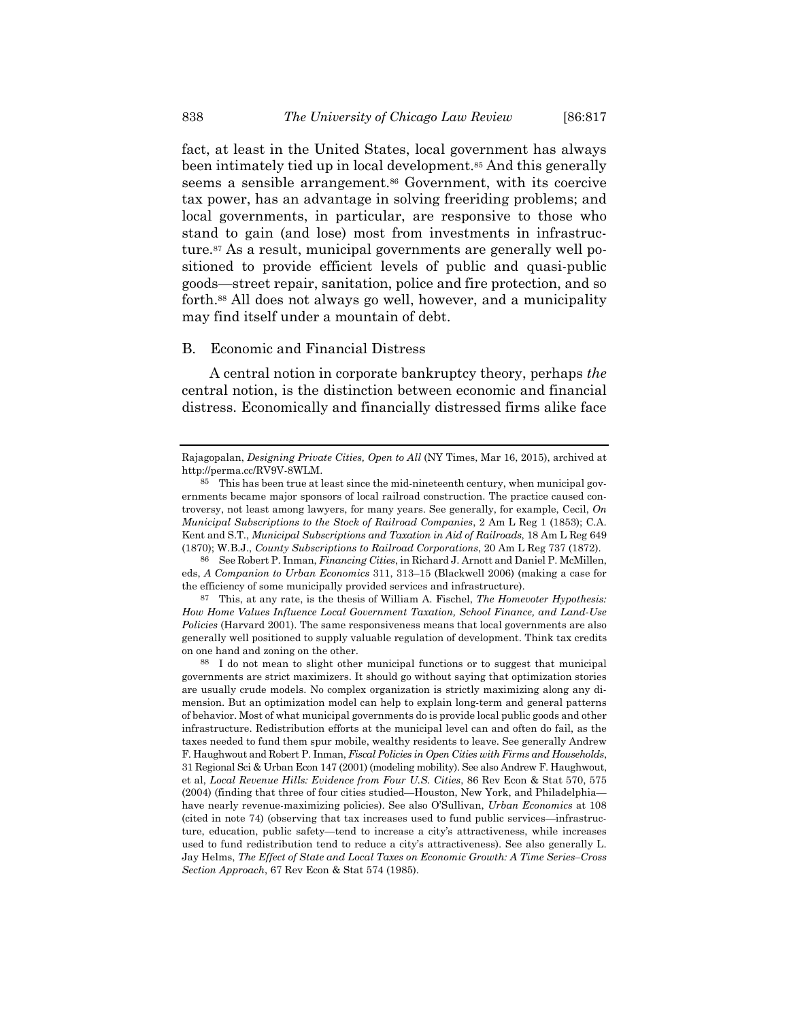fact, at least in the United States, local government has always been intimately tied up in local development.85 And this generally seems a sensible arrangement.<sup>86</sup> Government, with its coercive tax power, has an advantage in solving freeriding problems; and local governments, in particular, are responsive to those who stand to gain (and lose) most from investments in infrastructure.87 As a result, municipal governments are generally well positioned to provide efficient levels of public and quasi-public goods—street repair, sanitation, police and fire protection, and so forth.88 All does not always go well, however, and a municipality may find itself under a mountain of debt.

#### B. Economic and Financial Distress

A central notion in corporate bankruptcy theory, perhaps *the* central notion, is the distinction between economic and financial distress. Economically and financially distressed firms alike face

87 This, at any rate, is the thesis of William A. Fischel, *The Homevoter Hypothesis: How Home Values Influence Local Government Taxation, School Finance, and Land-Use Policies* (Harvard 2001). The same responsiveness means that local governments are also generally well positioned to supply valuable regulation of development. Think tax credits on one hand and zoning on the other.

88 I do not mean to slight other municipal functions or to suggest that municipal governments are strict maximizers. It should go without saying that optimization stories are usually crude models. No complex organization is strictly maximizing along any dimension. But an optimization model can help to explain long-term and general patterns of behavior. Most of what municipal governments do is provide local public goods and other infrastructure. Redistribution efforts at the municipal level can and often do fail, as the taxes needed to fund them spur mobile, wealthy residents to leave. See generally Andrew F. Haughwout and Robert P. Inman, *Fiscal Policies in Open Cities with Firms and Households*, 31 Regional Sci & Urban Econ 147 (2001) (modeling mobility). See also Andrew F. Haughwout, et al, *Local Revenue Hills: Evidence from Four U.S. Cities*, 86 Rev Econ & Stat 570, 575 (2004) (finding that three of four cities studied—Houston, New York, and Philadelphia have nearly revenue-maximizing policies). See also O'Sullivan, *Urban Economics* at 108 (cited in note 74) (observing that tax increases used to fund public services—infrastructure, education, public safety—tend to increase a city's attractiveness, while increases used to fund redistribution tend to reduce a city's attractiveness). See also generally L. Jay Helms, *The Effect of State and Local Taxes on Economic Growth: A Time Series–Cross Section Approach*, 67 Rev Econ & Stat 574 (1985).

Rajagopalan, *Designing Private Cities, Open to All* (NY Times, Mar 16, 2015), archived at http://perma.cc/RV9V-8WLM.

<sup>85</sup> This has been true at least since the mid-nineteenth century, when municipal governments became major sponsors of local railroad construction. The practice caused controversy, not least among lawyers, for many years. See generally, for example, Cecil, *On Municipal Subscriptions to the Stock of Railroad Companies*, 2 Am L Reg 1 (1853); C.A. Kent and S.T., *Municipal Subscriptions and Taxation in Aid of Railroads*, 18 Am L Reg 649 (1870); W.B.J., *County Subscriptions to Railroad Corporations*, 20 Am L Reg 737 (1872).

<sup>86</sup> See Robert P. Inman, *Financing Cities*, in Richard J. Arnott and Daniel P. McMillen, eds, *A Companion to Urban Economics* 311, 313–15 (Blackwell 2006) (making a case for the efficiency of some municipally provided services and infrastructure).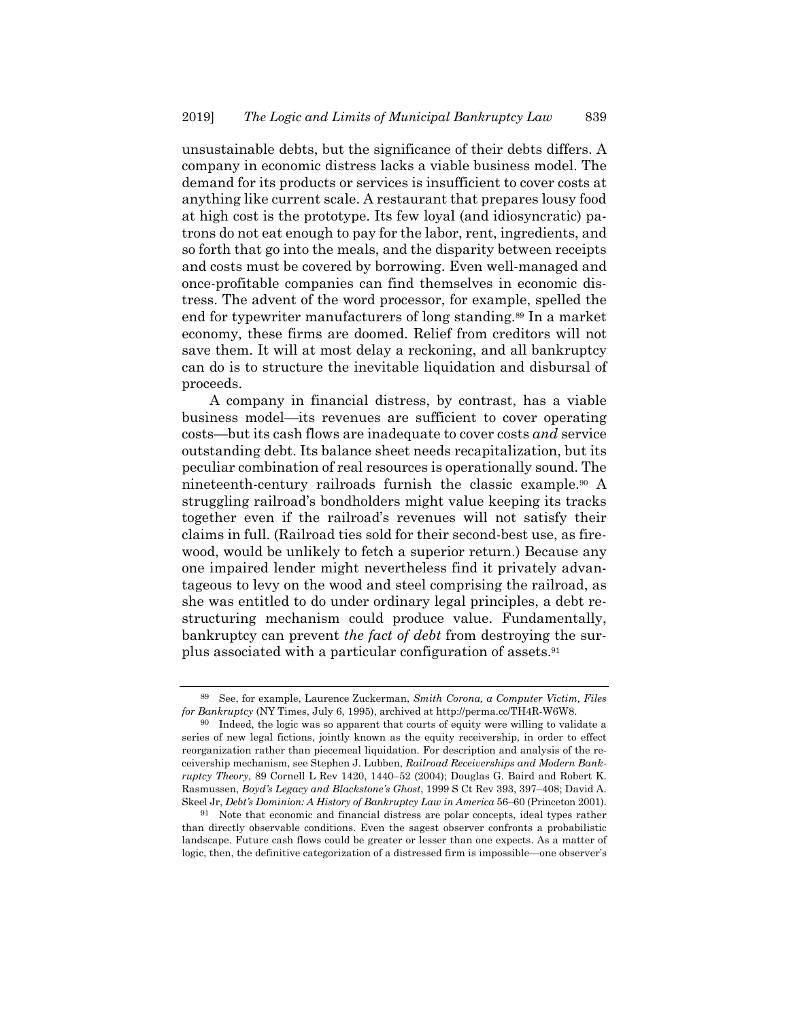unsustainable debts, but the significance of their debts differs. A company in economic distress lacks a viable business model. The demand for its products or services is insufficient to cover costs at anything like current scale. A restaurant that prepares lousy food at high cost is the prototype. Its few loyal (and idiosyncratic) patrons do not eat enough to pay for the labor, rent, ingredients, and so forth that go into the meals, and the disparity between receipts and costs must be covered by borrowing. Even well-managed and once-profitable companies can find themselves in economic distress. The advent of the word processor, for example, spelled the end for typewriter manufacturers of long standing.<sup>89</sup> In a market economy, these firms are doomed. Relief from creditors will not save them. It will at most delay a reckoning, and all bankruptcy can do is to structure the inevitable liquidation and disbursal of proceeds.

A company in financial distress, by contrast, has a viable business model—its revenues are sufficient to cover operating costs—but its cash flows are inadequate to cover costs *and* service outstanding debt. Its balance sheet needs recapitalization, but its peculiar combination of real resources is operationally sound. The nineteenth-century railroads furnish the classic example.90 A struggling railroad's bondholders might value keeping its tracks together even if the railroad's revenues will not satisfy their claims in full. (Railroad ties sold for their second-best use, as firewood, would be unlikely to fetch a superior return.) Because any one impaired lender might nevertheless find it privately advantageous to levy on the wood and steel comprising the railroad, as she was entitled to do under ordinary legal principles, a debt restructuring mechanism could produce value. Fundamentally, bankruptcy can prevent *the fact of debt* from destroying the surplus associated with a particular configuration of assets.91

<sup>89</sup> See, for example, Laurence Zuckerman, *Smith Corona, a Computer Victim, Files for Bankruptcy* (NY Times, July 6, 1995), archived at http://perma.cc/TH4R-W6W8.

<sup>90</sup> Indeed, the logic was so apparent that courts of equity were willing to validate a series of new legal fictions, jointly known as the equity receivership, in order to effect reorganization rather than piecemeal liquidation. For description and analysis of the receivership mechanism, see Stephen J. Lubben, *Railroad Receiverships and Modern Bankruptcy Theory*, 89 Cornell L Rev 1420, 1440–52 (2004); Douglas G. Baird and Robert K. Rasmussen, *Boyd's Legacy and Blackstone's Ghost*, 1999 S Ct Rev 393, 397–408; David A. Skeel Jr, *Debt's Dominion: A History of Bankruptcy Law in America* 56–60 (Princeton 2001).

<sup>91</sup> Note that economic and financial distress are polar concepts, ideal types rather than directly observable conditions. Even the sagest observer confronts a probabilistic landscape. Future cash flows could be greater or lesser than one expects. As a matter of logic, then, the definitive categorization of a distressed firm is impossible—one observer's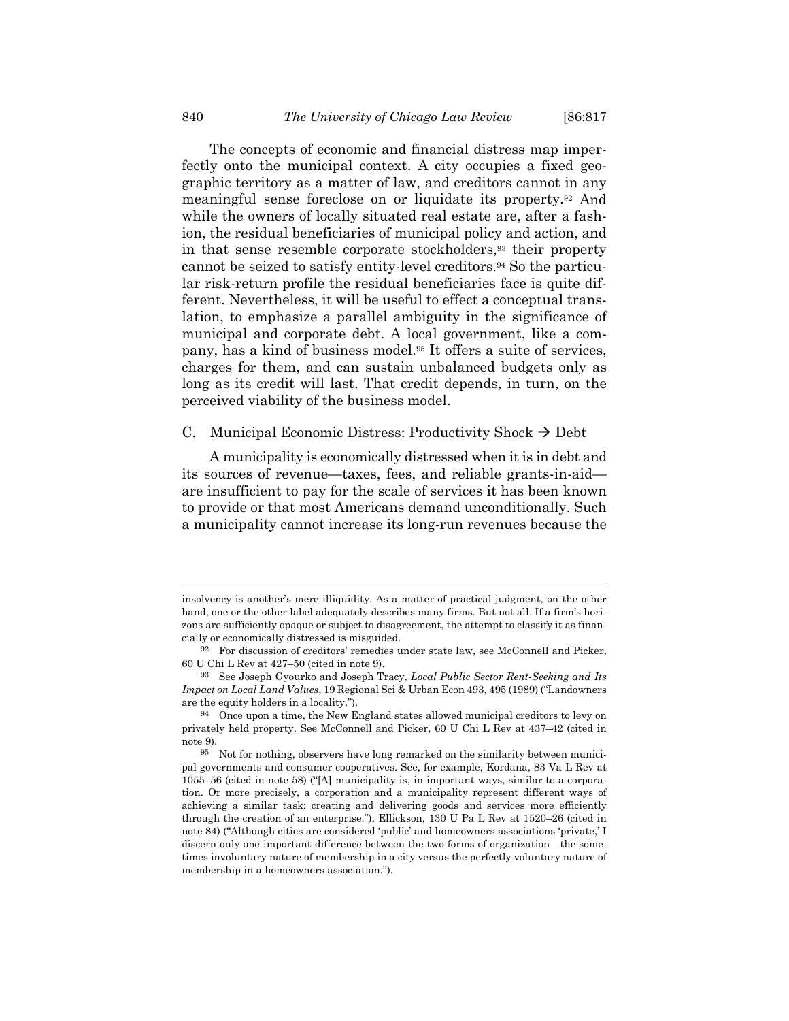The concepts of economic and financial distress map imperfectly onto the municipal context. A city occupies a fixed geographic territory as a matter of law, and creditors cannot in any meaningful sense foreclose on or liquidate its property.92 And while the owners of locally situated real estate are, after a fashion, the residual beneficiaries of municipal policy and action, and in that sense resemble corporate stockholders,93 their property cannot be seized to satisfy entity-level creditors.94 So the particular risk-return profile the residual beneficiaries face is quite different. Nevertheless, it will be useful to effect a conceptual translation, to emphasize a parallel ambiguity in the significance of municipal and corporate debt. A local government, like a company, has a kind of business model.95 It offers a suite of services, charges for them, and can sustain unbalanced budgets only as long as its credit will last. That credit depends, in turn, on the perceived viability of the business model.

#### C. Municipal Economic Distress: Productivity Shock  $\rightarrow$  Debt

A municipality is economically distressed when it is in debt and its sources of revenue—taxes, fees, and reliable grants-in-aid are insufficient to pay for the scale of services it has been known to provide or that most Americans demand unconditionally. Such a municipality cannot increase its long-run revenues because the

insolvency is another's mere illiquidity. As a matter of practical judgment, on the other hand, one or the other label adequately describes many firms. But not all. If a firm's horizons are sufficiently opaque or subject to disagreement, the attempt to classify it as financially or economically distressed is misguided.

<sup>92</sup> For discussion of creditors' remedies under state law, see McConnell and Picker, 60 U Chi L Rev at 427–50 (cited in note 9).

<sup>93</sup> See Joseph Gyourko and Joseph Tracy, *Local Public Sector Rent-Seeking and Its Impact on Local Land Values*, 19 Regional Sci & Urban Econ 493, 495 (1989) ("Landowners are the equity holders in a locality.").

<sup>94</sup> Once upon a time, the New England states allowed municipal creditors to levy on privately held property. See McConnell and Picker, 60 U Chi L Rev at 437–42 (cited in note 9).

<sup>95</sup> Not for nothing, observers have long remarked on the similarity between municipal governments and consumer cooperatives. See, for example, Kordana, 83 Va L Rev at 1055–56 (cited in note 58) ("[A] municipality is, in important ways, similar to a corporation. Or more precisely, a corporation and a municipality represent different ways of achieving a similar task: creating and delivering goods and services more efficiently through the creation of an enterprise."); Ellickson, 130 U Pa L Rev at 1520–26 (cited in note 84) ("Although cities are considered 'public' and homeowners associations 'private,' I discern only one important difference between the two forms of organization—the sometimes involuntary nature of membership in a city versus the perfectly voluntary nature of membership in a homeowners association.").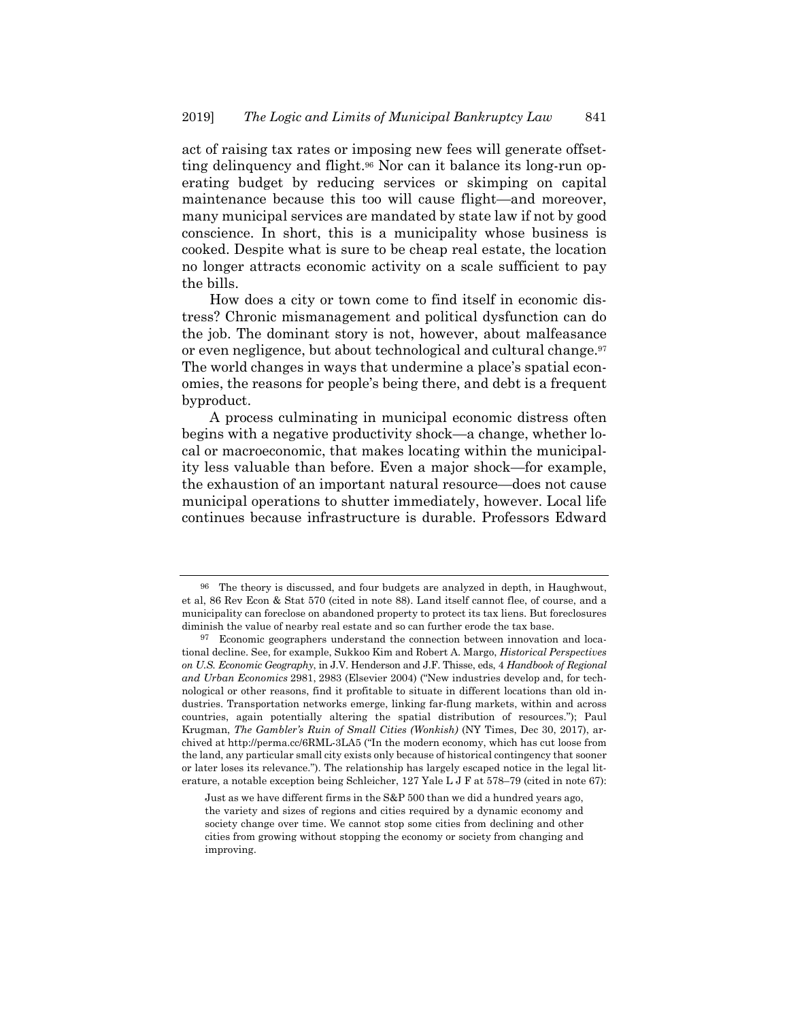act of raising tax rates or imposing new fees will generate offsetting delinquency and flight.96 Nor can it balance its long-run operating budget by reducing services or skimping on capital maintenance because this too will cause flight—and moreover, many municipal services are mandated by state law if not by good conscience. In short, this is a municipality whose business is cooked. Despite what is sure to be cheap real estate, the location no longer attracts economic activity on a scale sufficient to pay the bills.

How does a city or town come to find itself in economic distress? Chronic mismanagement and political dysfunction can do the job. The dominant story is not, however, about malfeasance or even negligence, but about technological and cultural change.97 The world changes in ways that undermine a place's spatial economies, the reasons for people's being there, and debt is a frequent byproduct.

A process culminating in municipal economic distress often begins with a negative productivity shock—a change, whether local or macroeconomic, that makes locating within the municipality less valuable than before. Even a major shock—for example, the exhaustion of an important natural resource—does not cause municipal operations to shutter immediately, however. Local life continues because infrastructure is durable. Professors Edward

<sup>96</sup> The theory is discussed, and four budgets are analyzed in depth, in Haughwout, et al, 86 Rev Econ & Stat 570 (cited in note 88). Land itself cannot flee, of course, and a municipality can foreclose on abandoned property to protect its tax liens. But foreclosures diminish the value of nearby real estate and so can further erode the tax base.

<sup>97</sup> Economic geographers understand the connection between innovation and locational decline. See, for example, Sukkoo Kim and Robert A. Margo, *Historical Perspectives on U.S. Economic Geography*, in J.V. Henderson and J.F. Thisse, eds, 4 *Handbook of Regional and Urban Economics* 2981, 2983 (Elsevier 2004) ("New industries develop and, for technological or other reasons, find it profitable to situate in different locations than old industries. Transportation networks emerge, linking far-flung markets, within and across countries, again potentially altering the spatial distribution of resources."); Paul Krugman, *The Gambler's Ruin of Small Cities (Wonkish)* (NY Times, Dec 30, 2017), archived at http://perma.cc/6RML-3LA5 ("In the modern economy, which has cut loose from the land, any particular small city exists only because of historical contingency that sooner or later loses its relevance."). The relationship has largely escaped notice in the legal literature, a notable exception being Schleicher, 127 Yale L J F at 578–79 (cited in note 67):

Just as we have different firms in the S&P 500 than we did a hundred years ago, the variety and sizes of regions and cities required by a dynamic economy and society change over time. We cannot stop some cities from declining and other cities from growing without stopping the economy or society from changing and improving.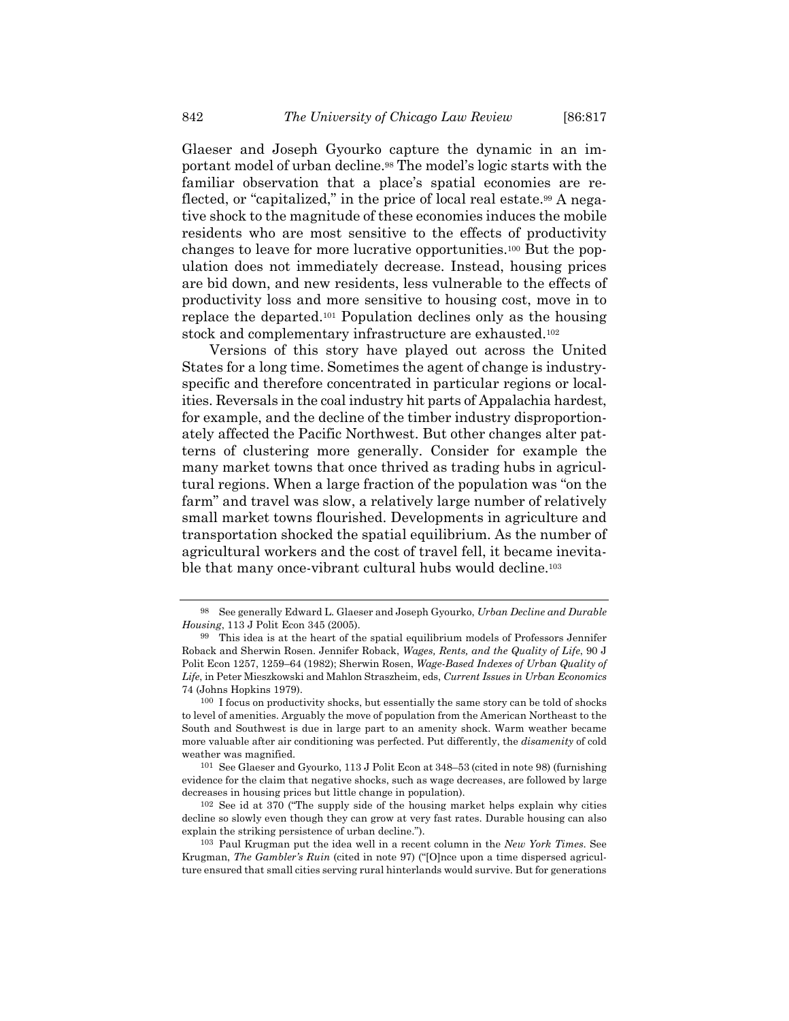Glaeser and Joseph Gyourko capture the dynamic in an important model of urban decline.98 The model's logic starts with the familiar observation that a place's spatial economies are reflected, or "capitalized," in the price of local real estate.99 A negative shock to the magnitude of these economies induces the mobile residents who are most sensitive to the effects of productivity changes to leave for more lucrative opportunities.100 But the population does not immediately decrease. Instead, housing prices are bid down, and new residents, less vulnerable to the effects of productivity loss and more sensitive to housing cost, move in to replace the departed.101 Population declines only as the housing stock and complementary infrastructure are exhausted.102

Versions of this story have played out across the United States for a long time. Sometimes the agent of change is industryspecific and therefore concentrated in particular regions or localities. Reversals in the coal industry hit parts of Appalachia hardest, for example, and the decline of the timber industry disproportionately affected the Pacific Northwest. But other changes alter patterns of clustering more generally. Consider for example the many market towns that once thrived as trading hubs in agricultural regions. When a large fraction of the population was "on the farm" and travel was slow, a relatively large number of relatively small market towns flourished. Developments in agriculture and transportation shocked the spatial equilibrium. As the number of agricultural workers and the cost of travel fell, it became inevitable that many once-vibrant cultural hubs would decline.<sup>103</sup>

<sup>98</sup> See generally Edward L. Glaeser and Joseph Gyourko, *Urban Decline and Durable Housing*, 113 J Polit Econ 345 (2005).

<sup>99</sup> This idea is at the heart of the spatial equilibrium models of Professors Jennifer Roback and Sherwin Rosen. Jennifer Roback, *Wages, Rents, and the Quality of Life*, 90 J Polit Econ 1257, 1259–64 (1982); Sherwin Rosen, *Wage-Based Indexes of Urban Quality of Life*, in Peter Mieszkowski and Mahlon Straszheim, eds, *Current Issues in Urban Economics* 74 (Johns Hopkins 1979).

<sup>100</sup> I focus on productivity shocks, but essentially the same story can be told of shocks to level of amenities. Arguably the move of population from the American Northeast to the South and Southwest is due in large part to an amenity shock. Warm weather became more valuable after air conditioning was perfected. Put differently, the *disamenity* of cold weather was magnified.

<sup>101</sup> See Glaeser and Gyourko, 113 J Polit Econ at 348–53 (cited in note 98) (furnishing evidence for the claim that negative shocks, such as wage decreases, are followed by large decreases in housing prices but little change in population).

<sup>102</sup> See id at 370 ("The supply side of the housing market helps explain why cities decline so slowly even though they can grow at very fast rates. Durable housing can also explain the striking persistence of urban decline.").

<sup>103</sup> Paul Krugman put the idea well in a recent column in the *New York Times*. See Krugman, *The Gambler's Ruin* (cited in note 97) ("[O]nce upon a time dispersed agriculture ensured that small cities serving rural hinterlands would survive. But for generations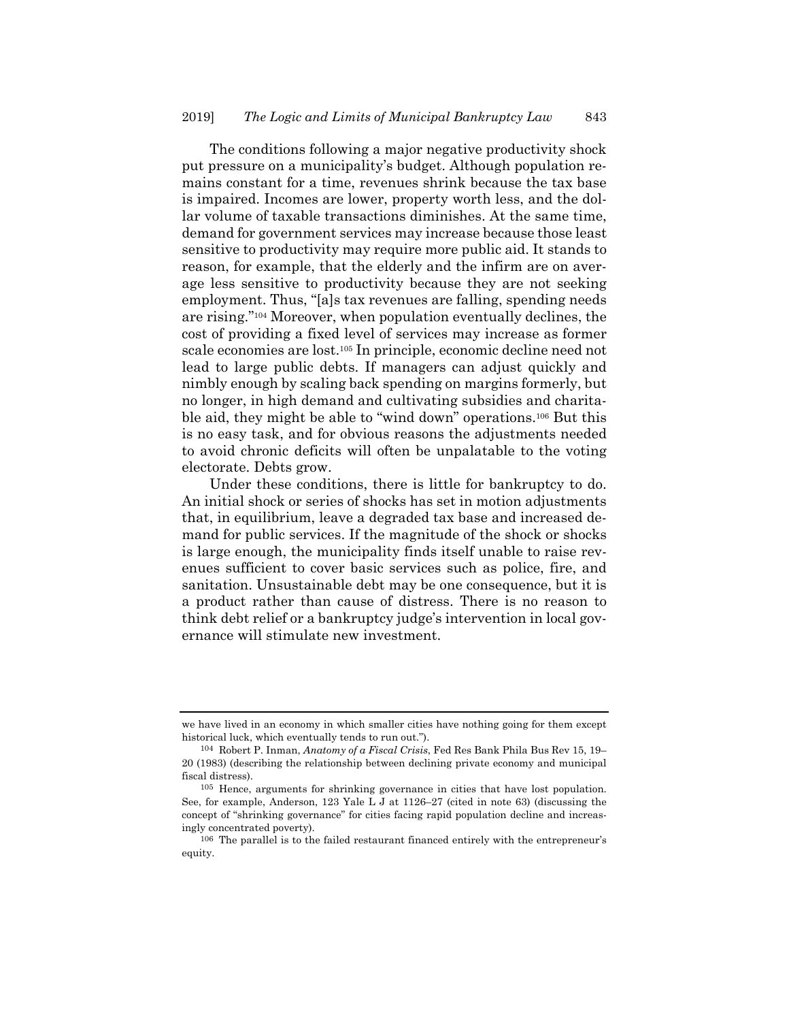The conditions following a major negative productivity shock put pressure on a municipality's budget. Although population remains constant for a time, revenues shrink because the tax base is impaired. Incomes are lower, property worth less, and the dollar volume of taxable transactions diminishes. At the same time, demand for government services may increase because those least sensitive to productivity may require more public aid. It stands to reason, for example, that the elderly and the infirm are on average less sensitive to productivity because they are not seeking employment. Thus, "[a]s tax revenues are falling, spending needs are rising."104 Moreover, when population eventually declines, the cost of providing a fixed level of services may increase as former scale economies are lost.105 In principle, economic decline need not lead to large public debts. If managers can adjust quickly and nimbly enough by scaling back spending on margins formerly, but no longer, in high demand and cultivating subsidies and charitable aid, they might be able to "wind down" operations.106 But this is no easy task, and for obvious reasons the adjustments needed to avoid chronic deficits will often be unpalatable to the voting electorate. Debts grow.

Under these conditions, there is little for bankruptcy to do. An initial shock or series of shocks has set in motion adjustments that, in equilibrium, leave a degraded tax base and increased demand for public services. If the magnitude of the shock or shocks is large enough, the municipality finds itself unable to raise revenues sufficient to cover basic services such as police, fire, and sanitation. Unsustainable debt may be one consequence, but it is a product rather than cause of distress. There is no reason to think debt relief or a bankruptcy judge's intervention in local governance will stimulate new investment.

we have lived in an economy in which smaller cities have nothing going for them except historical luck, which eventually tends to run out.").

<sup>104</sup> Robert P. Inman, *Anatomy of a Fiscal Crisis*, Fed Res Bank Phila Bus Rev 15, 19– 20 (1983) (describing the relationship between declining private economy and municipal fiscal distress).

<sup>105</sup> Hence, arguments for shrinking governance in cities that have lost population. See, for example, Anderson, 123 Yale L J at 1126–27 (cited in note 63) (discussing the concept of "shrinking governance" for cities facing rapid population decline and increasingly concentrated poverty).

<sup>106</sup> The parallel is to the failed restaurant financed entirely with the entrepreneur's equity.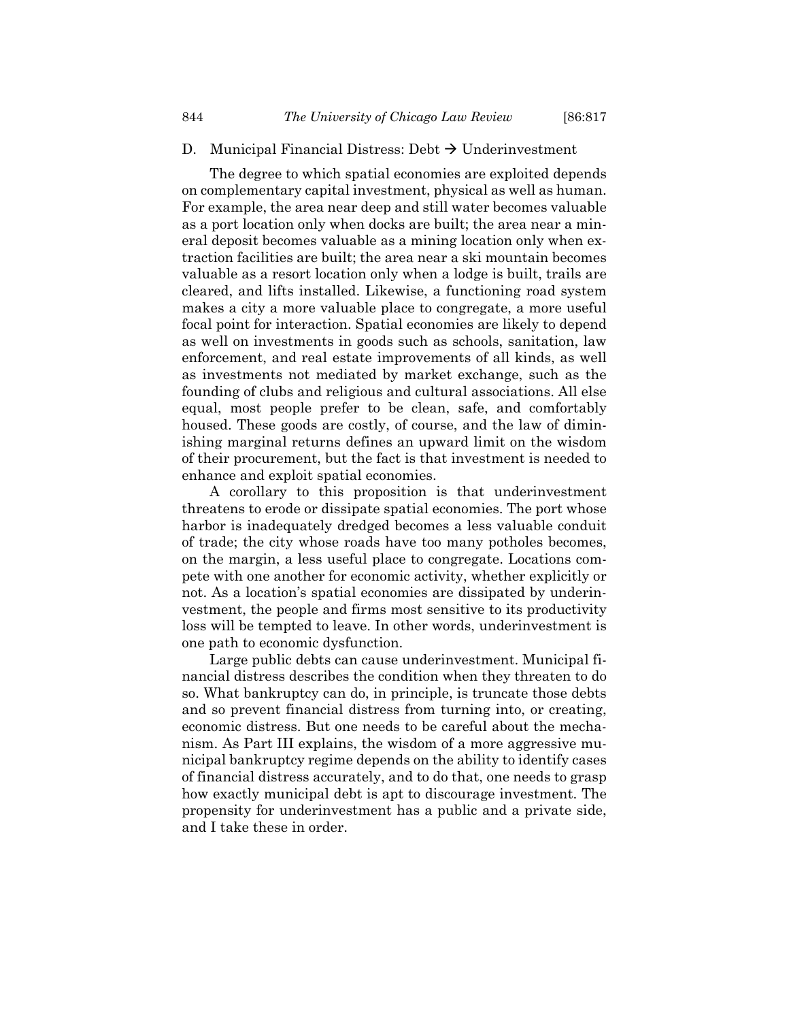# D. Municipal Financial Distress: Debt  $\rightarrow$  Underinvestment

The degree to which spatial economies are exploited depends on complementary capital investment, physical as well as human. For example, the area near deep and still water becomes valuable as a port location only when docks are built; the area near a mineral deposit becomes valuable as a mining location only when extraction facilities are built; the area near a ski mountain becomes valuable as a resort location only when a lodge is built, trails are cleared, and lifts installed. Likewise, a functioning road system makes a city a more valuable place to congregate, a more useful focal point for interaction. Spatial economies are likely to depend as well on investments in goods such as schools, sanitation, law enforcement, and real estate improvements of all kinds, as well as investments not mediated by market exchange, such as the founding of clubs and religious and cultural associations. All else equal, most people prefer to be clean, safe, and comfortably housed. These goods are costly, of course, and the law of diminishing marginal returns defines an upward limit on the wisdom of their procurement, but the fact is that investment is needed to enhance and exploit spatial economies.

A corollary to this proposition is that underinvestment threatens to erode or dissipate spatial economies. The port whose harbor is inadequately dredged becomes a less valuable conduit of trade; the city whose roads have too many potholes becomes, on the margin, a less useful place to congregate. Locations compete with one another for economic activity, whether explicitly or not. As a location's spatial economies are dissipated by underinvestment, the people and firms most sensitive to its productivity loss will be tempted to leave. In other words, underinvestment is one path to economic dysfunction.

Large public debts can cause underinvestment. Municipal financial distress describes the condition when they threaten to do so. What bankruptcy can do, in principle, is truncate those debts and so prevent financial distress from turning into, or creating, economic distress. But one needs to be careful about the mechanism. As Part III explains, the wisdom of a more aggressive municipal bankruptcy regime depends on the ability to identify cases of financial distress accurately, and to do that, one needs to grasp how exactly municipal debt is apt to discourage investment. The propensity for underinvestment has a public and a private side, and I take these in order.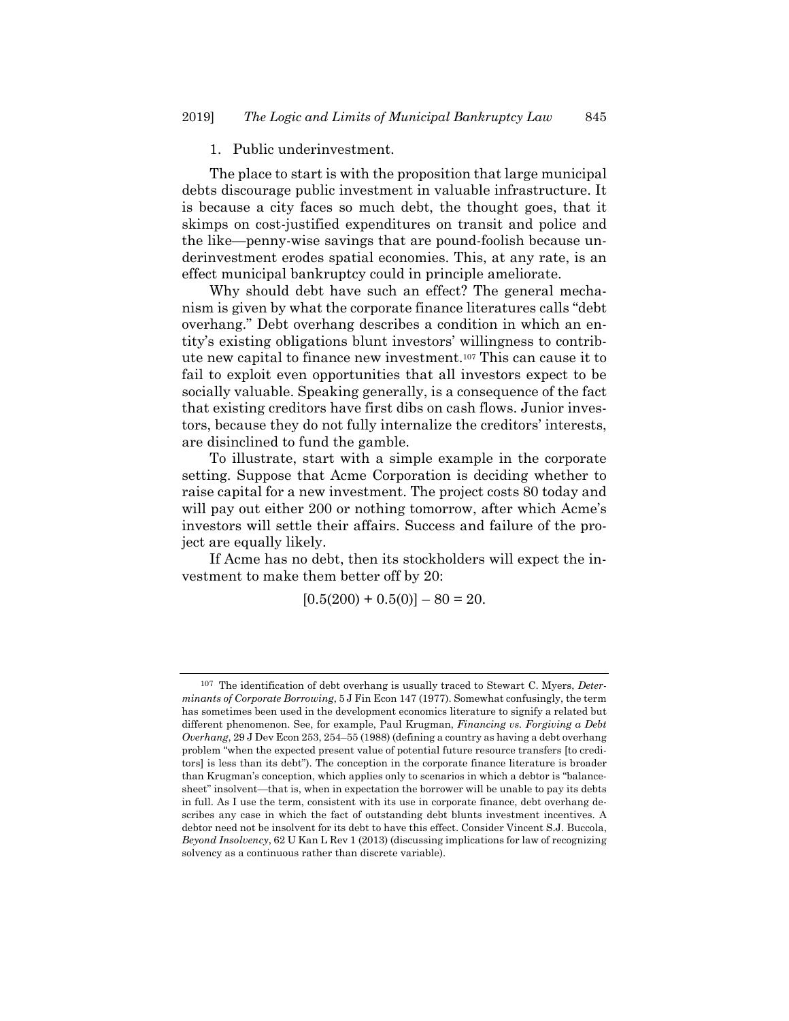# 1. Public underinvestment.

The place to start is with the proposition that large municipal debts discourage public investment in valuable infrastructure. It is because a city faces so much debt, the thought goes, that it skimps on cost-justified expenditures on transit and police and the like—penny-wise savings that are pound-foolish because underinvestment erodes spatial economies. This, at any rate, is an effect municipal bankruptcy could in principle ameliorate.

Why should debt have such an effect? The general mechanism is given by what the corporate finance literatures calls "debt overhang." Debt overhang describes a condition in which an entity's existing obligations blunt investors' willingness to contribute new capital to finance new investment.107 This can cause it to fail to exploit even opportunities that all investors expect to be socially valuable. Speaking generally, is a consequence of the fact that existing creditors have first dibs on cash flows. Junior investors, because they do not fully internalize the creditors' interests, are disinclined to fund the gamble.

To illustrate, start with a simple example in the corporate setting. Suppose that Acme Corporation is deciding whether to raise capital for a new investment. The project costs 80 today and will pay out either 200 or nothing tomorrow, after which Acme's investors will settle their affairs. Success and failure of the project are equally likely.

If Acme has no debt, then its stockholders will expect the investment to make them better off by 20:

 $[0.5(200) + 0.5(0)] - 80 = 20.$ 

<sup>107</sup> The identification of debt overhang is usually traced to Stewart C. Myers, *Determinants of Corporate Borrowing*, 5 J Fin Econ 147 (1977). Somewhat confusingly, the term has sometimes been used in the development economics literature to signify a related but different phenomenon. See, for example, Paul Krugman, *Financing vs. Forgiving a Debt Overhang*, 29 J Dev Econ 253, 254–55 (1988) (defining a country as having a debt overhang problem "when the expected present value of potential future resource transfers [to creditors] is less than its debt"). The conception in the corporate finance literature is broader than Krugman's conception, which applies only to scenarios in which a debtor is "balancesheet" insolvent—that is, when in expectation the borrower will be unable to pay its debts in full. As I use the term, consistent with its use in corporate finance, debt overhang describes any case in which the fact of outstanding debt blunts investment incentives. A debtor need not be insolvent for its debt to have this effect. Consider Vincent S.J. Buccola, *Beyond Insolvency*, 62 U Kan L Rev 1 (2013) (discussing implications for law of recognizing solvency as a continuous rather than discrete variable).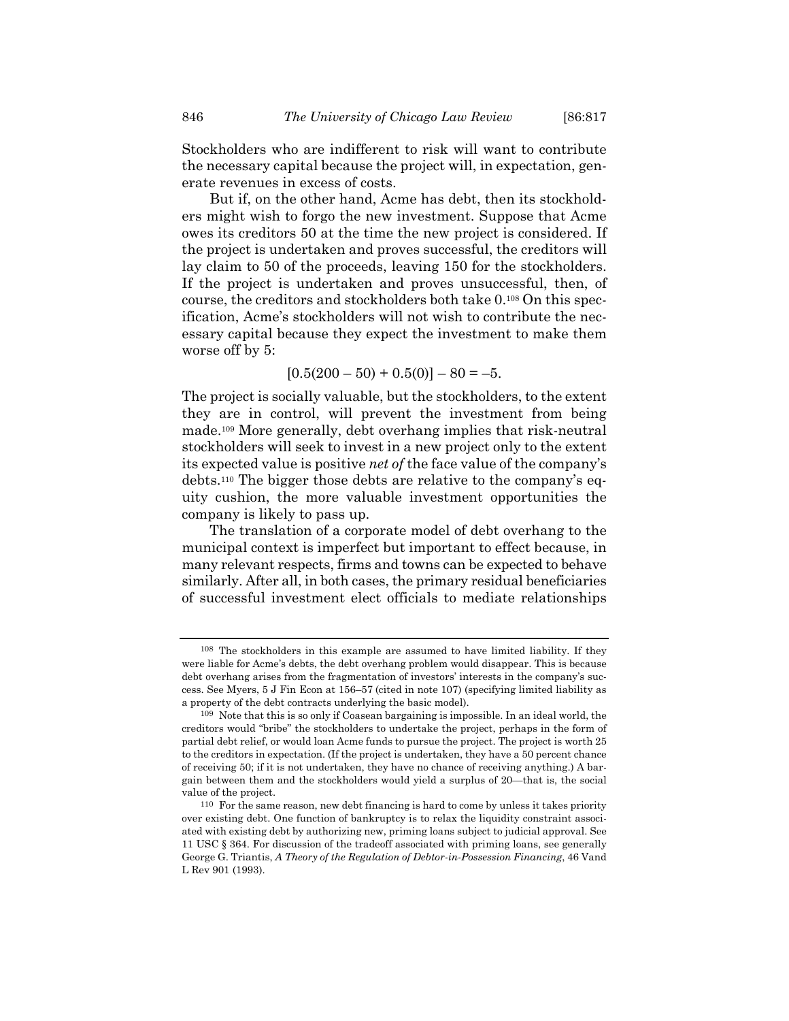Stockholders who are indifferent to risk will want to contribute the necessary capital because the project will, in expectation, generate revenues in excess of costs.

But if, on the other hand, Acme has debt, then its stockholders might wish to forgo the new investment. Suppose that Acme owes its creditors 50 at the time the new project is considered. If the project is undertaken and proves successful, the creditors will lay claim to 50 of the proceeds, leaving 150 for the stockholders. If the project is undertaken and proves unsuccessful, then, of course, the creditors and stockholders both take 0.108 On this specification, Acme's stockholders will not wish to contribute the necessary capital because they expect the investment to make them worse off by 5:

 $[0.5(200 - 50) + 0.5(0)] - 80 = -5.$ 

The project is socially valuable, but the stockholders, to the extent they are in control, will prevent the investment from being made.109 More generally, debt overhang implies that risk-neutral stockholders will seek to invest in a new project only to the extent its expected value is positive *net of* the face value of the company's debts.110 The bigger those debts are relative to the company's equity cushion, the more valuable investment opportunities the company is likely to pass up.

The translation of a corporate model of debt overhang to the municipal context is imperfect but important to effect because, in many relevant respects, firms and towns can be expected to behave similarly. After all, in both cases, the primary residual beneficiaries of successful investment elect officials to mediate relationships

<sup>108</sup> The stockholders in this example are assumed to have limited liability. If they were liable for Acme's debts, the debt overhang problem would disappear. This is because debt overhang arises from the fragmentation of investors' interests in the company's success. See Myers, 5 J Fin Econ at 156–57 (cited in note 107) (specifying limited liability as a property of the debt contracts underlying the basic model).

<sup>109</sup> Note that this is so only if Coasean bargaining is impossible. In an ideal world, the creditors would "bribe" the stockholders to undertake the project, perhaps in the form of partial debt relief, or would loan Acme funds to pursue the project. The project is worth 25 to the creditors in expectation. (If the project is undertaken, they have a 50 percent chance of receiving 50; if it is not undertaken, they have no chance of receiving anything.) A bargain between them and the stockholders would yield a surplus of 20—that is, the social value of the project.

<sup>110</sup> For the same reason, new debt financing is hard to come by unless it takes priority over existing debt. One function of bankruptcy is to relax the liquidity constraint associated with existing debt by authorizing new, priming loans subject to judicial approval. See 11 USC § 364. For discussion of the tradeoff associated with priming loans, see generally George G. Triantis, *A Theory of the Regulation of Debtor-in-Possession Financing*, 46 Vand L Rev 901 (1993).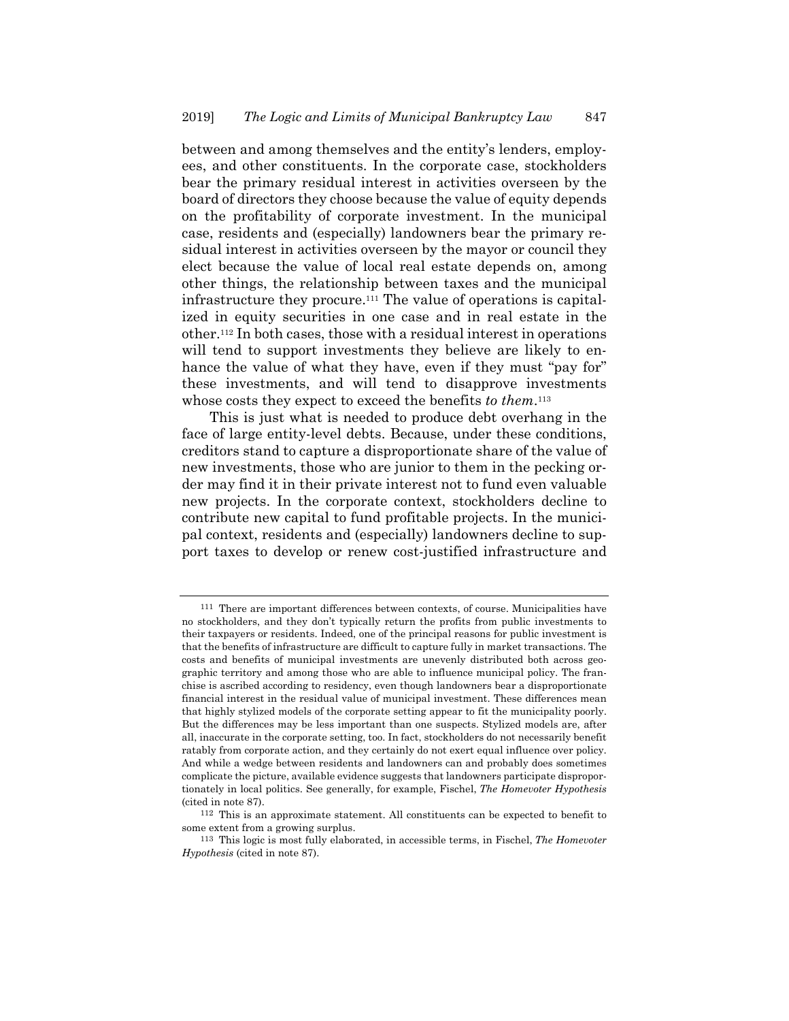between and among themselves and the entity's lenders, employees, and other constituents. In the corporate case, stockholders bear the primary residual interest in activities overseen by the board of directors they choose because the value of equity depends on the profitability of corporate investment. In the municipal case, residents and (especially) landowners bear the primary residual interest in activities overseen by the mayor or council they elect because the value of local real estate depends on, among other things, the relationship between taxes and the municipal infrastructure they procure.111 The value of operations is capitalized in equity securities in one case and in real estate in the other.112 In both cases, those with a residual interest in operations will tend to support investments they believe are likely to enhance the value of what they have, even if they must "pay for" these investments, and will tend to disapprove investments whose costs they expect to exceed the benefits *to them*.113

This is just what is needed to produce debt overhang in the face of large entity-level debts. Because, under these conditions, creditors stand to capture a disproportionate share of the value of new investments, those who are junior to them in the pecking order may find it in their private interest not to fund even valuable new projects. In the corporate context, stockholders decline to contribute new capital to fund profitable projects. In the municipal context, residents and (especially) landowners decline to support taxes to develop or renew cost-justified infrastructure and

<sup>111</sup> There are important differences between contexts, of course. Municipalities have no stockholders, and they don't typically return the profits from public investments to their taxpayers or residents. Indeed, one of the principal reasons for public investment is that the benefits of infrastructure are difficult to capture fully in market transactions. The costs and benefits of municipal investments are unevenly distributed both across geographic territory and among those who are able to influence municipal policy. The franchise is ascribed according to residency, even though landowners bear a disproportionate financial interest in the residual value of municipal investment. These differences mean that highly stylized models of the corporate setting appear to fit the municipality poorly. But the differences may be less important than one suspects. Stylized models are, after all, inaccurate in the corporate setting, too. In fact, stockholders do not necessarily benefit ratably from corporate action, and they certainly do not exert equal influence over policy. And while a wedge between residents and landowners can and probably does sometimes complicate the picture, available evidence suggests that landowners participate disproportionately in local politics. See generally, for example, Fischel, *The Homevoter Hypothesis* (cited in note 87).

<sup>112</sup> This is an approximate statement. All constituents can be expected to benefit to some extent from a growing surplus.

<sup>113</sup> This logic is most fully elaborated, in accessible terms, in Fischel, *The Homevoter Hypothesis* (cited in note 87).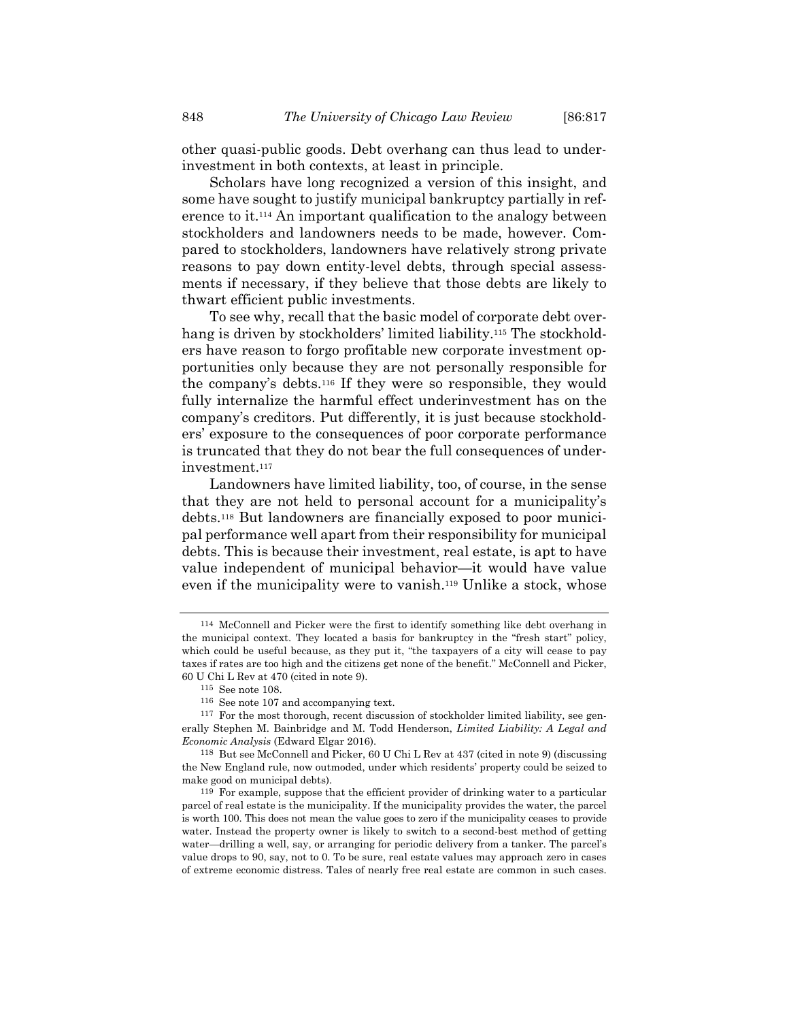other quasi-public goods. Debt overhang can thus lead to underinvestment in both contexts, at least in principle.

Scholars have long recognized a version of this insight, and some have sought to justify municipal bankruptcy partially in reference to it.114 An important qualification to the analogy between stockholders and landowners needs to be made, however. Compared to stockholders, landowners have relatively strong private reasons to pay down entity-level debts, through special assessments if necessary, if they believe that those debts are likely to thwart efficient public investments.

To see why, recall that the basic model of corporate debt overhang is driven by stockholders' limited liability.<sup>115</sup> The stockholders have reason to forgo profitable new corporate investment opportunities only because they are not personally responsible for the company's debts.116 If they were so responsible, they would fully internalize the harmful effect underinvestment has on the company's creditors. Put differently, it is just because stockholders' exposure to the consequences of poor corporate performance is truncated that they do not bear the full consequences of underinvestment.117

Landowners have limited liability, too, of course, in the sense that they are not held to personal account for a municipality's debts.118 But landowners are financially exposed to poor municipal performance well apart from their responsibility for municipal debts. This is because their investment, real estate, is apt to have value independent of municipal behavior—it would have value even if the municipality were to vanish.119 Unlike a stock, whose

<sup>114</sup> McConnell and Picker were the first to identify something like debt overhang in the municipal context. They located a basis for bankruptcy in the "fresh start" policy, which could be useful because, as they put it, "the taxpayers of a city will cease to pay taxes if rates are too high and the citizens get none of the benefit." McConnell and Picker, 60 U Chi L Rev at 470 (cited in note 9).

<sup>115</sup> See note 108.

<sup>&</sup>lt;sup>116</sup> See note 107 and accompanying text.<br><sup>117</sup> For the most thorough, recent discussion of stockholder limited liability, see generally Stephen M. Bainbridge and M. Todd Henderson, *Limited Liability: A Legal and Economic Analysis* (Edward Elgar 2016).

<sup>118</sup> But see McConnell and Picker, 60 U Chi L Rev at 437 (cited in note 9) (discussing the New England rule, now outmoded, under which residents' property could be seized to make good on municipal debts).

<sup>119</sup> For example, suppose that the efficient provider of drinking water to a particular parcel of real estate is the municipality. If the municipality provides the water, the parcel is worth 100. This does not mean the value goes to zero if the municipality ceases to provide water. Instead the property owner is likely to switch to a second-best method of getting water—drilling a well, say, or arranging for periodic delivery from a tanker. The parcel's value drops to 90, say, not to 0. To be sure, real estate values may approach zero in cases of extreme economic distress. Tales of nearly free real estate are common in such cases.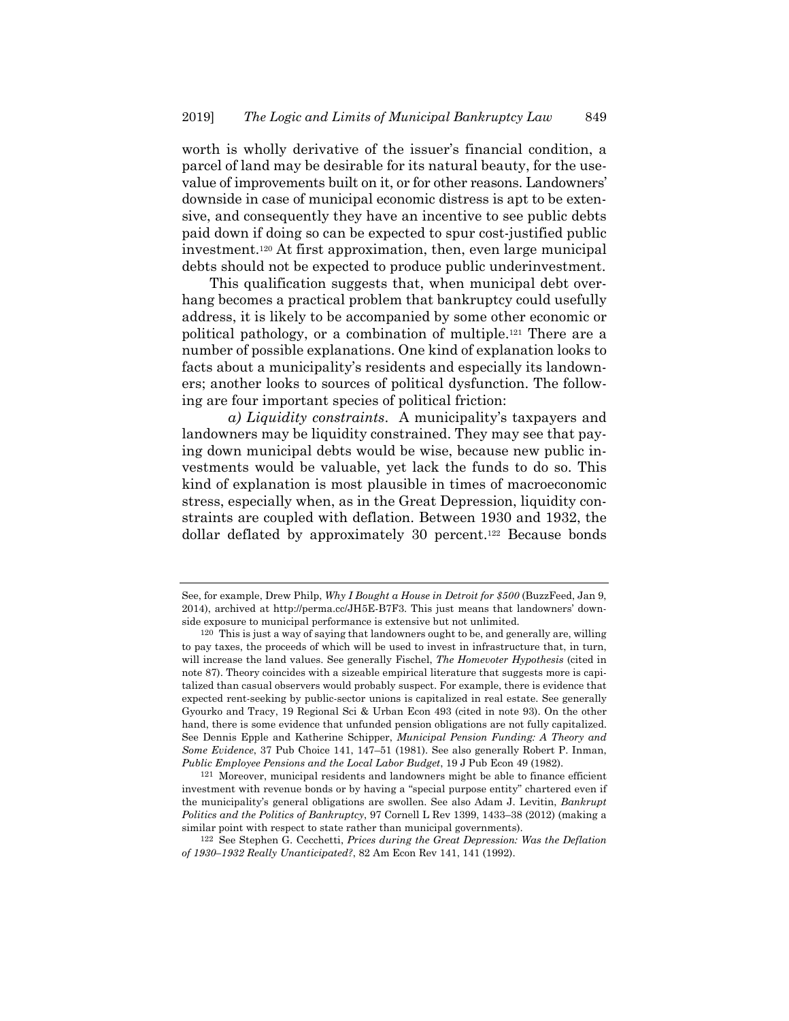worth is wholly derivative of the issuer's financial condition, a parcel of land may be desirable for its natural beauty, for the usevalue of improvements built on it, or for other reasons. Landowners' downside in case of municipal economic distress is apt to be extensive, and consequently they have an incentive to see public debts paid down if doing so can be expected to spur cost-justified public investment.120 At first approximation, then, even large municipal debts should not be expected to produce public underinvestment.

This qualification suggests that, when municipal debt overhang becomes a practical problem that bankruptcy could usefully address, it is likely to be accompanied by some other economic or political pathology, or a combination of multiple.121 There are a number of possible explanations. One kind of explanation looks to facts about a municipality's residents and especially its landowners; another looks to sources of political dysfunction. The following are four important species of political friction:

*a) Liquidity constraints*. A municipality's taxpayers and landowners may be liquidity constrained. They may see that paying down municipal debts would be wise, because new public investments would be valuable, yet lack the funds to do so. This kind of explanation is most plausible in times of macroeconomic stress, especially when, as in the Great Depression, liquidity constraints are coupled with deflation. Between 1930 and 1932, the dollar deflated by approximately 30 percent.<sup>122</sup> Because bonds

See, for example, Drew Philp, *Why I Bought a House in Detroit for \$500* (BuzzFeed, Jan 9, 2014), archived at http://perma.cc/JH5E-B7F3. This just means that landowners' downside exposure to municipal performance is extensive but not unlimited.

<sup>120</sup> This is just a way of saying that landowners ought to be, and generally are, willing to pay taxes, the proceeds of which will be used to invest in infrastructure that, in turn, will increase the land values. See generally Fischel, *The Homevoter Hypothesis* (cited in note 87). Theory coincides with a sizeable empirical literature that suggests more is capitalized than casual observers would probably suspect. For example, there is evidence that expected rent-seeking by public-sector unions is capitalized in real estate. See generally Gyourko and Tracy, 19 Regional Sci & Urban Econ 493 (cited in note 93). On the other hand, there is some evidence that unfunded pension obligations are not fully capitalized. See Dennis Epple and Katherine Schipper, *Municipal Pension Funding: A Theory and Some Evidence*, 37 Pub Choice 141, 147–51 (1981). See also generally Robert P. Inman, *Public Employee Pensions and the Local Labor Budget*, 19 J Pub Econ 49 (1982).

<sup>121</sup> Moreover, municipal residents and landowners might be able to finance efficient investment with revenue bonds or by having a "special purpose entity" chartered even if the municipality's general obligations are swollen. See also Adam J. Levitin, *Bankrupt Politics and the Politics of Bankruptcy*, 97 Cornell L Rev 1399, 1433–38 (2012) (making a similar point with respect to state rather than municipal governments).

<sup>122</sup> See Stephen G. Cecchetti, *Prices during the Great Depression: Was the Deflation of 1930–1932 Really Unanticipated?*, 82 Am Econ Rev 141, 141 (1992).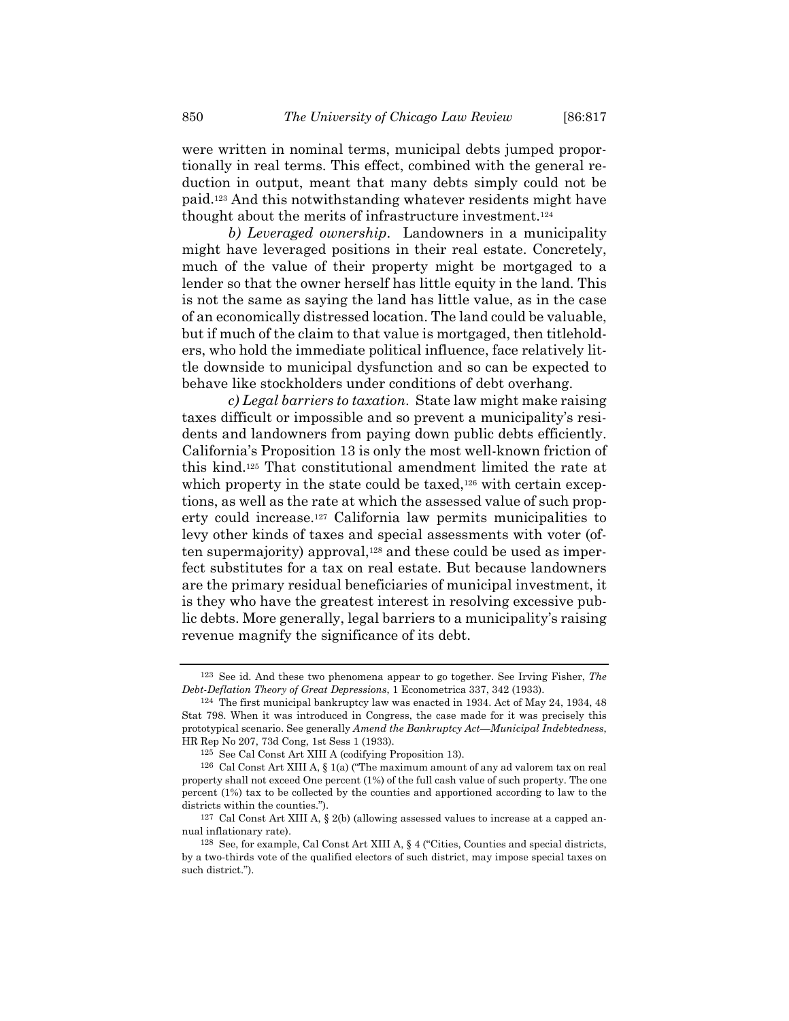were written in nominal terms, municipal debts jumped proportionally in real terms. This effect, combined with the general reduction in output, meant that many debts simply could not be paid.123 And this notwithstanding whatever residents might have thought about the merits of infrastructure investment.124

*b) Leveraged ownership*. Landowners in a municipality might have leveraged positions in their real estate. Concretely, much of the value of their property might be mortgaged to a lender so that the owner herself has little equity in the land. This is not the same as saying the land has little value, as in the case of an economically distressed location. The land could be valuable, but if much of the claim to that value is mortgaged, then titleholders, who hold the immediate political influence, face relatively little downside to municipal dysfunction and so can be expected to behave like stockholders under conditions of debt overhang.

*c) Legal barriers to taxation*. State law might make raising taxes difficult or impossible and so prevent a municipality's residents and landowners from paying down public debts efficiently. California's Proposition 13 is only the most well-known friction of this kind.125 That constitutional amendment limited the rate at which property in the state could be taxed, $126$  with certain exceptions, as well as the rate at which the assessed value of such property could increase.127 California law permits municipalities to levy other kinds of taxes and special assessments with voter (often supermajority) approval,<sup>128</sup> and these could be used as imperfect substitutes for a tax on real estate. But because landowners are the primary residual beneficiaries of municipal investment, it is they who have the greatest interest in resolving excessive public debts. More generally, legal barriers to a municipality's raising revenue magnify the significance of its debt.

<sup>123</sup> See id. And these two phenomena appear to go together. See Irving Fisher, *The Debt-Deflation Theory of Great Depressions*, 1 Econometrica 337, 342 (1933).

<sup>124</sup> The first municipal bankruptcy law was enacted in 1934. Act of May 24, 1934, 48 Stat 798. When it was introduced in Congress, the case made for it was precisely this prototypical scenario. See generally *Amend the Bankruptcy Act—Municipal Indebtedness*, HR Rep No 207, 73d Cong, 1st Sess 1 (1933).

<sup>125</sup> See Cal Const Art XIII A (codifying Proposition 13).

<sup>126</sup> Cal Const Art XIII A, § 1(a) ("The maximum amount of any ad valorem tax on real property shall not exceed One percent (1%) of the full cash value of such property. The one percent (1%) tax to be collected by the counties and apportioned according to law to the districts within the counties.").

 $127$  Cal Const Art XIII A,  $\S$  2(b) (allowing assessed values to increase at a capped annual inflationary rate).

<sup>128</sup> See, for example, Cal Const Art XIII A, § 4 ("Cities, Counties and special districts, by a two-thirds vote of the qualified electors of such district, may impose special taxes on such district.").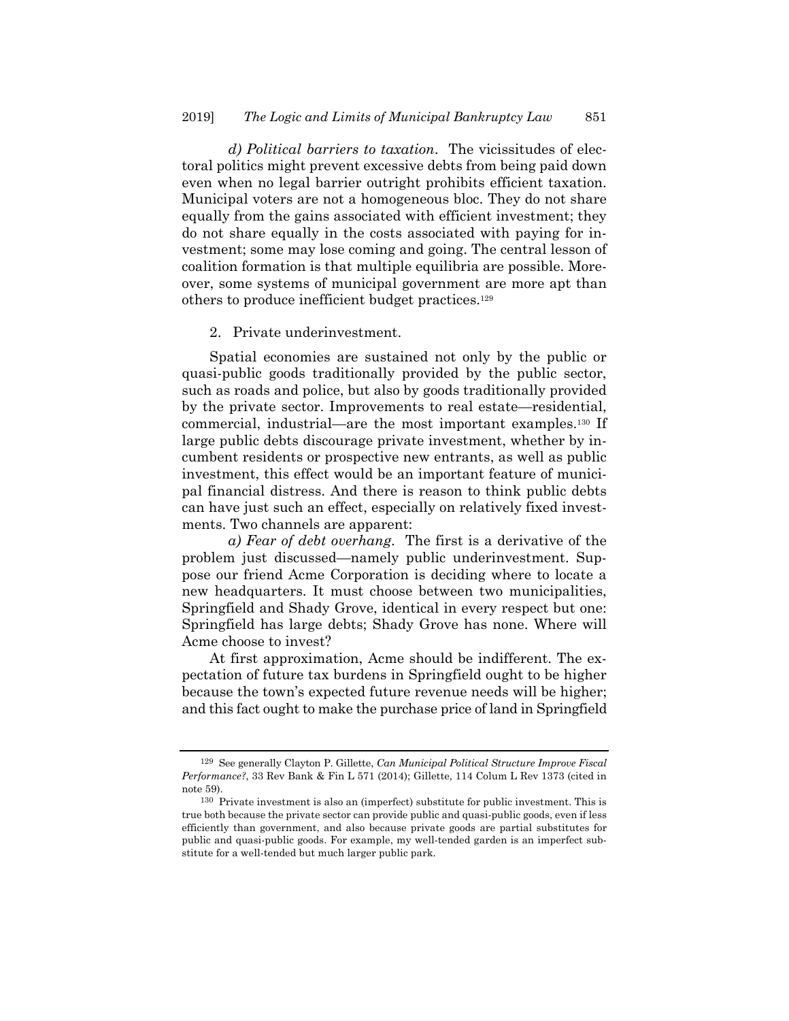*d) Political barriers to taxation*. The vicissitudes of electoral politics might prevent excessive debts from being paid down even when no legal barrier outright prohibits efficient taxation. Municipal voters are not a homogeneous bloc. They do not share equally from the gains associated with efficient investment; they do not share equally in the costs associated with paying for investment; some may lose coming and going. The central lesson of coalition formation is that multiple equilibria are possible. Moreover, some systems of municipal government are more apt than others to produce inefficient budget practices.129

2. Private underinvestment.

Spatial economies are sustained not only by the public or quasi-public goods traditionally provided by the public sector, such as roads and police, but also by goods traditionally provided by the private sector. Improvements to real estate—residential, commercial, industrial—are the most important examples.130 If large public debts discourage private investment, whether by incumbent residents or prospective new entrants, as well as public investment, this effect would be an important feature of municipal financial distress. And there is reason to think public debts can have just such an effect, especially on relatively fixed investments. Two channels are apparent:

*a) Fear of debt overhang*. The first is a derivative of the problem just discussed—namely public underinvestment. Suppose our friend Acme Corporation is deciding where to locate a new headquarters. It must choose between two municipalities, Springfield and Shady Grove, identical in every respect but one: Springfield has large debts; Shady Grove has none. Where will Acme choose to invest?

At first approximation, Acme should be indifferent. The expectation of future tax burdens in Springfield ought to be higher because the town's expected future revenue needs will be higher; and this fact ought to make the purchase price of land in Springfield

<sup>129</sup> See generally Clayton P. Gillette, *Can Municipal Political Structure Improve Fiscal Performance?*, 33 Rev Bank & Fin L 571 (2014); Gillette, 114 Colum L Rev 1373 (cited in note 59).

<sup>130</sup> Private investment is also an (imperfect) substitute for public investment. This is true both because the private sector can provide public and quasi-public goods, even if less efficiently than government, and also because private goods are partial substitutes for public and quasi-public goods. For example, my well-tended garden is an imperfect substitute for a well-tended but much larger public park.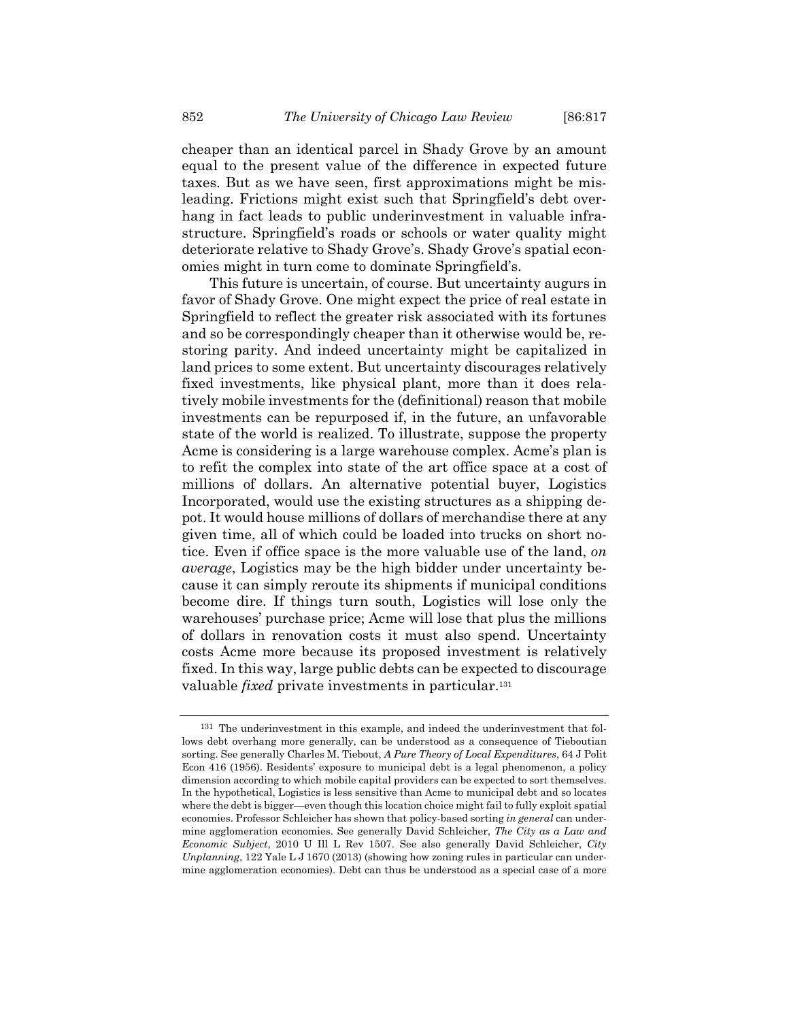cheaper than an identical parcel in Shady Grove by an amount equal to the present value of the difference in expected future taxes. But as we have seen, first approximations might be misleading. Frictions might exist such that Springfield's debt overhang in fact leads to public underinvestment in valuable infrastructure. Springfield's roads or schools or water quality might deteriorate relative to Shady Grove's. Shady Grove's spatial economies might in turn come to dominate Springfield's.

This future is uncertain, of course. But uncertainty augurs in favor of Shady Grove. One might expect the price of real estate in Springfield to reflect the greater risk associated with its fortunes and so be correspondingly cheaper than it otherwise would be, restoring parity. And indeed uncertainty might be capitalized in land prices to some extent. But uncertainty discourages relatively fixed investments, like physical plant, more than it does relatively mobile investments for the (definitional) reason that mobile investments can be repurposed if, in the future, an unfavorable state of the world is realized. To illustrate, suppose the property Acme is considering is a large warehouse complex. Acme's plan is to refit the complex into state of the art office space at a cost of millions of dollars. An alternative potential buyer, Logistics Incorporated, would use the existing structures as a shipping depot. It would house millions of dollars of merchandise there at any given time, all of which could be loaded into trucks on short notice. Even if office space is the more valuable use of the land, *on average*, Logistics may be the high bidder under uncertainty because it can simply reroute its shipments if municipal conditions become dire. If things turn south, Logistics will lose only the warehouses' purchase price; Acme will lose that plus the millions of dollars in renovation costs it must also spend. Uncertainty costs Acme more because its proposed investment is relatively fixed. In this way, large public debts can be expected to discourage valuable *fixed* private investments in particular.<sup>131</sup>

<sup>131</sup> The underinvestment in this example, and indeed the underinvestment that follows debt overhang more generally, can be understood as a consequence of Tieboutian sorting. See generally Charles M. Tiebout, *A Pure Theory of Local Expenditures*, 64 J Polit Econ 416 (1956). Residents' exposure to municipal debt is a legal phenomenon, a policy dimension according to which mobile capital providers can be expected to sort themselves. In the hypothetical, Logistics is less sensitive than Acme to municipal debt and so locates where the debt is bigger—even though this location choice might fail to fully exploit spatial economies. Professor Schleicher has shown that policy-based sorting *in general* can undermine agglomeration economies. See generally David Schleicher, *The City as a Law and Economic Subject*, 2010 U Ill L Rev 1507. See also generally David Schleicher, *City Unplanning*, 122 Yale L J 1670 (2013) (showing how zoning rules in particular can undermine agglomeration economies). Debt can thus be understood as a special case of a more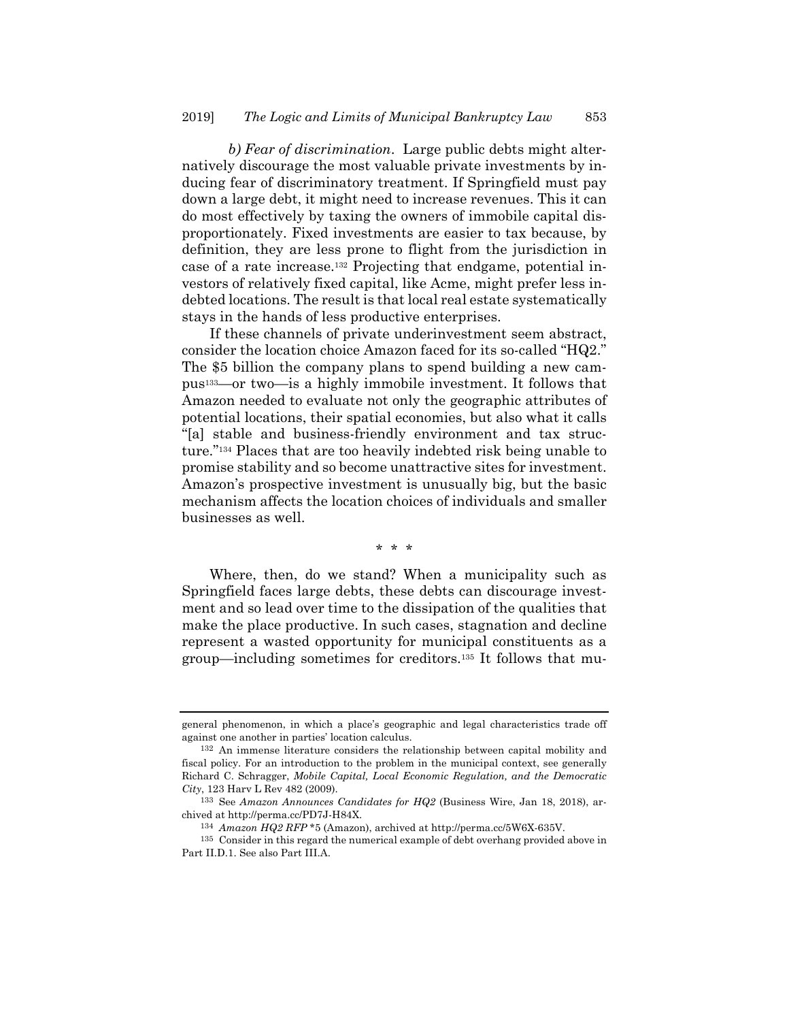*b) Fear of discrimination*. Large public debts might alternatively discourage the most valuable private investments by inducing fear of discriminatory treatment. If Springfield must pay down a large debt, it might need to increase revenues. This it can do most effectively by taxing the owners of immobile capital disproportionately. Fixed investments are easier to tax because, by definition, they are less prone to flight from the jurisdiction in case of a rate increase.132 Projecting that endgame, potential investors of relatively fixed capital, like Acme, might prefer less indebted locations. The result is that local real estate systematically stays in the hands of less productive enterprises.

If these channels of private underinvestment seem abstract, consider the location choice Amazon faced for its so-called "HQ2." The \$5 billion the company plans to spend building a new campus133—or two—is a highly immobile investment. It follows that Amazon needed to evaluate not only the geographic attributes of potential locations, their spatial economies, but also what it calls "[a] stable and business-friendly environment and tax structure."134 Places that are too heavily indebted risk being unable to promise stability and so become unattractive sites for investment. Amazon's prospective investment is unusually big, but the basic mechanism affects the location choices of individuals and smaller businesses as well.

\* \* \*

Where, then, do we stand? When a municipality such as Springfield faces large debts, these debts can discourage investment and so lead over time to the dissipation of the qualities that make the place productive. In such cases, stagnation and decline represent a wasted opportunity for municipal constituents as a group—including sometimes for creditors.135 It follows that mu-

general phenomenon, in which a place's geographic and legal characteristics trade off against one another in parties' location calculus.

<sup>132</sup> An immense literature considers the relationship between capital mobility and fiscal policy. For an introduction to the problem in the municipal context, see generally Richard C. Schragger, *Mobile Capital, Local Economic Regulation, and the Democratic City*, 123 Harv L Rev 482 (2009).

<sup>133</sup> See *Amazon Announces Candidates for HQ2* (Business Wire, Jan 18, 2018), archived at http://perma.cc/PD7J-H84X.

<sup>134</sup> *Amazon HQ2 RFP* \*5 (Amazon), archived at http://perma.cc/5W6X-635V.

<sup>135</sup> Consider in this regard the numerical example of debt overhang provided above in Part II.D.1. See also Part III.A.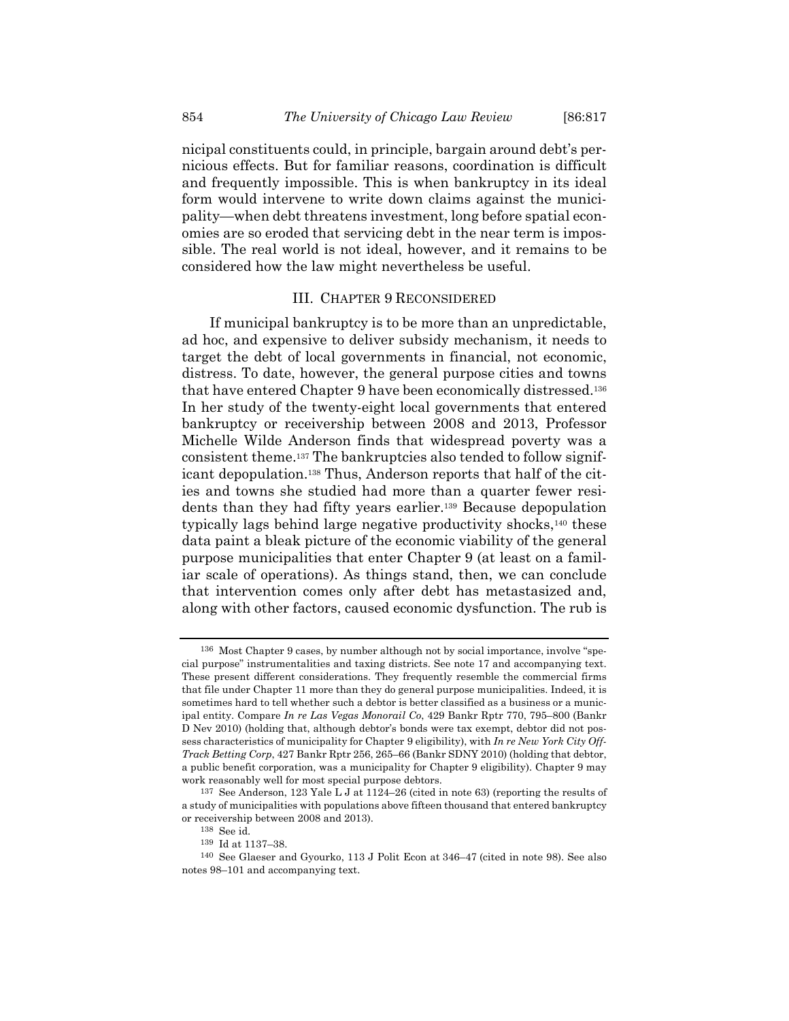nicipal constituents could, in principle, bargain around debt's pernicious effects. But for familiar reasons, coordination is difficult and frequently impossible. This is when bankruptcy in its ideal form would intervene to write down claims against the municipality—when debt threatens investment, long before spatial economies are so eroded that servicing debt in the near term is impossible. The real world is not ideal, however, and it remains to be considered how the law might nevertheless be useful.

#### III. CHAPTER 9 RECONSIDERED

If municipal bankruptcy is to be more than an unpredictable, ad hoc, and expensive to deliver subsidy mechanism, it needs to target the debt of local governments in financial, not economic, distress. To date, however, the general purpose cities and towns that have entered Chapter 9 have been economically distressed.136 In her study of the twenty-eight local governments that entered bankruptcy or receivership between 2008 and 2013, Professor Michelle Wilde Anderson finds that widespread poverty was a consistent theme.137 The bankruptcies also tended to follow significant depopulation.138 Thus, Anderson reports that half of the cities and towns she studied had more than a quarter fewer residents than they had fifty years earlier.139 Because depopulation typically lags behind large negative productivity shocks,140 these data paint a bleak picture of the economic viability of the general purpose municipalities that enter Chapter 9 (at least on a familiar scale of operations). As things stand, then, we can conclude that intervention comes only after debt has metastasized and, along with other factors, caused economic dysfunction. The rub is

<sup>136</sup> Most Chapter 9 cases, by number although not by social importance, involve "special purpose" instrumentalities and taxing districts. See note 17 and accompanying text. These present different considerations. They frequently resemble the commercial firms that file under Chapter 11 more than they do general purpose municipalities. Indeed, it is sometimes hard to tell whether such a debtor is better classified as a business or a municipal entity. Compare *In re Las Vegas Monorail Co*, 429 Bankr Rptr 770, 795–800 (Bankr D Nev 2010) (holding that, although debtor's bonds were tax exempt, debtor did not possess characteristics of municipality for Chapter 9 eligibility), with *In re New York City Off-Track Betting Corp*, 427 Bankr Rptr 256, 265–66 (Bankr SDNY 2010) (holding that debtor, a public benefit corporation, was a municipality for Chapter 9 eligibility). Chapter 9 may work reasonably well for most special purpose debtors.

<sup>137</sup> See Anderson, 123 Yale L J at 1124–26 (cited in note 63) (reporting the results of a study of municipalities with populations above fifteen thousand that entered bankruptcy or receivership between 2008 and 2013).

<sup>138</sup> See id.

<sup>139</sup> Id at 1137–38.

<sup>140</sup> See Glaeser and Gyourko, 113 J Polit Econ at 346–47 (cited in note 98). See also notes 98–101 and accompanying text.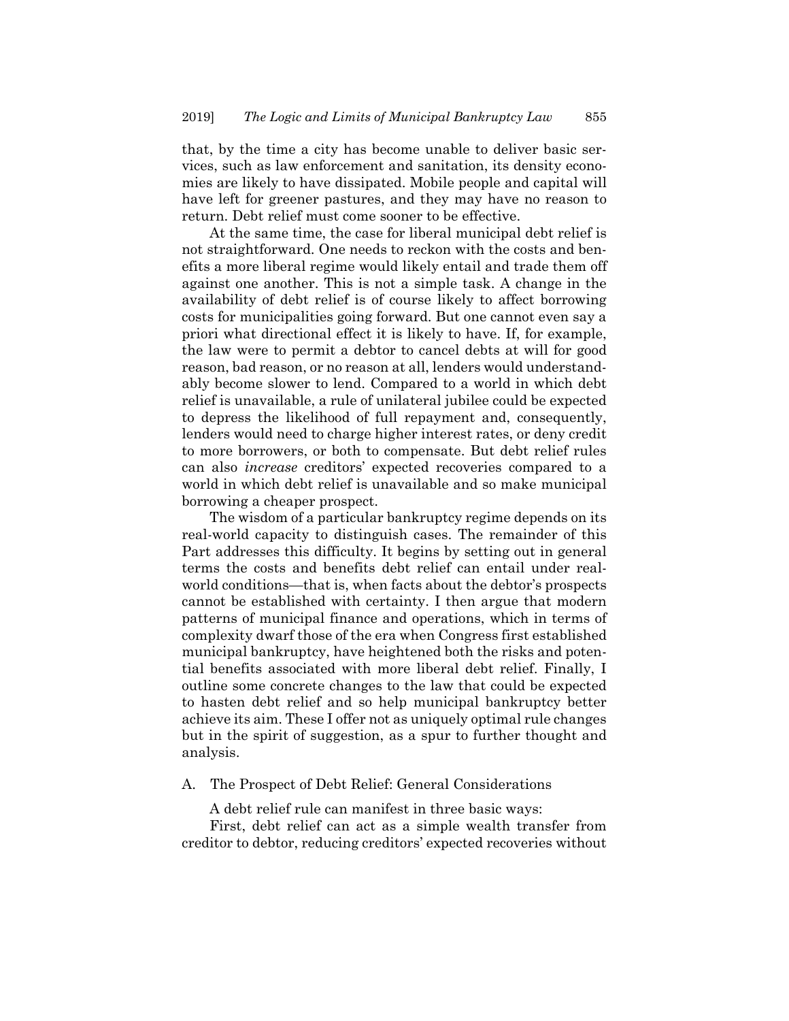that, by the time a city has become unable to deliver basic services, such as law enforcement and sanitation, its density economies are likely to have dissipated. Mobile people and capital will have left for greener pastures, and they may have no reason to return. Debt relief must come sooner to be effective.

At the same time, the case for liberal municipal debt relief is not straightforward. One needs to reckon with the costs and benefits a more liberal regime would likely entail and trade them off against one another. This is not a simple task. A change in the availability of debt relief is of course likely to affect borrowing costs for municipalities going forward. But one cannot even say a priori what directional effect it is likely to have. If, for example, the law were to permit a debtor to cancel debts at will for good reason, bad reason, or no reason at all, lenders would understandably become slower to lend. Compared to a world in which debt relief is unavailable, a rule of unilateral jubilee could be expected to depress the likelihood of full repayment and, consequently, lenders would need to charge higher interest rates, or deny credit to more borrowers, or both to compensate. But debt relief rules can also *increase* creditors' expected recoveries compared to a world in which debt relief is unavailable and so make municipal borrowing a cheaper prospect.

The wisdom of a particular bankruptcy regime depends on its real-world capacity to distinguish cases. The remainder of this Part addresses this difficulty. It begins by setting out in general terms the costs and benefits debt relief can entail under realworld conditions—that is, when facts about the debtor's prospects cannot be established with certainty. I then argue that modern patterns of municipal finance and operations, which in terms of complexity dwarf those of the era when Congress first established municipal bankruptcy, have heightened both the risks and potential benefits associated with more liberal debt relief. Finally, I outline some concrete changes to the law that could be expected to hasten debt relief and so help municipal bankruptcy better achieve its aim. These I offer not as uniquely optimal rule changes but in the spirit of suggestion, as a spur to further thought and analysis.

# A. The Prospect of Debt Relief: General Considerations

A debt relief rule can manifest in three basic ways:

First, debt relief can act as a simple wealth transfer from creditor to debtor, reducing creditors' expected recoveries without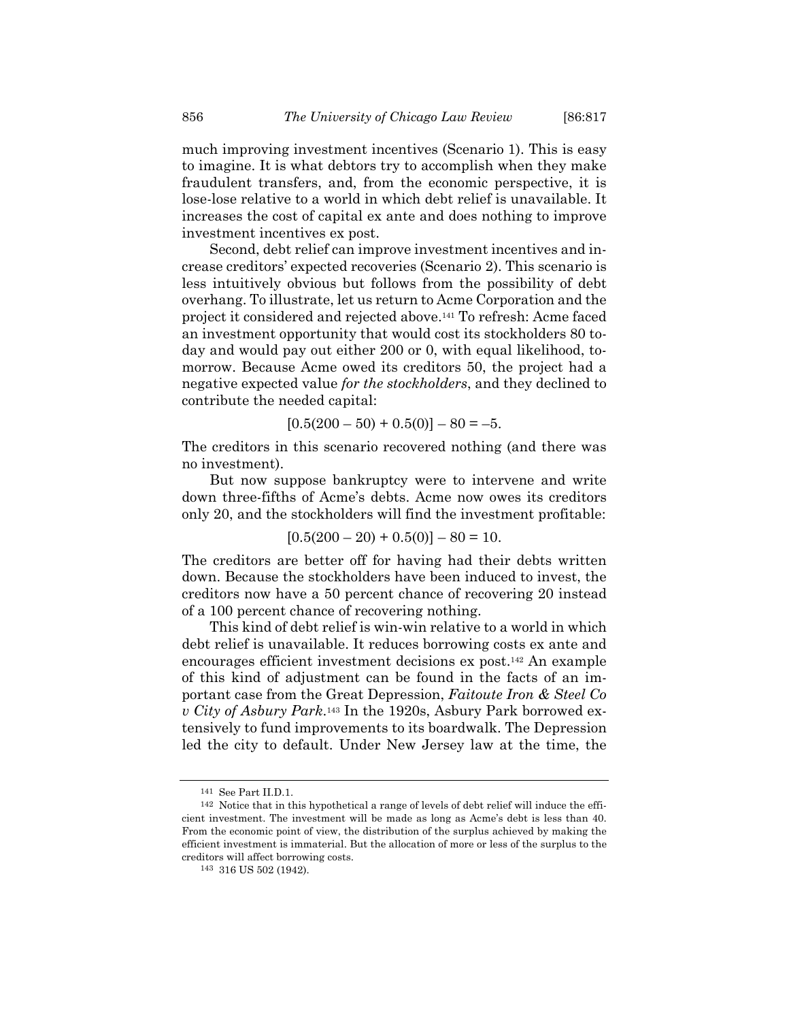much improving investment incentives (Scenario 1). This is easy to imagine. It is what debtors try to accomplish when they make fraudulent transfers, and, from the economic perspective, it is lose-lose relative to a world in which debt relief is unavailable. It increases the cost of capital ex ante and does nothing to improve investment incentives ex post.

Second, debt relief can improve investment incentives and increase creditors' expected recoveries (Scenario 2). This scenario is less intuitively obvious but follows from the possibility of debt overhang. To illustrate, let us return to Acme Corporation and the project it considered and rejected above.141 To refresh: Acme faced an investment opportunity that would cost its stockholders 80 today and would pay out either 200 or 0, with equal likelihood, tomorrow. Because Acme owed its creditors 50, the project had a negative expected value *for the stockholders*, and they declined to contribute the needed capital:

 $[0.5(200 - 50) + 0.5(0)] - 80 = -5.$ 

The creditors in this scenario recovered nothing (and there was no investment).

But now suppose bankruptcy were to intervene and write down three-fifths of Acme's debts. Acme now owes its creditors only 20, and the stockholders will find the investment profitable:

$$
[0.5(200 - 20) + 0.5(0)] - 80 = 10.
$$

The creditors are better off for having had their debts written down. Because the stockholders have been induced to invest, the creditors now have a 50 percent chance of recovering 20 instead of a 100 percent chance of recovering nothing.

This kind of debt relief is win-win relative to a world in which debt relief is unavailable. It reduces borrowing costs ex ante and encourages efficient investment decisions ex post.142 An example of this kind of adjustment can be found in the facts of an important case from the Great Depression, *Faitoute Iron & Steel Co v City of Asbury Park*.143 In the 1920s, Asbury Park borrowed extensively to fund improvements to its boardwalk. The Depression led the city to default. Under New Jersey law at the time, the

<sup>141</sup> See Part II.D.1.

<sup>142</sup> Notice that in this hypothetical a range of levels of debt relief will induce the efficient investment. The investment will be made as long as Acme's debt is less than 40. From the economic point of view, the distribution of the surplus achieved by making the efficient investment is immaterial. But the allocation of more or less of the surplus to the creditors will affect borrowing costs.

<sup>143 316</sup> US 502 (1942).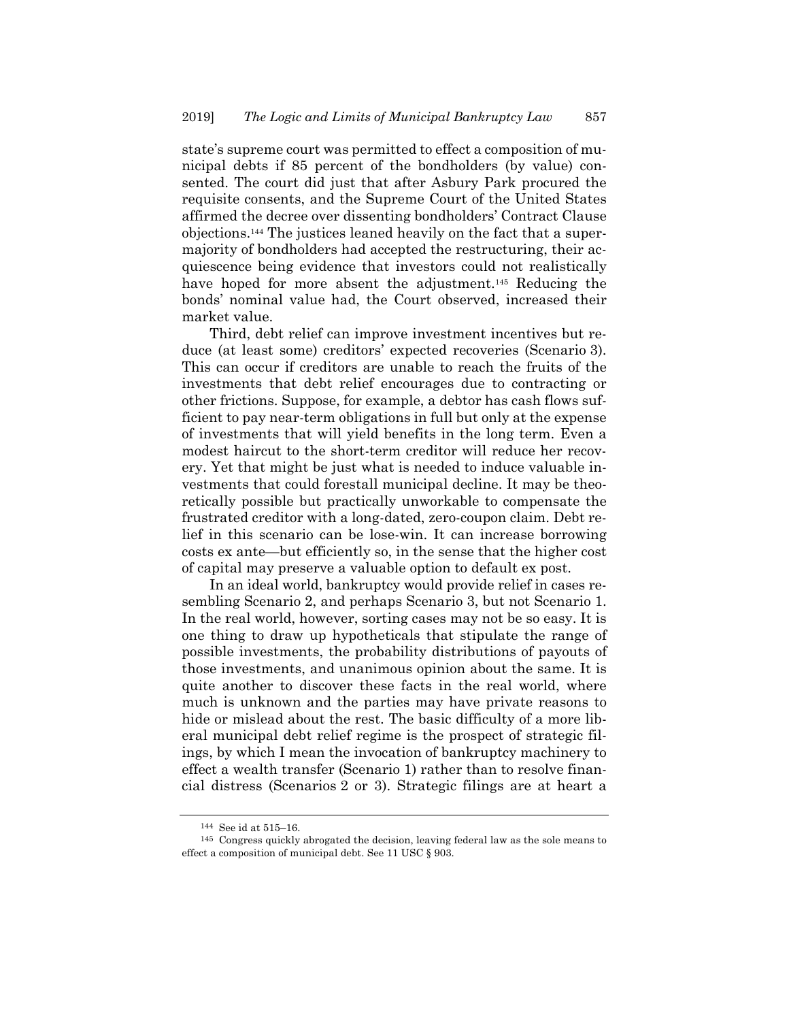state's supreme court was permitted to effect a composition of municipal debts if 85 percent of the bondholders (by value) consented. The court did just that after Asbury Park procured the requisite consents, and the Supreme Court of the United States affirmed the decree over dissenting bondholders' Contract Clause objections.144 The justices leaned heavily on the fact that a supermajority of bondholders had accepted the restructuring, their acquiescence being evidence that investors could not realistically have hoped for more absent the adjustment.<sup>145</sup> Reducing the bonds' nominal value had, the Court observed, increased their market value.

Third, debt relief can improve investment incentives but reduce (at least some) creditors' expected recoveries (Scenario 3). This can occur if creditors are unable to reach the fruits of the investments that debt relief encourages due to contracting or other frictions. Suppose, for example, a debtor has cash flows sufficient to pay near-term obligations in full but only at the expense of investments that will yield benefits in the long term. Even a modest haircut to the short-term creditor will reduce her recovery. Yet that might be just what is needed to induce valuable investments that could forestall municipal decline. It may be theoretically possible but practically unworkable to compensate the frustrated creditor with a long-dated, zero-coupon claim. Debt relief in this scenario can be lose-win. It can increase borrowing costs ex ante—but efficiently so, in the sense that the higher cost of capital may preserve a valuable option to default ex post.

In an ideal world, bankruptcy would provide relief in cases resembling Scenario 2, and perhaps Scenario 3, but not Scenario 1. In the real world, however, sorting cases may not be so easy. It is one thing to draw up hypotheticals that stipulate the range of possible investments, the probability distributions of payouts of those investments, and unanimous opinion about the same. It is quite another to discover these facts in the real world, where much is unknown and the parties may have private reasons to hide or mislead about the rest. The basic difficulty of a more liberal municipal debt relief regime is the prospect of strategic filings, by which I mean the invocation of bankruptcy machinery to effect a wealth transfer (Scenario 1) rather than to resolve financial distress (Scenarios 2 or 3). Strategic filings are at heart a

<sup>144</sup> See id at 515–16.

<sup>145</sup> Congress quickly abrogated the decision, leaving federal law as the sole means to effect a composition of municipal debt. See 11 USC § 903.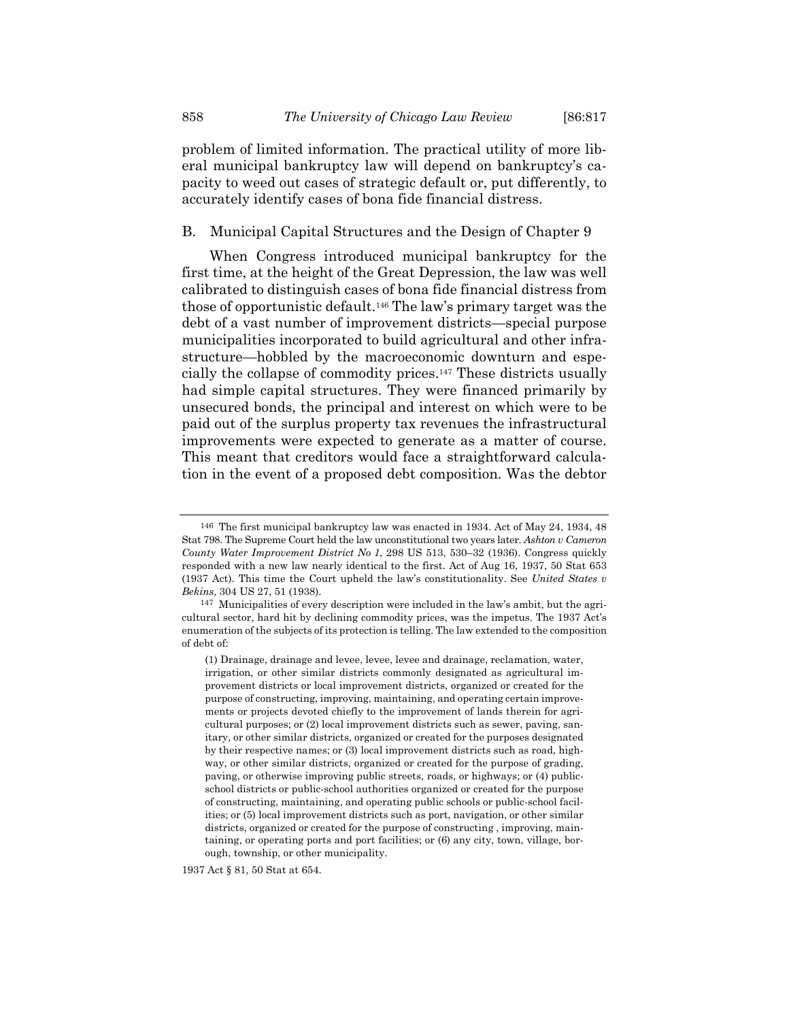problem of limited information. The practical utility of more liberal municipal bankruptcy law will depend on bankruptcy's capacity to weed out cases of strategic default or, put differently, to accurately identify cases of bona fide financial distress.

# B. Municipal Capital Structures and the Design of Chapter 9

When Congress introduced municipal bankruptcy for the first time, at the height of the Great Depression, the law was well calibrated to distinguish cases of bona fide financial distress from those of opportunistic default.146 The law's primary target was the debt of a vast number of improvement districts—special purpose municipalities incorporated to build agricultural and other infrastructure—hobbled by the macroeconomic downturn and especially the collapse of commodity prices.147 These districts usually had simple capital structures. They were financed primarily by unsecured bonds, the principal and interest on which were to be paid out of the surplus property tax revenues the infrastructural improvements were expected to generate as a matter of course. This meant that creditors would face a straightforward calculation in the event of a proposed debt composition. Was the debtor

1937 Act § 81, 50 Stat at 654.

<sup>146</sup> The first municipal bankruptcy law was enacted in 1934. Act of May 24, 1934, 48 Stat 798. The Supreme Court held the law unconstitutional two years later. *Ashton v Cameron County Water Improvement District No 1*, 298 US 513, 530–32 (1936). Congress quickly responded with a new law nearly identical to the first. Act of Aug 16, 1937, 50 Stat 653 (1937 Act). This time the Court upheld the law's constitutionality. See *United States v Bekins*, 304 US 27, 51 (1938).

<sup>147</sup> Municipalities of every description were included in the law's ambit, but the agricultural sector, hard hit by declining commodity prices, was the impetus. The 1937 Act's enumeration of the subjects of its protection is telling. The law extended to the composition of debt of:

<sup>(1)</sup> Drainage, drainage and levee, levee, levee and drainage, reclamation, water, irrigation, or other similar districts commonly designated as agricultural improvement districts or local improvement districts, organized or created for the purpose of constructing, improving, maintaining, and operating certain improvements or projects devoted chiefly to the improvement of lands therein for agricultural purposes; or (2) local improvement districts such as sewer, paving, sanitary, or other similar districts, organized or created for the purposes designated by their respective names; or (3) local improvement districts such as road, highway, or other similar districts, organized or created for the purpose of grading, paving, or otherwise improving public streets, roads, or highways; or (4) publicschool districts or public-school authorities organized or created for the purpose of constructing, maintaining, and operating public schools or public-school facilities; or (5) local improvement districts such as port, navigation, or other similar districts, organized or created for the purpose of constructing , improving, maintaining, or operating ports and port facilities; or (6) any city, town, village, borough, township, or other municipality.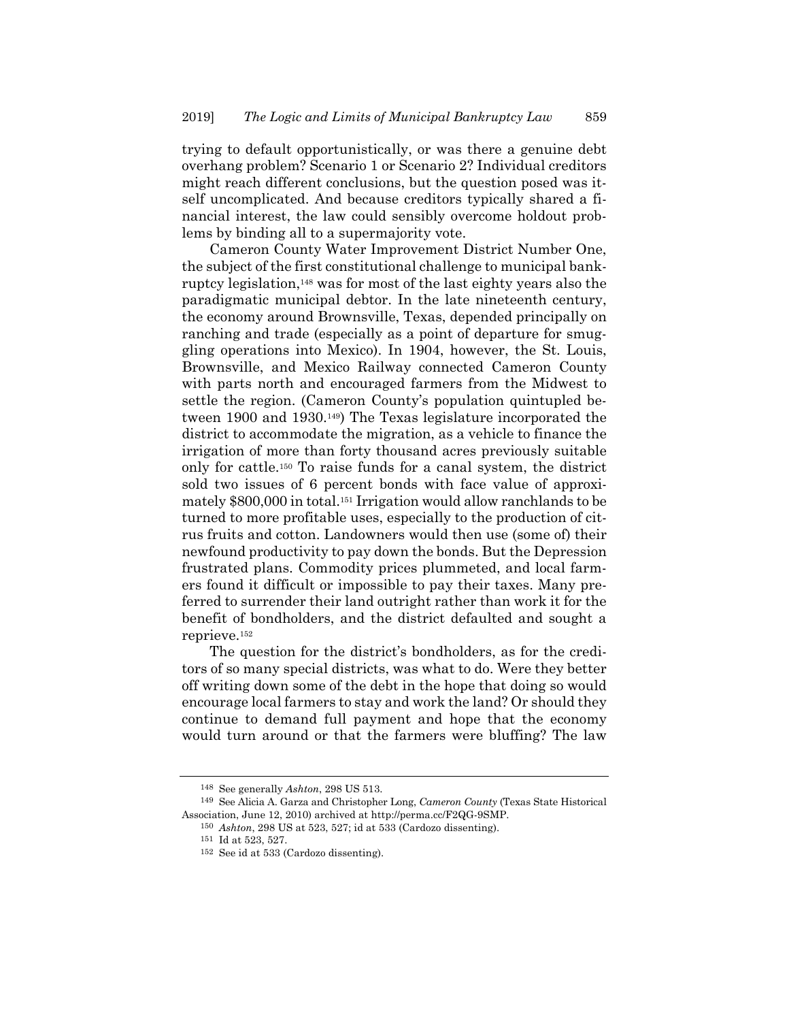trying to default opportunistically, or was there a genuine debt overhang problem? Scenario 1 or Scenario 2? Individual creditors might reach different conclusions, but the question posed was itself uncomplicated. And because creditors typically shared a financial interest, the law could sensibly overcome holdout problems by binding all to a supermajority vote.

Cameron County Water Improvement District Number One, the subject of the first constitutional challenge to municipal bankruptcy legislation,148 was for most of the last eighty years also the paradigmatic municipal debtor. In the late nineteenth century, the economy around Brownsville, Texas, depended principally on ranching and trade (especially as a point of departure for smuggling operations into Mexico). In 1904, however, the St. Louis, Brownsville, and Mexico Railway connected Cameron County with parts north and encouraged farmers from the Midwest to settle the region. (Cameron County's population quintupled between 1900 and 1930.149) The Texas legislature incorporated the district to accommodate the migration, as a vehicle to finance the irrigation of more than forty thousand acres previously suitable only for cattle.150 To raise funds for a canal system, the district sold two issues of 6 percent bonds with face value of approximately \$800,000 in total.151 Irrigation would allow ranchlands to be turned to more profitable uses, especially to the production of citrus fruits and cotton. Landowners would then use (some of) their newfound productivity to pay down the bonds. But the Depression frustrated plans. Commodity prices plummeted, and local farmers found it difficult or impossible to pay their taxes. Many preferred to surrender their land outright rather than work it for the benefit of bondholders, and the district defaulted and sought a reprieve.152

The question for the district's bondholders, as for the creditors of so many special districts, was what to do. Were they better off writing down some of the debt in the hope that doing so would encourage local farmers to stay and work the land? Or should they continue to demand full payment and hope that the economy would turn around or that the farmers were bluffing? The law

<sup>148</sup> See generally *Ashton*, 298 US 513.

<sup>149</sup> See Alicia A. Garza and Christopher Long, *Cameron County* (Texas State Historical Association, June 12, 2010) archived at http://perma.cc/F2QG-9SMP.

<sup>150</sup> *Ashton*, 298 US at 523, 527; id at 533 (Cardozo dissenting).

<sup>151</sup> Id at 523, 527.

<sup>152</sup> See id at 533 (Cardozo dissenting).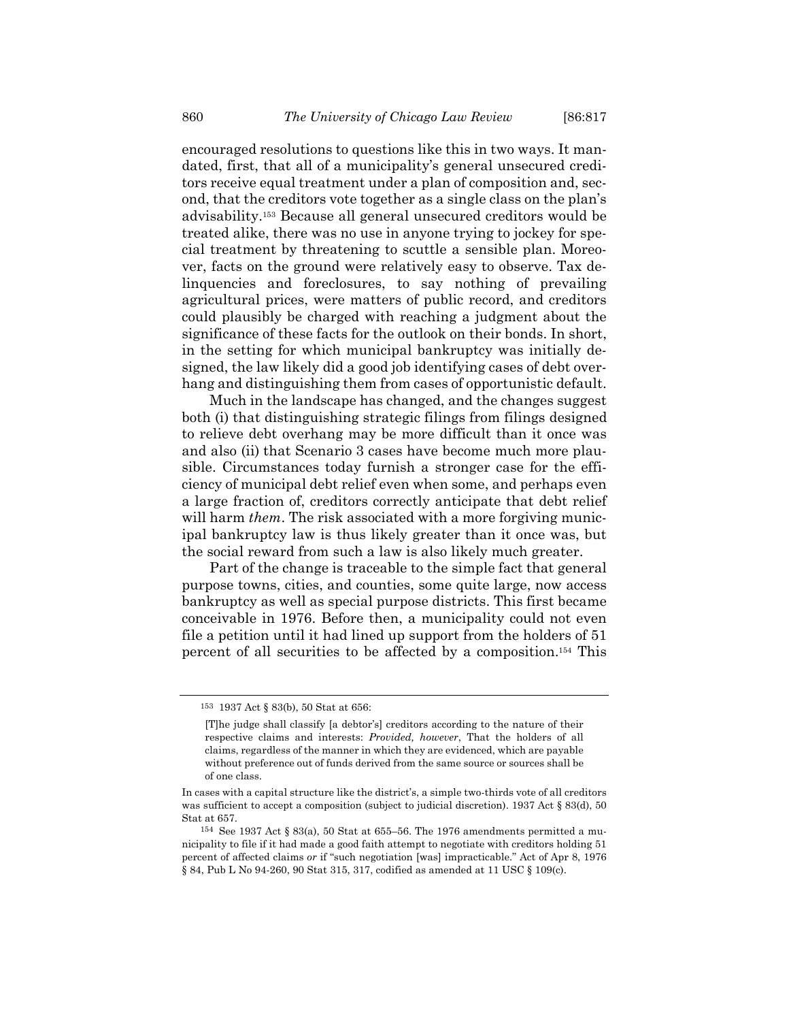encouraged resolutions to questions like this in two ways. It mandated, first, that all of a municipality's general unsecured creditors receive equal treatment under a plan of composition and, second, that the creditors vote together as a single class on the plan's advisability.153 Because all general unsecured creditors would be treated alike, there was no use in anyone trying to jockey for special treatment by threatening to scuttle a sensible plan. Moreover, facts on the ground were relatively easy to observe. Tax delinquencies and foreclosures, to say nothing of prevailing agricultural prices, were matters of public record, and creditors could plausibly be charged with reaching a judgment about the significance of these facts for the outlook on their bonds. In short, in the setting for which municipal bankruptcy was initially designed, the law likely did a good job identifying cases of debt overhang and distinguishing them from cases of opportunistic default.

Much in the landscape has changed, and the changes suggest both (i) that distinguishing strategic filings from filings designed to relieve debt overhang may be more difficult than it once was and also (ii) that Scenario 3 cases have become much more plausible. Circumstances today furnish a stronger case for the efficiency of municipal debt relief even when some, and perhaps even a large fraction of, creditors correctly anticipate that debt relief will harm *them*. The risk associated with a more forgiving municipal bankruptcy law is thus likely greater than it once was, but the social reward from such a law is also likely much greater.

Part of the change is traceable to the simple fact that general purpose towns, cities, and counties, some quite large, now access bankruptcy as well as special purpose districts. This first became conceivable in 1976. Before then, a municipality could not even file a petition until it had lined up support from the holders of 51 percent of all securities to be affected by a composition.154 This

<sup>153 1937</sup> Act § 83(b), 50 Stat at 656:

<sup>[</sup>T]he judge shall classify [a debtor's] creditors according to the nature of their respective claims and interests: *Provided, however*, That the holders of all claims, regardless of the manner in which they are evidenced, which are payable without preference out of funds derived from the same source or sources shall be of one class.

In cases with a capital structure like the district's, a simple two-thirds vote of all creditors was sufficient to accept a composition (subject to judicial discretion). 1937 Act § 83(d), 50 Stat at 657.

<sup>154</sup> See 1937 Act § 83(a), 50 Stat at 655–56. The 1976 amendments permitted a municipality to file if it had made a good faith attempt to negotiate with creditors holding 51 percent of affected claims *or* if "such negotiation [was] impracticable." Act of Apr 8, 1976 § 84, Pub L No 94-260, 90 Stat 315, 317, codified as amended at 11 USC § 109(c).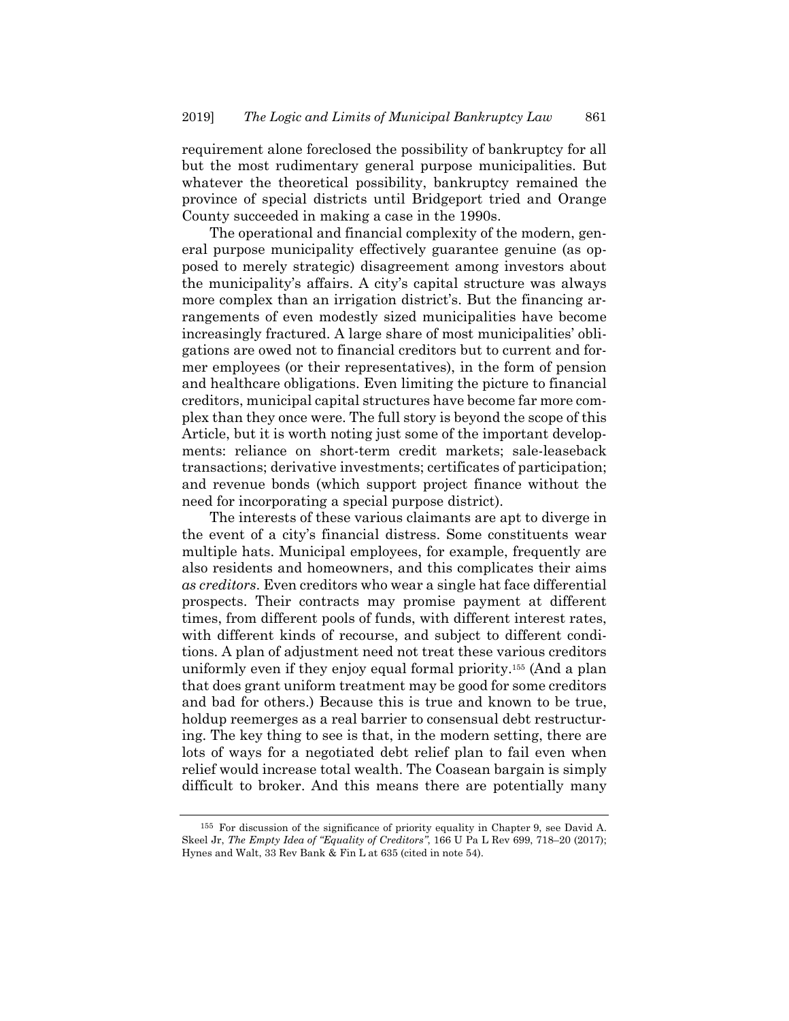requirement alone foreclosed the possibility of bankruptcy for all but the most rudimentary general purpose municipalities. But whatever the theoretical possibility, bankruptcy remained the province of special districts until Bridgeport tried and Orange County succeeded in making a case in the 1990s.

The operational and financial complexity of the modern, general purpose municipality effectively guarantee genuine (as opposed to merely strategic) disagreement among investors about the municipality's affairs. A city's capital structure was always more complex than an irrigation district's. But the financing arrangements of even modestly sized municipalities have become increasingly fractured. A large share of most municipalities' obligations are owed not to financial creditors but to current and former employees (or their representatives), in the form of pension and healthcare obligations. Even limiting the picture to financial creditors, municipal capital structures have become far more complex than they once were. The full story is beyond the scope of this Article, but it is worth noting just some of the important developments: reliance on short-term credit markets; sale-leaseback transactions; derivative investments; certificates of participation; and revenue bonds (which support project finance without the need for incorporating a special purpose district).

The interests of these various claimants are apt to diverge in the event of a city's financial distress. Some constituents wear multiple hats. Municipal employees, for example, frequently are also residents and homeowners, and this complicates their aims *as creditors*. Even creditors who wear a single hat face differential prospects. Their contracts may promise payment at different times, from different pools of funds, with different interest rates, with different kinds of recourse, and subject to different conditions. A plan of adjustment need not treat these various creditors uniformly even if they enjoy equal formal priority.155 (And a plan that does grant uniform treatment may be good for some creditors and bad for others.) Because this is true and known to be true, holdup reemerges as a real barrier to consensual debt restructuring. The key thing to see is that, in the modern setting, there are lots of ways for a negotiated debt relief plan to fail even when relief would increase total wealth. The Coasean bargain is simply difficult to broker. And this means there are potentially many

<sup>155</sup> For discussion of the significance of priority equality in Chapter 9, see David A. Skeel Jr, *The Empty Idea of "Equality of Creditors"*, 166 U Pa L Rev 699, 718–20 (2017); Hynes and Walt, 33 Rev Bank & Fin L at 635 (cited in note 54).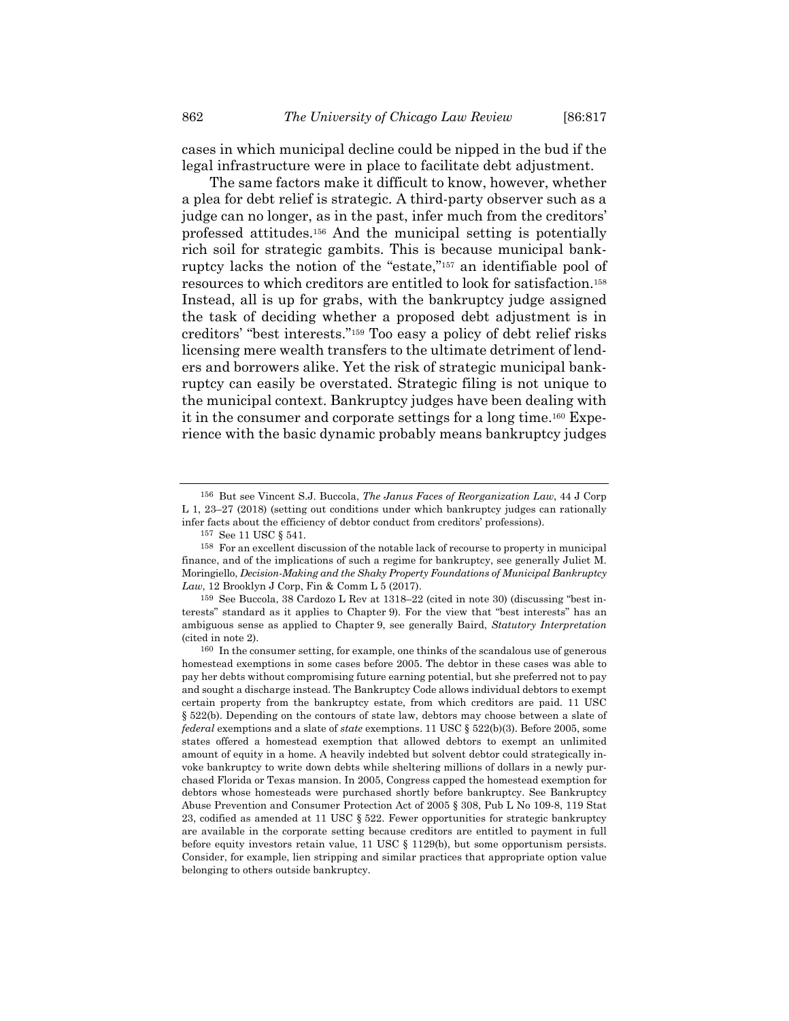cases in which municipal decline could be nipped in the bud if the legal infrastructure were in place to facilitate debt adjustment.

The same factors make it difficult to know, however, whether a plea for debt relief is strategic. A third-party observer such as a judge can no longer, as in the past, infer much from the creditors' professed attitudes.156 And the municipal setting is potentially rich soil for strategic gambits. This is because municipal bankruptcy lacks the notion of the "estate,"157 an identifiable pool of resources to which creditors are entitled to look for satisfaction.158 Instead, all is up for grabs, with the bankruptcy judge assigned the task of deciding whether a proposed debt adjustment is in creditors' "best interests."159 Too easy a policy of debt relief risks licensing mere wealth transfers to the ultimate detriment of lenders and borrowers alike. Yet the risk of strategic municipal bankruptcy can easily be overstated. Strategic filing is not unique to the municipal context. Bankruptcy judges have been dealing with it in the consumer and corporate settings for a long time.160 Experience with the basic dynamic probably means bankruptcy judges

<sup>156</sup> But see Vincent S.J. Buccola, *The Janus Faces of Reorganization Law*, 44 J Corp L 1, 23–27 (2018) (setting out conditions under which bankruptcy judges can rationally infer facts about the efficiency of debtor conduct from creditors' professions).

<sup>157</sup> See 11 USC § 541.

<sup>158</sup> For an excellent discussion of the notable lack of recourse to property in municipal finance, and of the implications of such a regime for bankruptcy, see generally Juliet M. Moringiello, *Decision-Making and the Shaky Property Foundations of Municipal Bankruptcy Law*, 12 Brooklyn J Corp, Fin & Comm L 5 (2017).

<sup>159</sup> See Buccola, 38 Cardozo L Rev at 1318–22 (cited in note 30) (discussing "best interests" standard as it applies to Chapter 9). For the view that "best interests" has an ambiguous sense as applied to Chapter 9, see generally Baird, *Statutory Interpretation* (cited in note 2).

<sup>160</sup> In the consumer setting, for example, one thinks of the scandalous use of generous homestead exemptions in some cases before 2005. The debtor in these cases was able to pay her debts without compromising future earning potential, but she preferred not to pay and sought a discharge instead. The Bankruptcy Code allows individual debtors to exempt certain property from the bankruptcy estate, from which creditors are paid. 11 USC § 522(b). Depending on the contours of state law, debtors may choose between a slate of *federal* exemptions and a slate of *state* exemptions. 11 USC § 522(b)(3). Before 2005, some states offered a homestead exemption that allowed debtors to exempt an unlimited amount of equity in a home. A heavily indebted but solvent debtor could strategically invoke bankruptcy to write down debts while sheltering millions of dollars in a newly purchased Florida or Texas mansion. In 2005, Congress capped the homestead exemption for debtors whose homesteads were purchased shortly before bankruptcy. See Bankruptcy Abuse Prevention and Consumer Protection Act of 2005 § 308, Pub L No 109-8, 119 Stat 23, codified as amended at 11 USC § 522. Fewer opportunities for strategic bankruptcy are available in the corporate setting because creditors are entitled to payment in full before equity investors retain value, 11 USC § 1129(b), but some opportunism persists. Consider, for example, lien stripping and similar practices that appropriate option value belonging to others outside bankruptcy.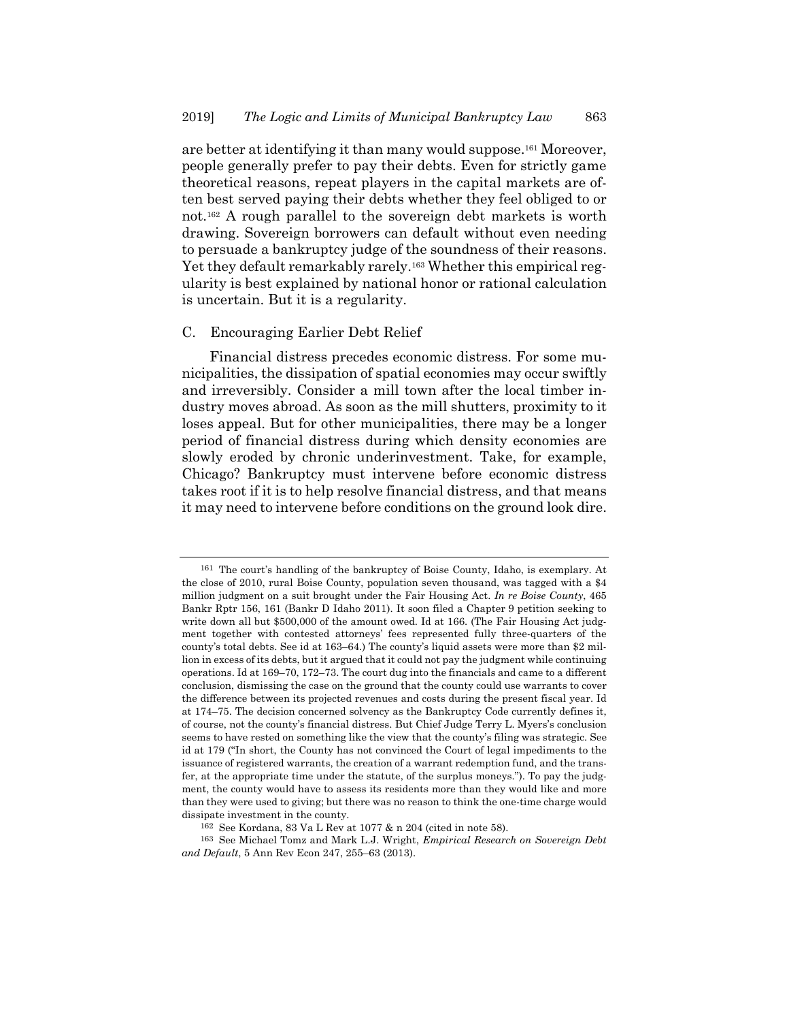are better at identifying it than many would suppose.161 Moreover, people generally prefer to pay their debts. Even for strictly game theoretical reasons, repeat players in the capital markets are often best served paying their debts whether they feel obliged to or not.162 A rough parallel to the sovereign debt markets is worth drawing. Sovereign borrowers can default without even needing to persuade a bankruptcy judge of the soundness of their reasons. Yet they default remarkably rarely.<sup>163</sup> Whether this empirical regularity is best explained by national honor or rational calculation is uncertain. But it is a regularity.

#### C. Encouraging Earlier Debt Relief

Financial distress precedes economic distress. For some municipalities, the dissipation of spatial economies may occur swiftly and irreversibly. Consider a mill town after the local timber industry moves abroad. As soon as the mill shutters, proximity to it loses appeal. But for other municipalities, there may be a longer period of financial distress during which density economies are slowly eroded by chronic underinvestment. Take, for example, Chicago? Bankruptcy must intervene before economic distress takes root if it is to help resolve financial distress, and that means it may need to intervene before conditions on the ground look dire.

<sup>161</sup> The court's handling of the bankruptcy of Boise County, Idaho, is exemplary. At the close of 2010, rural Boise County, population seven thousand, was tagged with a \$4 million judgment on a suit brought under the Fair Housing Act. *In re Boise County*, 465 Bankr Rptr 156, 161 (Bankr D Idaho 2011). It soon filed a Chapter 9 petition seeking to write down all but \$500,000 of the amount owed. Id at 166. (The Fair Housing Act judgment together with contested attorneys' fees represented fully three-quarters of the county's total debts. See id at 163–64.) The county's liquid assets were more than \$2 million in excess of its debts, but it argued that it could not pay the judgment while continuing operations. Id at 169–70, 172–73. The court dug into the financials and came to a different conclusion, dismissing the case on the ground that the county could use warrants to cover the difference between its projected revenues and costs during the present fiscal year. Id at 174–75. The decision concerned solvency as the Bankruptcy Code currently defines it, of course, not the county's financial distress. But Chief Judge Terry L. Myers's conclusion seems to have rested on something like the view that the county's filing was strategic. See id at 179 ("In short, the County has not convinced the Court of legal impediments to the issuance of registered warrants, the creation of a warrant redemption fund, and the transfer, at the appropriate time under the statute, of the surplus moneys."). To pay the judgment, the county would have to assess its residents more than they would like and more than they were used to giving; but there was no reason to think the one-time charge would dissipate investment in the county.

<sup>162</sup> See Kordana, 83 Va L Rev at 1077 & n 204 (cited in note 58).

<sup>163</sup> See Michael Tomz and Mark L.J. Wright, *Empirical Research on Sovereign Debt and Default*, 5 Ann Rev Econ 247, 255–63 (2013).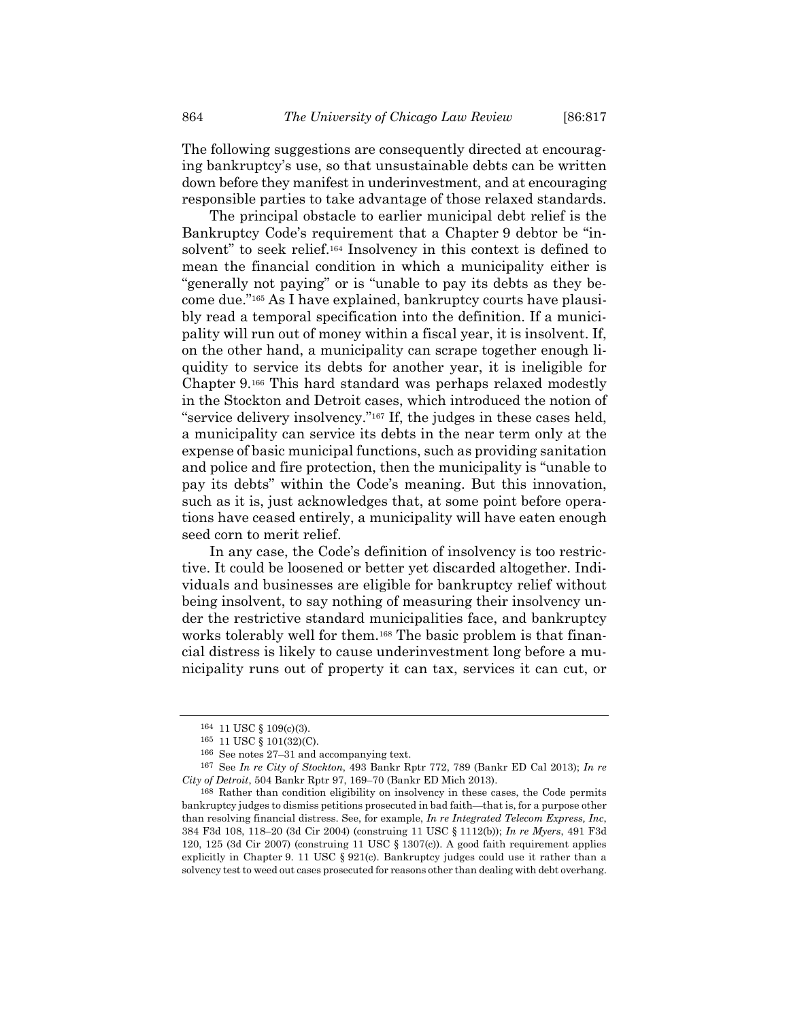The following suggestions are consequently directed at encouraging bankruptcy's use, so that unsustainable debts can be written down before they manifest in underinvestment, and at encouraging responsible parties to take advantage of those relaxed standards.

The principal obstacle to earlier municipal debt relief is the Bankruptcy Code's requirement that a Chapter 9 debtor be "insolvent" to seek relief.164 Insolvency in this context is defined to mean the financial condition in which a municipality either is "generally not paying" or is "unable to pay its debts as they become due."165 As I have explained, bankruptcy courts have plausibly read a temporal specification into the definition. If a municipality will run out of money within a fiscal year, it is insolvent. If, on the other hand, a municipality can scrape together enough liquidity to service its debts for another year, it is ineligible for Chapter 9.166 This hard standard was perhaps relaxed modestly in the Stockton and Detroit cases, which introduced the notion of "service delivery insolvency."167 If, the judges in these cases held, a municipality can service its debts in the near term only at the expense of basic municipal functions, such as providing sanitation and police and fire protection, then the municipality is "unable to pay its debts" within the Code's meaning. But this innovation, such as it is, just acknowledges that, at some point before operations have ceased entirely, a municipality will have eaten enough seed corn to merit relief.

In any case, the Code's definition of insolvency is too restrictive. It could be loosened or better yet discarded altogether. Individuals and businesses are eligible for bankruptcy relief without being insolvent, to say nothing of measuring their insolvency under the restrictive standard municipalities face, and bankruptcy works tolerably well for them.168 The basic problem is that financial distress is likely to cause underinvestment long before a municipality runs out of property it can tax, services it can cut, or

<sup>164 11</sup> USC § 109(c)(3).

<sup>165 11</sup> USC § 101(32)(C).

<sup>166</sup> See notes 27–31 and accompanying text.

<sup>167</sup> See *In re City of Stockton*, 493 Bankr Rptr 772, 789 (Bankr ED Cal 2013); *In re City of Detroit*, 504 Bankr Rptr 97, 169–70 (Bankr ED Mich 2013).

<sup>168</sup> Rather than condition eligibility on insolvency in these cases, the Code permits bankruptcy judges to dismiss petitions prosecuted in bad faith—that is, for a purpose other than resolving financial distress. See, for example, *In re Integrated Telecom Express, Inc*, 384 F3d 108, 118–20 (3d Cir 2004) (construing 11 USC § 1112(b)); *In re Myers*, 491 F3d 120, 125 (3d Cir 2007) (construing 11 USC  $\S$  1307(c)). A good faith requirement applies explicitly in Chapter 9. 11 USC  $\S 921(c)$ . Bankruptcy judges could use it rather than a solvency test to weed out cases prosecuted for reasons other than dealing with debt overhang.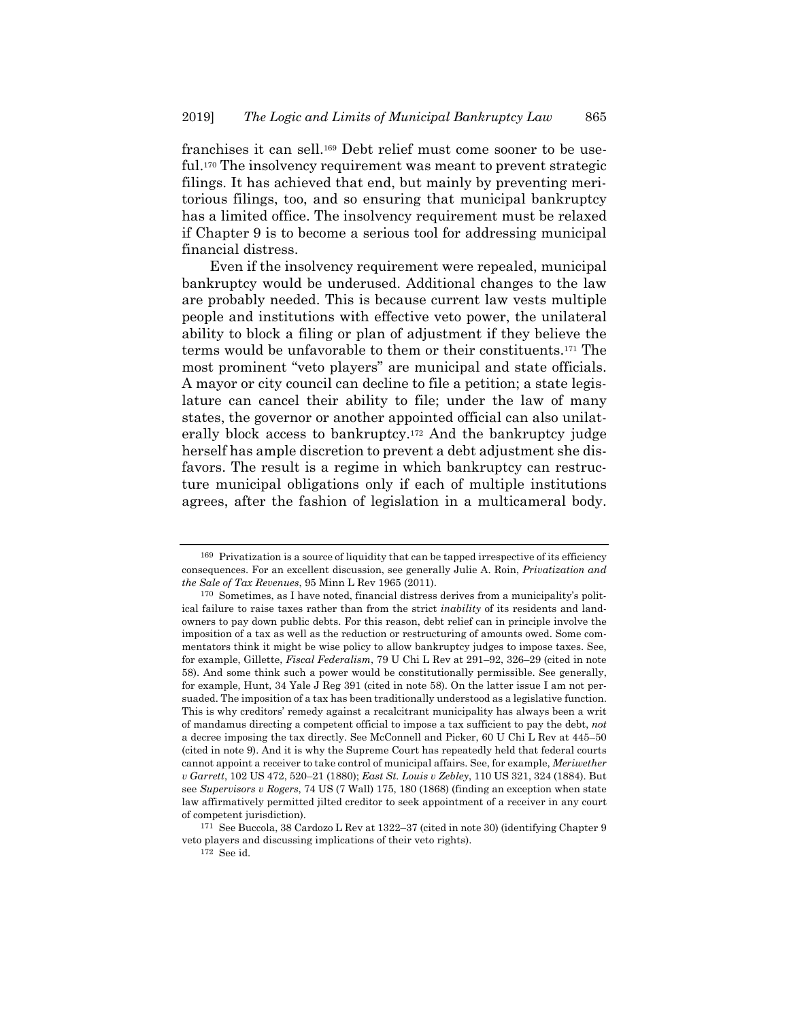franchises it can sell.169 Debt relief must come sooner to be useful.170 The insolvency requirement was meant to prevent strategic filings. It has achieved that end, but mainly by preventing meritorious filings, too, and so ensuring that municipal bankruptcy has a limited office. The insolvency requirement must be relaxed if Chapter 9 is to become a serious tool for addressing municipal financial distress.

Even if the insolvency requirement were repealed, municipal bankruptcy would be underused. Additional changes to the law are probably needed. This is because current law vests multiple people and institutions with effective veto power, the unilateral ability to block a filing or plan of adjustment if they believe the terms would be unfavorable to them or their constituents.171 The most prominent "veto players" are municipal and state officials. A mayor or city council can decline to file a petition; a state legislature can cancel their ability to file; under the law of many states, the governor or another appointed official can also unilaterally block access to bankruptcy.172 And the bankruptcy judge herself has ample discretion to prevent a debt adjustment she disfavors. The result is a regime in which bankruptcy can restructure municipal obligations only if each of multiple institutions agrees, after the fashion of legislation in a multicameral body.

<sup>169</sup> Privatization is a source of liquidity that can be tapped irrespective of its efficiency consequences. For an excellent discussion, see generally Julie A. Roin, *Privatization and the Sale of Tax Revenues*, 95 Minn L Rev 1965 (2011).

<sup>170</sup> Sometimes, as I have noted, financial distress derives from a municipality's political failure to raise taxes rather than from the strict *inability* of its residents and landowners to pay down public debts. For this reason, debt relief can in principle involve the imposition of a tax as well as the reduction or restructuring of amounts owed. Some commentators think it might be wise policy to allow bankruptcy judges to impose taxes. See, for example, Gillette, *Fiscal Federalism*, 79 U Chi L Rev at 291–92, 326–29 (cited in note 58). And some think such a power would be constitutionally permissible. See generally, for example, Hunt, 34 Yale J Reg 391 (cited in note 58). On the latter issue I am not persuaded. The imposition of a tax has been traditionally understood as a legislative function. This is why creditors' remedy against a recalcitrant municipality has always been a writ of mandamus directing a competent official to impose a tax sufficient to pay the debt, *not* a decree imposing the tax directly. See McConnell and Picker, 60 U Chi L Rev at 445–50 (cited in note 9). And it is why the Supreme Court has repeatedly held that federal courts cannot appoint a receiver to take control of municipal affairs. See, for example, *Meriwether v Garrett*, 102 US 472, 520–21 (1880); *East St. Louis v Zebley*, 110 US 321, 324 (1884). But see *Supervisors v Rogers*, 74 US (7 Wall) 175, 180 (1868) (finding an exception when state law affirmatively permitted jilted creditor to seek appointment of a receiver in any court of competent jurisdiction).

<sup>171</sup> See Buccola, 38 Cardozo L Rev at 1322–37 (cited in note 30) (identifying Chapter 9 veto players and discussing implications of their veto rights).

<sup>172</sup> See id.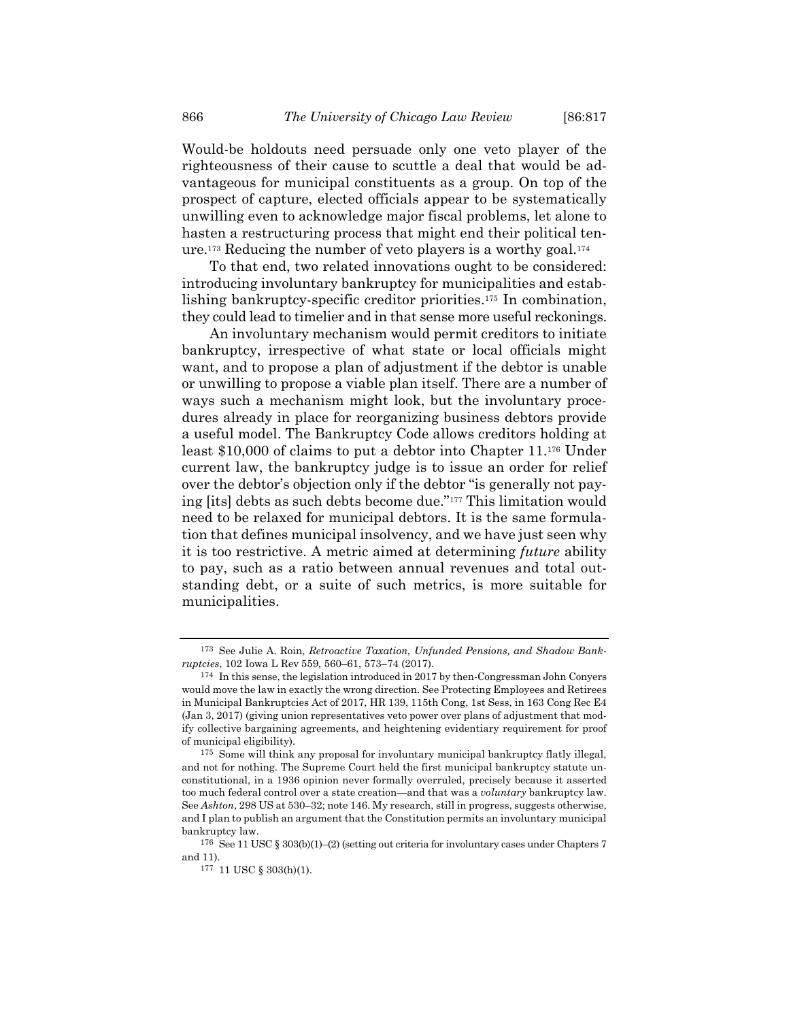Would-be holdouts need persuade only one veto player of the righteousness of their cause to scuttle a deal that would be advantageous for municipal constituents as a group. On top of the prospect of capture, elected officials appear to be systematically unwilling even to acknowledge major fiscal problems, let alone to hasten a restructuring process that might end their political tenure.173 Reducing the number of veto players is a worthy goal.174

To that end, two related innovations ought to be considered: introducing involuntary bankruptcy for municipalities and establishing bankruptcy-specific creditor priorities.175 In combination, they could lead to timelier and in that sense more useful reckonings.

An involuntary mechanism would permit creditors to initiate bankruptcy, irrespective of what state or local officials might want, and to propose a plan of adjustment if the debtor is unable or unwilling to propose a viable plan itself. There are a number of ways such a mechanism might look, but the involuntary procedures already in place for reorganizing business debtors provide a useful model. The Bankruptcy Code allows creditors holding at least \$10,000 of claims to put a debtor into Chapter 11.176 Under current law, the bankruptcy judge is to issue an order for relief over the debtor's objection only if the debtor "is generally not paying [its] debts as such debts become due."177 This limitation would need to be relaxed for municipal debtors. It is the same formulation that defines municipal insolvency, and we have just seen why it is too restrictive. A metric aimed at determining *future* ability to pay, such as a ratio between annual revenues and total outstanding debt, or a suite of such metrics, is more suitable for municipalities.

<sup>173</sup> See Julie A. Roin, *Retroactive Taxation, Unfunded Pensions, and Shadow Bankruptcies*, 102 Iowa L Rev 559, 560–61, 573–74 (2017).

<sup>174</sup> In this sense, the legislation introduced in 2017 by then-Congressman John Conyers would move the law in exactly the wrong direction. See Protecting Employees and Retirees in Municipal Bankruptcies Act of 2017, HR 139, 115th Cong, 1st Sess, in 163 Cong Rec E4 (Jan 3, 2017) (giving union representatives veto power over plans of adjustment that modify collective bargaining agreements, and heightening evidentiary requirement for proof of municipal eligibility).

<sup>175</sup> Some will think any proposal for involuntary municipal bankruptcy flatly illegal, and not for nothing. The Supreme Court held the first municipal bankruptcy statute unconstitutional, in a 1936 opinion never formally overruled, precisely because it asserted too much federal control over a state creation—and that was a *voluntary* bankruptcy law. See *Ashton*, 298 US at 530–32; note 146. My research, still in progress, suggests otherwise, and I plan to publish an argument that the Constitution permits an involuntary municipal bankruptcy law.

<sup>176</sup> See 11 USC § 303(b)(1)–(2) (setting out criteria for involuntary cases under Chapters 7 and 11).

<sup>177 11</sup> USC § 303(h)(1).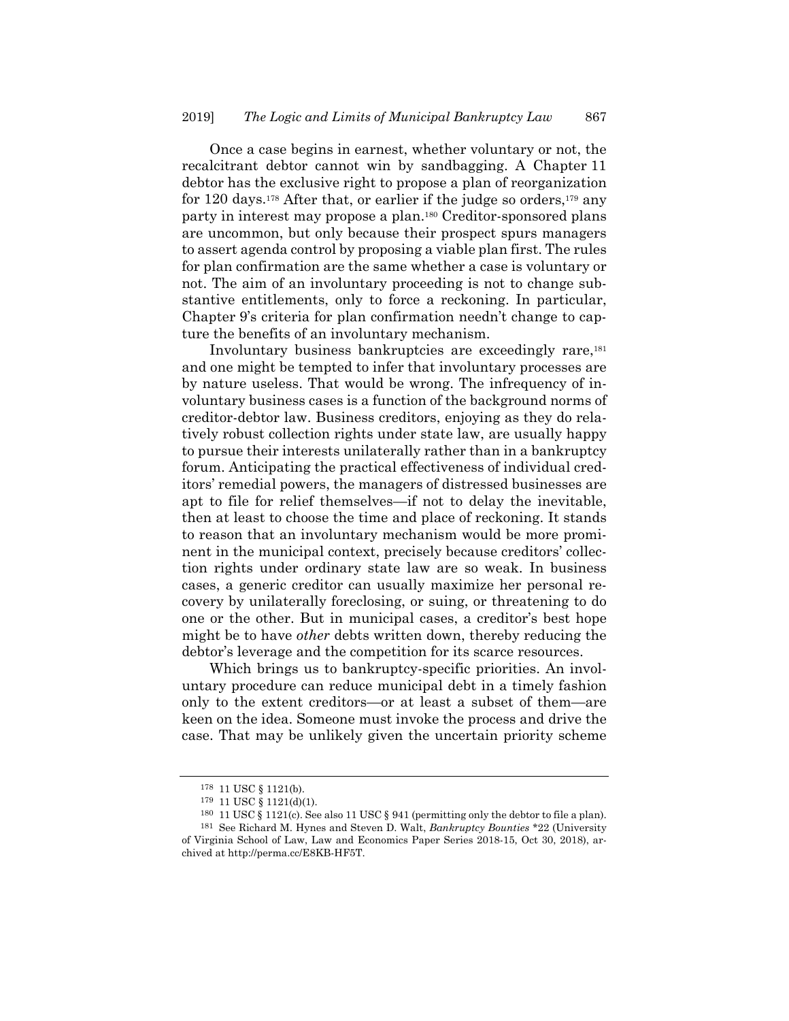Once a case begins in earnest, whether voluntary or not, the recalcitrant debtor cannot win by sandbagging. A Chapter 11 debtor has the exclusive right to propose a plan of reorganization for 120 days.178 After that, or earlier if the judge so orders,179 any party in interest may propose a plan.180 Creditor-sponsored plans are uncommon, but only because their prospect spurs managers to assert agenda control by proposing a viable plan first. The rules for plan confirmation are the same whether a case is voluntary or not. The aim of an involuntary proceeding is not to change substantive entitlements, only to force a reckoning. In particular, Chapter 9's criteria for plan confirmation needn't change to capture the benefits of an involuntary mechanism.

Involuntary business bankruptcies are exceedingly rare,181 and one might be tempted to infer that involuntary processes are by nature useless. That would be wrong. The infrequency of involuntary business cases is a function of the background norms of creditor-debtor law. Business creditors, enjoying as they do relatively robust collection rights under state law, are usually happy to pursue their interests unilaterally rather than in a bankruptcy forum. Anticipating the practical effectiveness of individual creditors' remedial powers, the managers of distressed businesses are apt to file for relief themselves—if not to delay the inevitable, then at least to choose the time and place of reckoning. It stands to reason that an involuntary mechanism would be more prominent in the municipal context, precisely because creditors' collection rights under ordinary state law are so weak. In business cases, a generic creditor can usually maximize her personal recovery by unilaterally foreclosing, or suing, or threatening to do one or the other. But in municipal cases, a creditor's best hope might be to have *other* debts written down, thereby reducing the debtor's leverage and the competition for its scarce resources.

Which brings us to bankruptcy-specific priorities. An involuntary procedure can reduce municipal debt in a timely fashion only to the extent creditors—or at least a subset of them—are keen on the idea. Someone must invoke the process and drive the case. That may be unlikely given the uncertain priority scheme

<sup>178 11</sup> USC § 1121(b).

<sup>179 11</sup> USC § 1121(d)(1).

<sup>180 11</sup> USC § 1121(c). See also 11 USC § 941 (permitting only the debtor to file a plan).

<sup>181</sup> See Richard M. Hynes and Steven D. Walt, *Bankruptcy Bounties* \*22 (University of Virginia School of Law, Law and Economics Paper Series 2018-15, Oct 30, 2018), archived at http://perma.cc/E8KB-HF5T.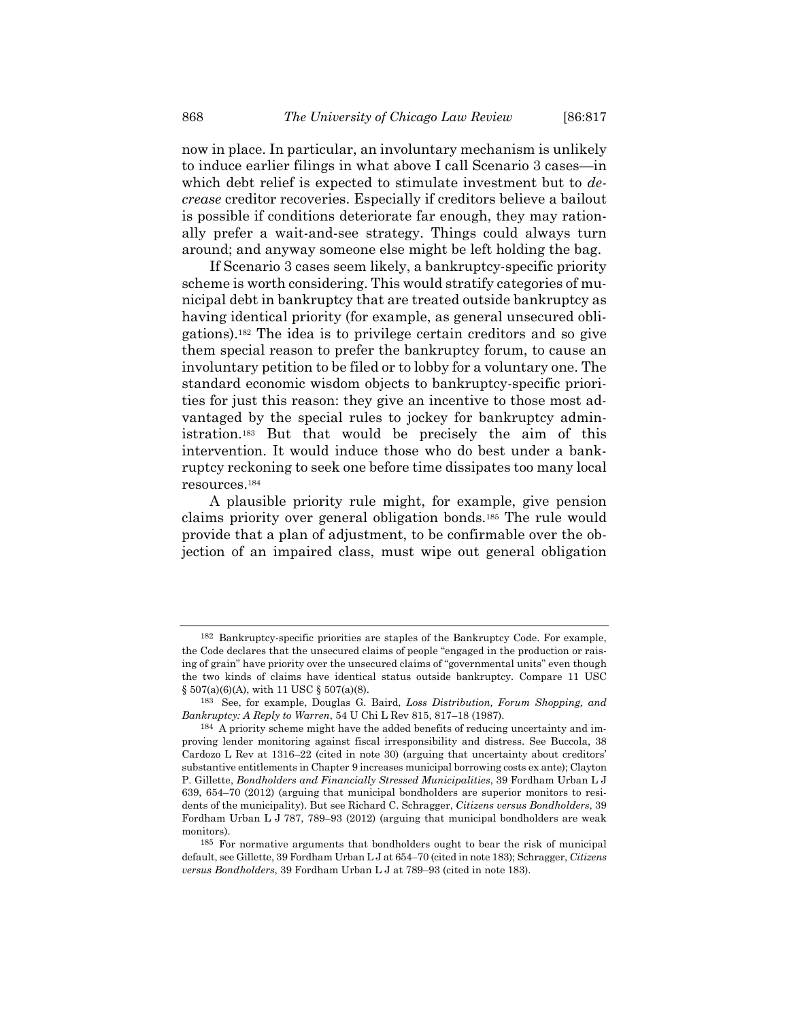now in place. In particular, an involuntary mechanism is unlikely to induce earlier filings in what above I call Scenario 3 cases—in which debt relief is expected to stimulate investment but to *decrease* creditor recoveries. Especially if creditors believe a bailout is possible if conditions deteriorate far enough, they may rationally prefer a wait-and-see strategy. Things could always turn around; and anyway someone else might be left holding the bag.

If Scenario 3 cases seem likely, a bankruptcy-specific priority scheme is worth considering. This would stratify categories of municipal debt in bankruptcy that are treated outside bankruptcy as having identical priority (for example, as general unsecured obligations).182 The idea is to privilege certain creditors and so give them special reason to prefer the bankruptcy forum, to cause an involuntary petition to be filed or to lobby for a voluntary one. The standard economic wisdom objects to bankruptcy-specific priorities for just this reason: they give an incentive to those most advantaged by the special rules to jockey for bankruptcy administration.183 But that would be precisely the aim of this intervention. It would induce those who do best under a bankruptcy reckoning to seek one before time dissipates too many local resources.184

A plausible priority rule might, for example, give pension claims priority over general obligation bonds.185 The rule would provide that a plan of adjustment, to be confirmable over the objection of an impaired class, must wipe out general obligation

<sup>182</sup> Bankruptcy-specific priorities are staples of the Bankruptcy Code. For example, the Code declares that the unsecured claims of people "engaged in the production or raising of grain" have priority over the unsecured claims of "governmental units" even though the two kinds of claims have identical status outside bankruptcy. Compare 11 USC  $\S 507(a)(6)(A)$ , with 11 USC  $\S 507(a)(8)$ .

<sup>183</sup> See, for example, Douglas G. Baird, *Loss Distribution, Forum Shopping, and Bankruptcy: A Reply to Warren*, 54 U Chi L Rev 815, 817–18 (1987).

<sup>184</sup> A priority scheme might have the added benefits of reducing uncertainty and improving lender monitoring against fiscal irresponsibility and distress. See Buccola, 38 Cardozo L Rev at 1316–22 (cited in note 30) (arguing that uncertainty about creditors' substantive entitlements in Chapter 9 increases municipal borrowing costs ex ante); Clayton P. Gillette, *Bondholders and Financially Stressed Municipalities*, 39 Fordham Urban L J 639, 654–70 (2012) (arguing that municipal bondholders are superior monitors to residents of the municipality). But see Richard C. Schragger, *Citizens versus Bondholders*, 39 Fordham Urban L J 787, 789–93 (2012) (arguing that municipal bondholders are weak monitors).

<sup>185</sup> For normative arguments that bondholders ought to bear the risk of municipal default, see Gillette, 39 Fordham Urban L J at 654–70 (cited in note 183); Schragger, *Citizens versus Bondholders*, 39 Fordham Urban L J at 789–93 (cited in note 183).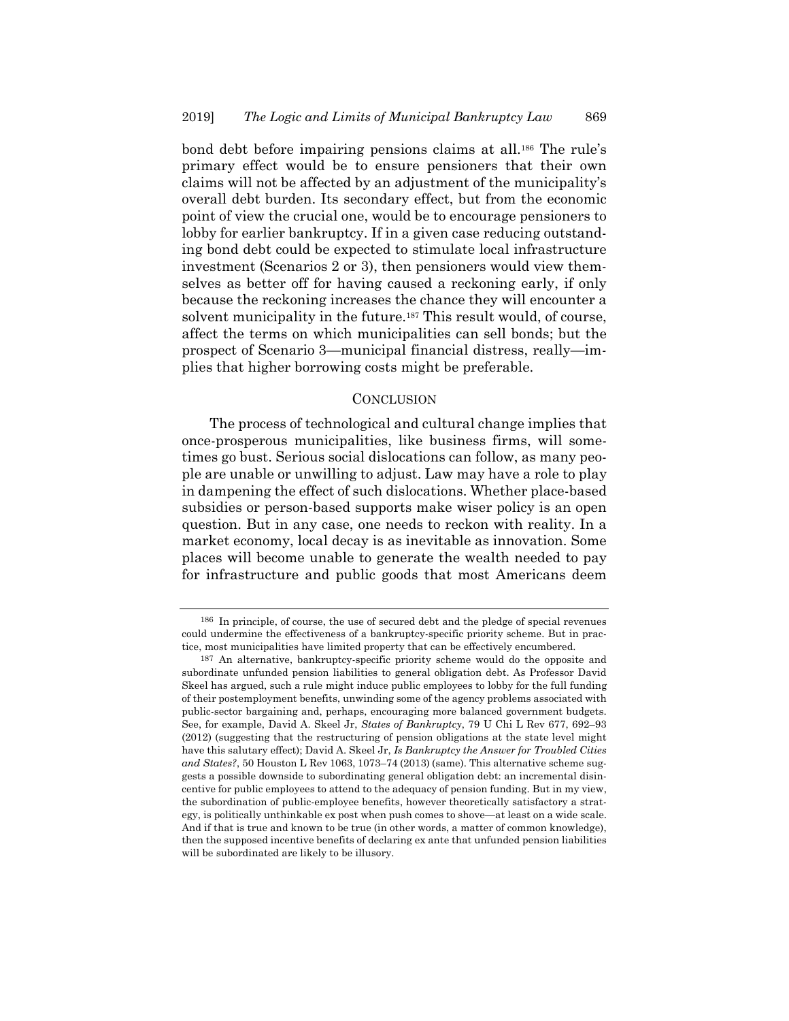bond debt before impairing pensions claims at all.186 The rule's primary effect would be to ensure pensioners that their own claims will not be affected by an adjustment of the municipality's overall debt burden. Its secondary effect, but from the economic point of view the crucial one, would be to encourage pensioners to lobby for earlier bankruptcy. If in a given case reducing outstanding bond debt could be expected to stimulate local infrastructure investment (Scenarios 2 or 3), then pensioners would view themselves as better off for having caused a reckoning early, if only because the reckoning increases the chance they will encounter a solvent municipality in the future.187 This result would, of course, affect the terms on which municipalities can sell bonds; but the prospect of Scenario 3—municipal financial distress, really—implies that higher borrowing costs might be preferable.

#### **CONCLUSION**

The process of technological and cultural change implies that once-prosperous municipalities, like business firms, will sometimes go bust. Serious social dislocations can follow, as many people are unable or unwilling to adjust. Law may have a role to play in dampening the effect of such dislocations. Whether place-based subsidies or person-based supports make wiser policy is an open question. But in any case, one needs to reckon with reality. In a market economy, local decay is as inevitable as innovation. Some places will become unable to generate the wealth needed to pay for infrastructure and public goods that most Americans deem

<sup>186</sup> In principle, of course, the use of secured debt and the pledge of special revenues could undermine the effectiveness of a bankruptcy-specific priority scheme. But in practice, most municipalities have limited property that can be effectively encumbered.

<sup>187</sup> An alternative, bankruptcy-specific priority scheme would do the opposite and subordinate unfunded pension liabilities to general obligation debt. As Professor David Skeel has argued, such a rule might induce public employees to lobby for the full funding of their postemployment benefits, unwinding some of the agency problems associated with public-sector bargaining and, perhaps, encouraging more balanced government budgets. See, for example, David A. Skeel Jr, *States of Bankruptcy*, 79 U Chi L Rev 677, 692–93 (2012) (suggesting that the restructuring of pension obligations at the state level might have this salutary effect); David A. Skeel Jr, *Is Bankruptcy the Answer for Troubled Cities and States?*, 50 Houston L Rev 1063, 1073–74 (2013) (same). This alternative scheme suggests a possible downside to subordinating general obligation debt: an incremental disincentive for public employees to attend to the adequacy of pension funding. But in my view, the subordination of public-employee benefits, however theoretically satisfactory a strategy, is politically unthinkable ex post when push comes to shove—at least on a wide scale. And if that is true and known to be true (in other words, a matter of common knowledge), then the supposed incentive benefits of declaring ex ante that unfunded pension liabilities will be subordinated are likely to be illusory.